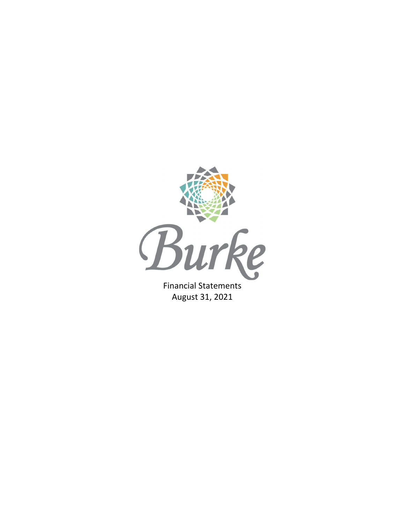

August 31, 2021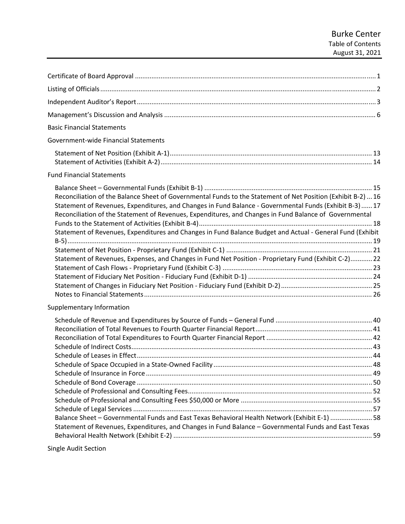| <b>Basic Financial Statements</b>                                                                                                                                                                                                                                                                                                                                                                                                                                                                                                                       |  |
|---------------------------------------------------------------------------------------------------------------------------------------------------------------------------------------------------------------------------------------------------------------------------------------------------------------------------------------------------------------------------------------------------------------------------------------------------------------------------------------------------------------------------------------------------------|--|
| Government-wide Financial Statements                                                                                                                                                                                                                                                                                                                                                                                                                                                                                                                    |  |
|                                                                                                                                                                                                                                                                                                                                                                                                                                                                                                                                                         |  |
| <b>Fund Financial Statements</b>                                                                                                                                                                                                                                                                                                                                                                                                                                                                                                                        |  |
| Reconciliation of the Balance Sheet of Governmental Funds to the Statement of Net Position (Exhibit B-2)  16<br>Statement of Revenues, Expenditures, and Changes in Fund Balance - Governmental Funds (Exhibit B-3)  17<br>Reconciliation of the Statement of Revenues, Expenditures, and Changes in Fund Balance of Governmental<br>Statement of Revenues, Expenditures and Changes in Fund Balance Budget and Actual - General Fund (Exhibit<br>Statement of Revenues, Expenses, and Changes in Fund Net Position - Proprietary Fund (Exhibit C-2) 22 |  |
| Supplementary Information                                                                                                                                                                                                                                                                                                                                                                                                                                                                                                                               |  |
| Balance Sheet - Governmental Funds and East Texas Behavioral Health Network (Exhibit E-1) 58                                                                                                                                                                                                                                                                                                                                                                                                                                                            |  |
| Statement of Revenues, Expenditures, and Changes in Fund Balance - Governmental Funds and East Texas                                                                                                                                                                                                                                                                                                                                                                                                                                                    |  |
|                                                                                                                                                                                                                                                                                                                                                                                                                                                                                                                                                         |  |

Single Audit Section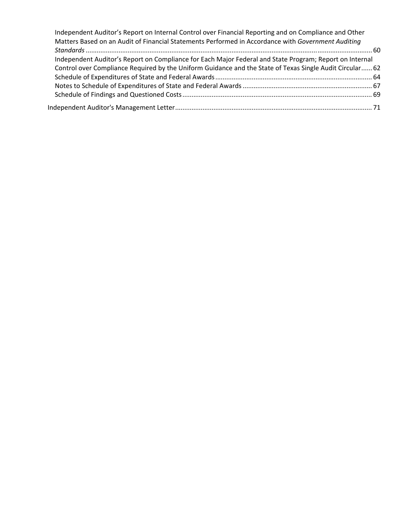| Independent Auditor's Report on Internal Control over Financial Reporting and on Compliance and Other    |  |
|----------------------------------------------------------------------------------------------------------|--|
| Matters Based on an Audit of Financial Statements Performed in Accordance with Government Auditing       |  |
|                                                                                                          |  |
| Independent Auditor's Report on Compliance for Each Major Federal and State Program; Report on Internal  |  |
| Control over Compliance Required by the Uniform Guidance and the State of Texas Single Audit Circular 62 |  |
|                                                                                                          |  |
|                                                                                                          |  |
|                                                                                                          |  |
|                                                                                                          |  |
|                                                                                                          |  |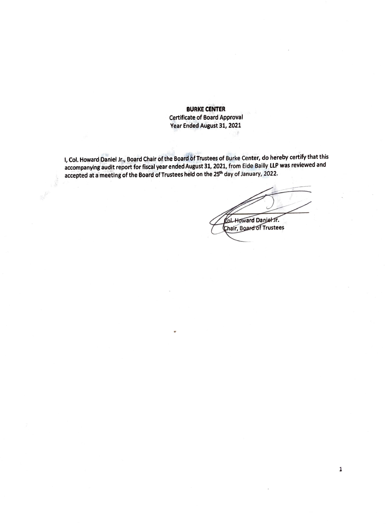**BURKE CENTER**  Certificate of Board Approval Vear Ended August 31, 2021

I, Col. Howard Daniel Jr., Board Chair of the Board of Trustees of Burke Center, do hereby certify that this accompanying audit report for fiscal year ended August 31, 2021, from Eide Bailly LLP was reviewed and accepted at a meeting of the Board of Trustees held on the 25<sup>th</sup> day of January, 2022.

Col. Howard Daniel Jr. Chair, Board of Trustees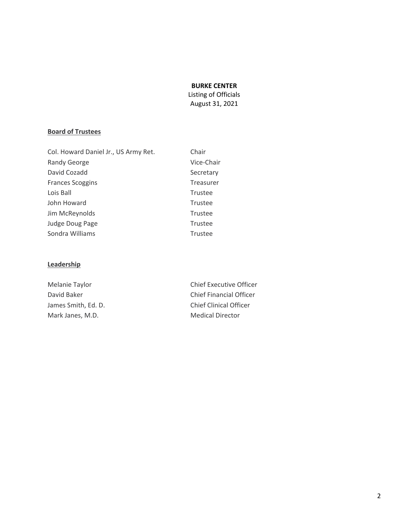#### **BURKE CENTER**

Listing of Officials August 31, 2021

# **Board of Trustees**

| Col. Howard Daniel Jr., US Army Ret. | Chair      |
|--------------------------------------|------------|
| Randy George                         | Vice-Chair |
| David Cozadd                         | Secretary  |
| <b>Frances Scoggins</b>              | Treasurer  |
| Lois Ball                            | Trustee    |
| John Howard                          | Trustee    |
| Jim McReynolds                       | Trustee    |
| Judge Doug Page                      | Trustee    |
| Sondra Williams                      | Trustee    |
|                                      |            |

# **Leadership**

Mark Janes, M.D. **Mark Janes, M.D. Medical Director** 

Melanie Taylor **Melanie Taylor Executive Officer** David Baker Chief Financial Officer James Smith, Ed. D. **Business Chief Clinical Officer**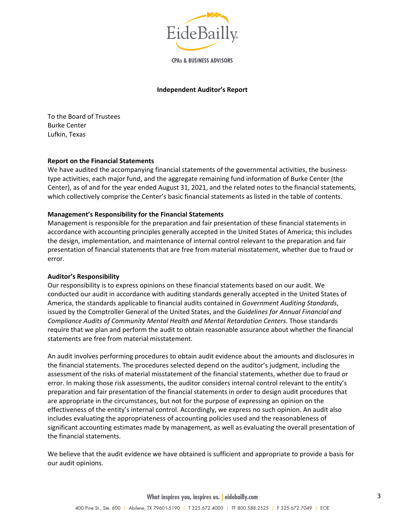

**CPAs & BUSINESS ADVISORS** 

### **Independent Auditor's Report**

To the Board of Trustees Burke Center Lufkin, Texas

### **Report on the Financial Statements**

We have audited the accompanying financial statements of the governmental activities, the businesstype activities, each major fund, and the aggregate remaining fund information of Burke Center (the Center), as of and for the year ended August 31, 2021, and the related notes to the financial statements, which collectively comprise the Center's basic financial statements as listed in the table of contents.

### **Management's Responsibility for the Financial Statements**

Management is responsible for the preparation and fair presentation of these financial statements in accordance with accounting principles generally accepted in the United States of America; this includes the design, implementation, and maintenance of internal control relevant to the preparation and fair presentation of financial statements that are free from material misstatement, whether due to fraud or error.

### **Auditor's Responsibility**

Our responsibility is to express opinions on these financial statements based on our audit. We conducted our audit in accordance with auditing standards generally accepted in the United States of America, the standards applicable to financial audits contained in *Government Auditing Standards*, issued by the Comptroller General of the United States, and the *Guidelines for Annual Financial and Compliance Audits of Community Mental Health and Mental Retardation Centers*. Those standards require that we plan and perform the audit to obtain reasonable assurance about whether the financial statements are free from material misstatement.

An audit involves performing procedures to obtain audit evidence about the amounts and disclosures in the financial statements. The procedures selected depend on the auditor's judgment, including the assessment of the risks of material misstatement of the financial statements, whether due to fraud or error. In making those risk assessments, the auditor considers internal control relevant to the entity's preparation and fair presentation of the financial statements in order to design audit procedures that are appropriate in the circumstances, but not for the purpose of expressing an opinion on the effectiveness of the entity's internal control. Accordingly, we express no such opinion. An audit also includes evaluating the appropriateness of accounting policies used and the reasonableness of significant accounting estimates made by management, as well as evaluating the overall presentation of the financial statements.

We believe that the audit evidence we have obtained is sufficient and appropriate to provide a basis for our audit opinions.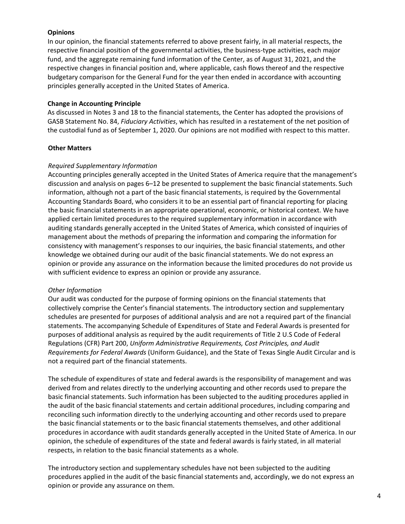# **Opinions**

In our opinion, the financial statements referred to above present fairly, in all material respects, the respective financial position of the governmental activities, the business-type activities, each major fund, and the aggregate remaining fund information of the Center, as of August 31, 2021, and the respective changes in financial position and, where applicable, cash flows thereof and the respective budgetary comparison for the General Fund for the year then ended in accordance with accounting principles generally accepted in the United States of America.

### **Change in Accounting Principle**

As discussed in Notes 3 and 18 to the financial statements, the Center has adopted the provisions of GASB Statement No. 84, *Fiduciary Activities*, which has resulted in a restatement of the net position of the custodial fund as of September 1, 2020. Our opinions are not modified with respect to this matter.

# **Other Matters**

### *Required Supplementary Information*

Accounting principles generally accepted in the United States of America require that the management's discussion and analysis on pages 6–12 be presented to supplement the basic financial statements. Such information, although not a part of the basic financial statements, is required by the Governmental Accounting Standards Board, who considers it to be an essential part of financial reporting for placing the basic financial statements in an appropriate operational, economic, or historical context. We have applied certain limited procedures to the required supplementary information in accordance with auditing standards generally accepted in the United States of America, which consisted of inquiries of management about the methods of preparing the information and comparing the information for consistency with management's responses to our inquiries, the basic financial statements, and other knowledge we obtained during our audit of the basic financial statements. We do not express an opinion or provide any assurance on the information because the limited procedures do not provide us with sufficient evidence to express an opinion or provide any assurance.

### *Other Information*

Our audit was conducted for the purpose of forming opinions on the financial statements that collectively comprise the Center's financial statements. The introductory section and supplementary schedules are presented for purposes of additional analysis and are not a required part of the financial statements. The accompanying Schedule of Expenditures of State and Federal Awards is presented for purposes of additional analysis as required by the audit requirements of Title 2 U.S Code of Federal Regulations (CFR) Part 200, *Uniform Administrative Requirements, Cost Principles, and Audit Requirements for Federal Awards* (Uniform Guidance), and the State of Texas Single Audit Circular and is not a required part of the financial statements.

The schedule of expenditures of state and federal awards is the responsibility of management and was derived from and relates directly to the underlying accounting and other records used to prepare the basic financial statements. Such information has been subjected to the auditing procedures applied in the audit of the basic financial statements and certain additional procedures, including comparing and reconciling such information directly to the underlying accounting and other records used to prepare the basic financial statements or to the basic financial statements themselves, and other additional procedures in accordance with audit standards generally accepted in the United State of America. In our opinion, the schedule of expenditures of the state and federal awards is fairly stated, in all material respects, in relation to the basic financial statements as a whole.

The introductory section and supplementary schedules have not been subjected to the auditing procedures applied in the audit of the basic financial statements and, accordingly, we do not express an opinion or provide any assurance on them.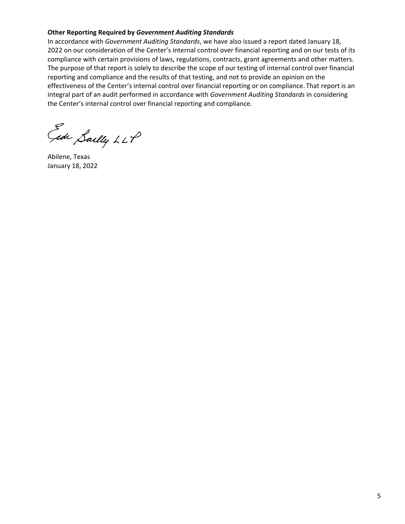### **Other Reporting Required by** *Government Auditing Standards*

In accordance with *Government Auditing Standards*, we have also issued a report dated January 18, 2022 on our consideration of the Center's internal control over financial reporting and on our tests of its compliance with certain provisions of laws, regulations, contracts, grant agreements and other matters. The purpose of that report is solely to describe the scope of our testing of internal control over financial reporting and compliance and the results of that testing, and not to provide an opinion on the effectiveness of the Center's internal control over financial reporting or on compliance. That report is an integral part of an audit performed in accordance with *Government Auditing Standards* in considering the Center's internal control over financial reporting and compliance.

Gide Sailly LLP

Abilene, Texas January 18, 2022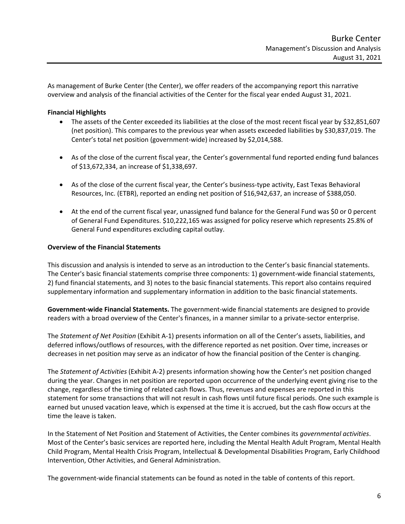As management of Burke Center (the Center), we offer readers of the accompanying report this narrative overview and analysis of the financial activities of the Center for the fiscal year ended August 31, 2021.

# **Financial Highlights**

- The assets of the Center exceeded its liabilities at the close of the most recent fiscal year by \$32,851,607 (net position). This compares to the previous year when assets exceeded liabilities by \$30,837,019. The Center's total net position (government‐wide) increased by \$2,014,588.
- As of the close of the current fiscal year, the Center's governmental fund reported ending fund balances of \$13,672,334, an increase of \$1,338,697.
- As of the close of the current fiscal year, the Center's business‐type activity, East Texas Behavioral Resources, Inc. (ETBR), reported an ending net position of \$16,942,637, an increase of \$388,050.
- At the end of the current fiscal year, unassigned fund balance for the General Fund was \$0 or 0 percent of General Fund Expenditures. \$10,222,165 was assigned for policy reserve which represents 25.8% of General Fund expenditures excluding capital outlay.

# **Overview of the Financial Statements**

This discussion and analysis is intended to serve as an introduction to the Center's basic financial statements. The Center's basic financial statements comprise three components: 1) government‐wide financial statements, 2) fund financial statements, and 3) notes to the basic financial statements. This report also contains required supplementary information and supplementary information in addition to the basic financial statements.

**Government‐wide Financial Statements.** The government‐wide financial statements are designed to provide readers with a broad overview of the Center's finances, in a manner similar to a private‐sector enterprise.

The *Statement of Net Position* (Exhibit A‐1) presents information on all of the Center's assets, liabilities, and deferred inflows/outflows of resources, with the difference reported as net position. Over time, increases or decreases in net position may serve as an indicator of how the financial position of the Center is changing.

The *Statement of Activities* (Exhibit A‐2) presents information showing how the Center's net position changed during the year. Changes in net position are reported upon occurrence of the underlying event giving rise to the change, regardless of the timing of related cash flows. Thus, revenues and expenses are reported in this statement for some transactions that will not result in cash flows until future fiscal periods. One such example is earned but unused vacation leave, which is expensed at the time it is accrued, but the cash flow occurs at the time the leave is taken.

In the Statement of Net Position and Statement of Activities, the Center combines its *governmental activities*. Most of the Center's basic services are reported here, including the Mental Health Adult Program, Mental Health Child Program, Mental Health Crisis Program, Intellectual & Developmental Disabilities Program, Early Childhood Intervention, Other Activities, and General Administration.

The government-wide financial statements can be found as noted in the table of contents of this report.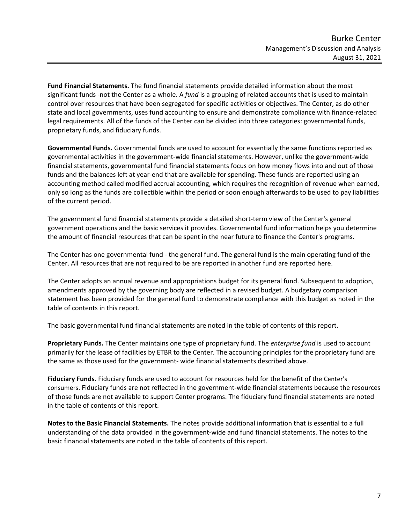**Fund Financial Statements.** The fund financial statements provide detailed information about the most significant funds ‐not the Center as a whole. A *fund* is a grouping of related accounts that is used to maintain control over resources that have been segregated for specific activities or objectives. The Center, as do other state and local governments, uses fund accounting to ensure and demonstrate compliance with finance‐related legal requirements. All of the funds of the Center can be divided into three categories: governmental funds, proprietary funds, and fiduciary funds.

**Governmental Funds.** Governmental funds are used to account for essentially the same functions reported as governmental activities in the government‐wide financial statements. However, unlike the government‐wide financial statements, governmental fund financial statements focus on how money flows into and out of those funds and the balances left at year-end that are available for spending. These funds are reported using an accounting method called modified accrual accounting, which requires the recognition of revenue when earned, only so long as the funds are collectible within the period or soon enough afterwards to be used to pay liabilities of the current period.

The governmental fund financial statements provide a detailed short‐term view of the Center's general government operations and the basic services it provides. Governmental fund information helps you determine the amount of financial resources that can be spent in the near future to finance the Center's programs.

The Center has one governmental fund ‐ the general fund. The general fund is the main operating fund of the Center. All resources that are not required to be are reported in another fund are reported here.

The Center adopts an annual revenue and appropriations budget for its general fund. Subsequent to adoption, amendments approved by the governing body are reflected in a revised budget. A budgetary comparison statement has been provided for the general fund to demonstrate compliance with this budget as noted in the table of contents in this report.

The basic governmental fund financial statements are noted in the table of contents of this report.

**Proprietary Funds.** The Center maintains one type of proprietary fund. The *enterprise fund* is used to account primarily for the lease of facilities by ETBR to the Center. The accounting principles for the proprietary fund are the same as those used for the government‐ wide financial statements described above.

**Fiduciary Funds.** Fiduciary funds are used to account for resources held for the benefit of the Center's consumers. Fiduciary funds are not reflected in the government‐wide financial statements because the resources of those funds are not available to support Center programs. The fiduciary fund financial statements are noted in the table of contents of this report.

**Notes to the Basic Financial Statements.** The notes provide additional information that is essential to a full understanding of the data provided in the government‐wide and fund financial statements. The notes to the basic financial statements are noted in the table of contents of this report.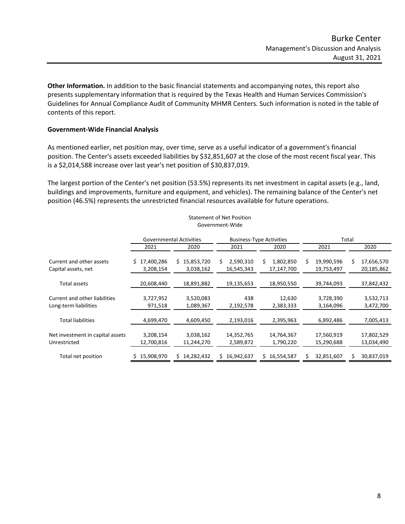**Other Information.** In addition to the basic financial statements and accompanying notes, this report also presents supplementary information that is required by the Texas Health and Human Services Commission's Guidelines for Annual Compliance Audit of Community MHMR Centers. Such information is noted in the table of contents of this report.

# **Government‐Wide Financial Analysis**

As mentioned earlier, net position may, over time, serve as a useful indicator of a government's financial position. The Center's assets exceeded liabilities by \$32,851,607 at the close of the most recent fiscal year. This is a \$2,014,588 increase over last year's net position of \$30,837,019.

The largest portion of the Center's net position (53.5%) represents its net investment in capital assets (e.g., land, buildings and improvements, furniture and equipment, and vehicles). The remaining balance of the Center's net position (46.5%) represents the unrestricted financial resources available for future operations.

| Government-Wide                                        |                               |                                |                              |                               |                                |                                |
|--------------------------------------------------------|-------------------------------|--------------------------------|------------------------------|-------------------------------|--------------------------------|--------------------------------|
|                                                        |                               | <b>Governmental Activities</b> |                              | Total                         |                                |                                |
|                                                        | 2021                          | 2020                           | 2021<br>2020                 |                               | 2021                           | 2020                           |
| Current and other assets<br>Capital assets, net        | 17,400,286<br>S.<br>3,208,154 | \$15,853,720<br>3,038,162      | 2,590,310<br>S<br>16,545,343 | 1,802,850<br>Ś.<br>17,147,700 | \$<br>19,990,596<br>19,753,497 | \$<br>17,656,570<br>20,185,862 |
| Total assets                                           | 20,608,440                    | 18,891,882                     | 19,135,653                   | 18,950,550                    | 39,744,093                     | 37,842,432                     |
| Current and other liabilities<br>Long-term liabilities | 3,727,952<br>971,518          | 3,520,083<br>1,089,367         | 438<br>2,192,578             | 12,630<br>2,383,333           | 3,728,390<br>3,164,096         | 3,532,713<br>3,472,700         |
| <b>Total liabilities</b>                               | 4,699,470                     | 4,609,450                      | 2,193,016                    | 2,395,963                     | 6,892,486                      | 7,005,413                      |
| Net investment in capital assets<br>Unrestricted       | 3,208,154<br>12,700,816       | 3,038,162<br>11,244,270        | 14,352,765<br>2,589,872      | 14,764,367<br>1,790,220       | 17,560,919<br>15,290,688       | 17,802,529<br>13,034,490       |
| Total net position                                     | 15,908,970                    | 14,282,432<br>s                | 16,942,637                   | 16,554,587<br>s               | 32,851,607<br>S                | 30,837,019<br>S                |

# Statement of Net Position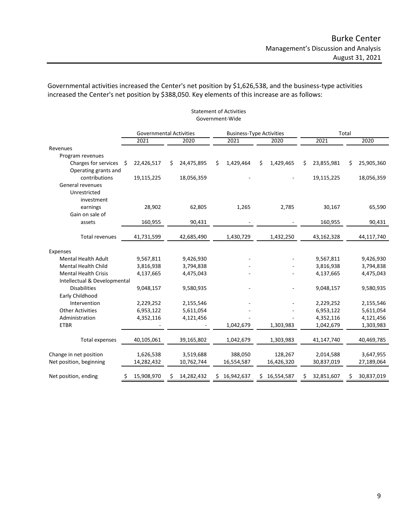Governmental activities increased the Center's net position by \$1,626,538, and the business‐type activities increased the Center's net position by \$388,050. Key elements of this increase are as follows:

| <b>Statement of Activities</b> |  |
|--------------------------------|--|
| Government-Wide                |  |

|                              |                  | <b>Governmental Activities</b> |                  | <b>Business-Type Activities</b> |                  | Total            |
|------------------------------|------------------|--------------------------------|------------------|---------------------------------|------------------|------------------|
|                              | 2021             | 2020                           | 2021             | 2020                            | 2021             | 2020             |
| Revenues                     |                  |                                |                  |                                 |                  |                  |
| Program revenues             |                  |                                |                  |                                 |                  |                  |
| Charges for services         | \$<br>22,426,517 | 24,475,895<br>Ś.               | 1,429,464<br>Ś.  | 1,429,465<br>\$                 | 23,855,981<br>Ś. | 25,905,360<br>Ś. |
| Operating grants and         |                  |                                |                  |                                 |                  |                  |
| contributions                | 19,115,225       | 18,056,359                     |                  |                                 | 19,115,225       | 18,056,359       |
| General revenues             |                  |                                |                  |                                 |                  |                  |
| Unrestricted                 |                  |                                |                  |                                 |                  |                  |
| investment                   |                  |                                |                  |                                 |                  |                  |
| earnings                     | 28,902           | 62,805                         | 1,265            | 2,785                           | 30,167           | 65,590           |
| Gain on sale of              |                  |                                |                  |                                 |                  |                  |
| assets                       | 160,955          | 90,431                         |                  |                                 | 160,955          | 90,431           |
| <b>Total revenues</b>        | 41,731,599       | 42,685,490                     | 1,430,729        | 1,432,250                       | 43,162,328       | 44,117,740       |
|                              |                  |                                |                  |                                 |                  |                  |
| Expenses                     |                  |                                |                  |                                 |                  |                  |
| <b>Mental Health Adult</b>   | 9,567,811        | 9,426,930                      |                  |                                 | 9,567,811        | 9,426,930        |
| <b>Mental Health Child</b>   | 3,816,938        | 3,794,838                      |                  |                                 | 3,816,938        | 3,794,838        |
| <b>Mental Health Crisis</b>  | 4,137,665        | 4,475,043                      |                  |                                 | 4,137,665        | 4,475,043        |
| Intellectual & Developmental |                  |                                |                  |                                 |                  |                  |
| <b>Disabilities</b>          | 9,048,157        | 9,580,935                      |                  |                                 | 9,048,157        | 9,580,935        |
| Early Childhood              |                  |                                |                  |                                 |                  |                  |
| Intervention                 | 2,229,252        | 2,155,546                      |                  |                                 | 2,229,252        | 2,155,546        |
| <b>Other Activities</b>      | 6,953,122        | 5,611,054                      |                  |                                 | 6,953,122        | 5,611,054        |
| Administration               | 4,352,116        | 4,121,456                      |                  |                                 | 4,352,116        | 4,121,456        |
| <b>ETBR</b>                  |                  |                                | 1,042,679        | 1,303,983                       | 1,042,679        | 1,303,983        |
|                              |                  |                                |                  |                                 |                  |                  |
| Total expenses               | 40,105,061       | 39,165,802                     | 1,042,679        | 1,303,983                       | 41,147,740       | 40,469,785       |
| Change in net position       | 1,626,538        | 3,519,688                      | 388,050          | 128,267                         | 2,014,588        | 3,647,955        |
| Net position, beginning      | 14,282,432       | 10,762,744                     | 16,554,587       | 16,426,320                      | 30,837,019       | 27,189,064       |
| Net position, ending         | 15,908,970       | 14,282,432<br>\$               | 16,942,637<br>S. | 16,554,587<br>S.                | 32,851,607<br>\$ | 30,837,019<br>\$ |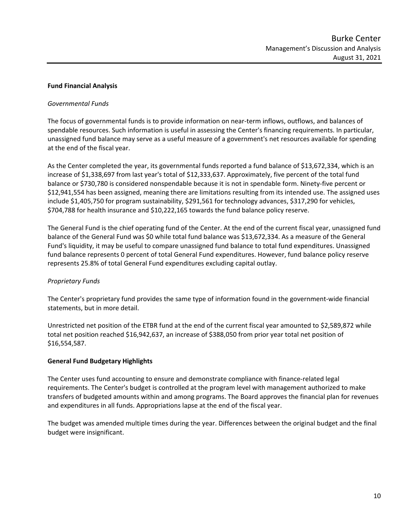### **Fund Financial Analysis**

### *Governmental Funds*

The focus of governmental funds is to provide information on near‐term inflows, outflows, and balances of spendable resources. Such information is useful in assessing the Center's financing requirements. In particular, unassigned fund balance may serve as a useful measure of a government's net resources available for spending at the end of the fiscal year.

As the Center completed the year, its governmental funds reported a fund balance of \$13,672,334, which is an increase of \$1,338,697 from last year's total of \$12,333,637. Approximately, five percent of the total fund balance or \$730,780 is considered nonspendable because it is not in spendable form. Ninety‐five percent or \$12,941,554 has been assigned, meaning there are limitations resulting from its intended use. The assigned uses include \$1,405,750 for program sustainability, \$291,561 for technology advances, \$317,290 for vehicles, \$704,788 for health insurance and \$10,222,165 towards the fund balance policy reserve.

The General Fund is the chief operating fund of the Center. At the end of the current fiscal year, unassigned fund balance of the General Fund was \$0 while total fund balance was \$13,672,334. As a measure of the General Fund's liquidity, it may be useful to compare unassigned fund balance to total fund expenditures. Unassigned fund balance represents 0 percent of total General Fund expenditures. However, fund balance policy reserve represents 25.8% of total General Fund expenditures excluding capital outlay.

# *Proprietary Funds*

The Center's proprietary fund provides the same type of information found in the government‐wide financial statements, but in more detail.

Unrestricted net position of the ETBR fund at the end of the current fiscal year amounted to \$2,589,872 while total net position reached \$16,942,637, an increase of \$388,050 from prior year total net position of \$16,554,587.

# **General Fund Budgetary Highlights**

The Center uses fund accounting to ensure and demonstrate compliance with finance-related legal requirements. The Center's budget is controlled at the program level with management authorized to make transfers of budgeted amounts within and among programs. The Board approves the financial plan for revenues and expenditures in all funds. Appropriations lapse at the end of the fiscal year.

The budget was amended multiple times during the year. Differences between the original budget and the final budget were insignificant.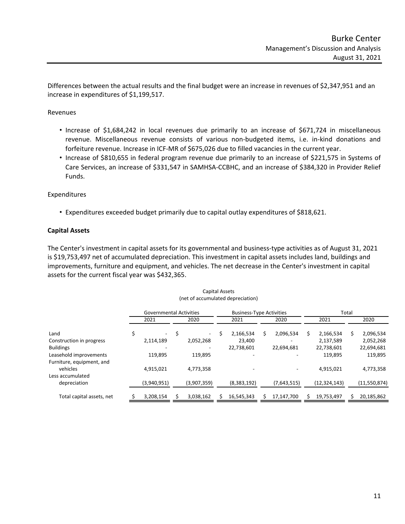Differences between the actual results and the final budget were an increase in revenues of \$2,347,951 and an increase in expenditures of \$1,199,517.

### Revenues

- Increase of \$1,684,242 in local revenues due primarily to an increase of \$671,724 in miscellaneous revenue. Miscellaneous revenue consists of various non‐budgeted items, i.e. in‐kind donations and forfeiture revenue. Increase in ICF-MR of \$675,026 due to filled vacancies in the current year.
- Increase of \$810,655 in federal program revenue due primarily to an increase of \$221,575 in Systems of Care Services, an increase of \$331,547 in SAMHSA‐CCBHC, and an increase of \$384,320 in Provider Relief Funds.

### Expenditures

• Expenditures exceeded budget primarily due to capital outlay expenditures of \$818,621.

### **Capital Assets**

The Center's investment in capital assets for its governmental and business-type activities as of August 31, 2021 is \$19,753,497 net of accumulated depreciation. This investment in capital assets includes land, buildings and improvements, furniture and equipment, and vehicles. The net decrease in the Center's investment in capital assets for the current fiscal year was \$432,365.

|                                                     | <b>Governmental Activities</b> |             |    | <b>Business-Type Activities</b> |             |   | Total       |  |                |   |              |
|-----------------------------------------------------|--------------------------------|-------------|----|---------------------------------|-------------|---|-------------|--|----------------|---|--------------|
|                                                     |                                | 2021        |    | 2020                            | 2021        |   | 2020        |  | 2021           |   | 2020         |
| Land                                                | \$                             | ۰.          | \$ | $\overline{\phantom{a}}$        | 2,166,534   | Ś | 2,096,534   |  | 2,166,534      | s | 2,096,534    |
| Construction in progress                            |                                | 2,114,189   |    | 2,052,268                       | 23,400      |   |             |  | 2,137,589      |   | 2,052,268    |
| <b>Buildings</b>                                    |                                |             |    |                                 | 22,738,601  |   | 22,694,681  |  | 22,738,601     |   | 22,694,681   |
| Leasehold improvements<br>Furniture, equipment, and |                                | 119,895     |    | 119,895                         |             |   |             |  | 119,895        |   | 119,895      |
| vehicles                                            |                                | 4,915,021   |    | 4,773,358                       |             |   |             |  | 4,915,021      |   | 4,773,358    |
| Less accumulated<br>depreciation                    |                                | (3,940,951) |    | (3,907,359)                     | (8,383,192) |   | (7,643,515) |  | (12, 324, 143) |   | (11,550,874) |
| Total capital assets, net                           |                                | 3,208,154   |    | 3,038,162                       | 16,545,343  |   | 17,147,700  |  | 19,753,497     |   | 20,185,862   |

#### Capital Assets (net of accumulated depreciation)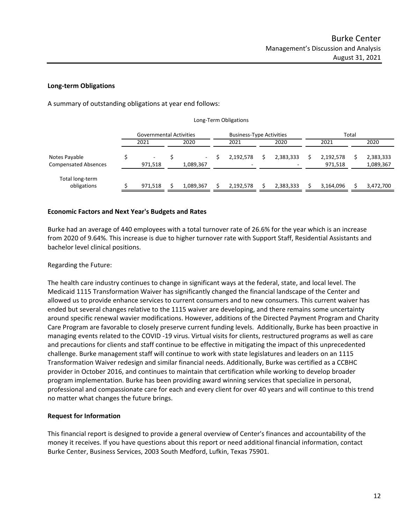### **Long‐term Obligations**

A summary of outstanding obligations at year end follows:

|                                              |                                     | <b>Governmental Activities</b> |                                       |  | <b>Business-Type Activities</b> |  |                |  | Total                |  |                        |  |
|----------------------------------------------|-------------------------------------|--------------------------------|---------------------------------------|--|---------------------------------|--|----------------|--|----------------------|--|------------------------|--|
|                                              | 2021                                |                                | 2020                                  |  | 2021                            |  | 2020           |  | 2021                 |  | 2020                   |  |
| Notes Payable<br><b>Compensated Absences</b> | $\overline{\phantom{a}}$<br>971,518 |                                | $\overline{\phantom{a}}$<br>1,089,367 |  | 2,192,578<br>$\sim$             |  | 2,383,333<br>- |  | 2,192,578<br>971,518 |  | 2,383,333<br>1,089,367 |  |
| Total long-term<br>obligations               | 971,518                             |                                | 1,089,367                             |  | 2,192,578                       |  | 2,383,333      |  | 3,164,096            |  | 3,472,700              |  |

Long‐Term Obligations

#### **Economic Factors and Next Year's Budgets and Rates**

Burke had an average of 440 employees with a total turnover rate of 26.6% for the year which is an increase from 2020 of 9.64%. This increase is due to higher turnover rate with Support Staff, Residential Assistants and bachelor level clinical positions.

### Regarding the Future:

The health care industry continues to change in significant ways at the federal, state, and local level. The Medicaid 1115 Transformation Waiver has significantly changed the financial landscape of the Center and allowed us to provide enhance services to current consumers and to new consumers. This current waiver has ended but several changes relative to the 1115 waiver are developing, and there remains some uncertainty around specific renewal wavier modifications. However, additions of the Directed Payment Program and Charity Care Program are favorable to closely preserve current funding levels. Additionally, Burke has been proactive in managing events related to the COVID ‐19 virus. Virtual visits for clients, restructured programs as well as care and precautions for clients and staff continue to be effective in mitigating the impact of this unprecedented challenge. Burke management staff will continue to work with state legislatures and leaders on an 1115 Transformation Waiver redesign and similar financial needs. Additionally, Burke was certified as a CCBHC provider in October 2016, and continues to maintain that certification while working to develop broader program implementation. Burke has been providing award winning services that specialize in personal, professional and compassionate care for each and every client for over 40 years and will continue to this trend no matter what changes the future brings.

### **Request for Information**

This financial report is designed to provide a general overview of Center's finances and accountability of the money it receives. If you have questions about this report or need additional financial information, contact Burke Center, Business Services, 2003 South Medford, Lufkin, Texas 75901.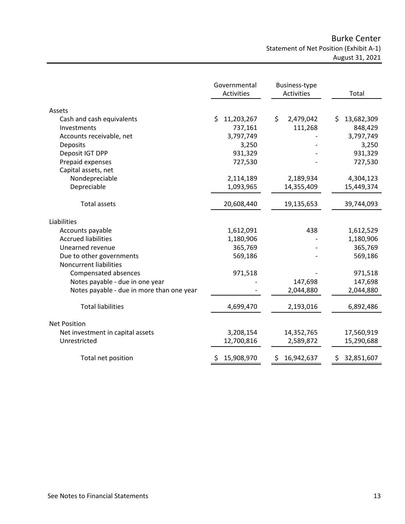# Burke Center Statement of Net Position (Exhibit A‐1) August 31, 2021

|                                           | Governmental<br>Activities | <b>Business-type</b><br>Activities | Total            |
|-------------------------------------------|----------------------------|------------------------------------|------------------|
| Assets                                    |                            |                                    |                  |
| Cash and cash equivalents                 | \$<br>11,203,267           | \$<br>2,479,042                    | Ś.<br>13,682,309 |
| Investments                               | 737,161                    | 111,268                            | 848,429          |
| Accounts receivable, net                  | 3,797,749                  |                                    | 3,797,749        |
| Deposits                                  | 3,250                      |                                    | 3,250            |
| Deposit IGT DPP                           | 931,329                    |                                    | 931,329          |
| Prepaid expenses                          | 727,530                    |                                    | 727,530          |
| Capital assets, net                       |                            |                                    |                  |
| Nondepreciable                            | 2,114,189                  | 2,189,934                          | 4,304,123        |
| Depreciable                               | 1,093,965                  | 14,355,409                         | 15,449,374       |
| <b>Total assets</b>                       | 20,608,440                 | 19,135,653                         | 39,744,093       |
| Liabilities                               |                            |                                    |                  |
| Accounts payable                          | 1,612,091                  | 438                                | 1,612,529        |
| <b>Accrued liabilities</b>                | 1,180,906                  |                                    | 1,180,906        |
| Unearned revenue                          | 365,769                    |                                    | 365,769          |
| Due to other governments                  | 569,186                    |                                    | 569,186          |
| <b>Noncurrent liabilities</b>             |                            |                                    |                  |
| Compensated absences                      | 971,518                    |                                    | 971,518          |
| Notes payable - due in one year           |                            | 147,698                            | 147,698          |
| Notes payable - due in more than one year |                            | 2,044,880                          | 2,044,880        |
| <b>Total liabilities</b>                  | 4,699,470                  | 2,193,016                          | 6,892,486        |
| <b>Net Position</b>                       |                            |                                    |                  |
| Net investment in capital assets          | 3,208,154                  | 14,352,765                         | 17,560,919       |
| Unrestricted                              | 12,700,816                 | 2,589,872                          | 15,290,688       |
| Total net position                        | 15,908,970                 | 16,942,637                         | 32,851,607<br>Ş  |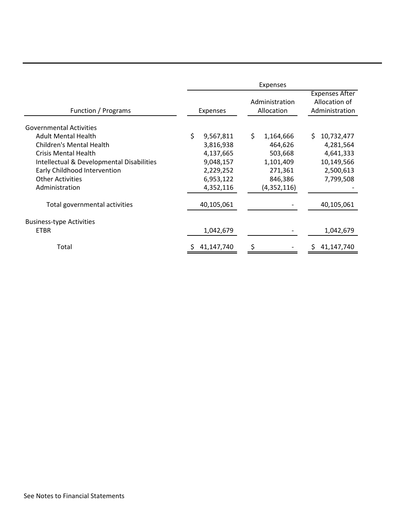|                                           | Expenses        |                              |                                                          |  |  |  |  |  |
|-------------------------------------------|-----------------|------------------------------|----------------------------------------------------------|--|--|--|--|--|
| Function / Programs                       | Expenses        | Administration<br>Allocation | <b>Expenses After</b><br>Allocation of<br>Administration |  |  |  |  |  |
| <b>Governmental Activities</b>            |                 |                              |                                                          |  |  |  |  |  |
| <b>Adult Mental Health</b>                | \$<br>9,567,811 | \$<br>1,164,666              | Ś.<br>10,732,477                                         |  |  |  |  |  |
| Children's Mental Health                  | 3,816,938       | 464,626                      | 4,281,564                                                |  |  |  |  |  |
| <b>Crisis Mental Health</b>               | 4,137,665       | 503,668                      | 4,641,333                                                |  |  |  |  |  |
| Intellectual & Developmental Disabilities | 9,048,157       | 1,101,409                    | 10,149,566                                               |  |  |  |  |  |
| Early Childhood Intervention              | 2,229,252       | 271,361                      | 2,500,613                                                |  |  |  |  |  |
| <b>Other Activities</b>                   | 6,953,122       | 846,386                      | 7,799,508                                                |  |  |  |  |  |
| Administration                            | 4,352,116       | (4,352,116)                  |                                                          |  |  |  |  |  |
| Total governmental activities             | 40,105,061      |                              | 40,105,061                                               |  |  |  |  |  |
| <b>Business-type Activities</b>           |                 |                              |                                                          |  |  |  |  |  |
| <b>ETBR</b>                               | 1,042,679       |                              | 1,042,679                                                |  |  |  |  |  |
| Total                                     | 41,147,740      | S                            | 41,147,740                                               |  |  |  |  |  |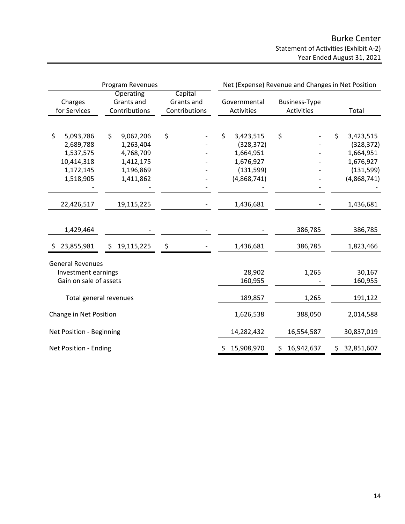|                                                                                   | Program Revenues                                                                 |                                        | Net (Expense) Revenue and Changes in Net Position                                    |                                    |                                                                                      |  |  |  |
|-----------------------------------------------------------------------------------|----------------------------------------------------------------------------------|----------------------------------------|--------------------------------------------------------------------------------------|------------------------------------|--------------------------------------------------------------------------------------|--|--|--|
| Charges<br>for Services                                                           | Operating<br>Grants and<br>Contributions                                         | Capital<br>Grants and<br>Contributions | Governmental<br>Activities                                                           | <b>Business-Type</b><br>Activities | Total                                                                                |  |  |  |
| \$<br>5,093,786<br>2,689,788<br>1,537,575<br>10,414,318<br>1,172,145<br>1,518,905 | \$<br>9,062,206<br>1,263,404<br>4,768,709<br>1,412,175<br>1,196,869<br>1,411,862 | \$                                     | \$<br>3,423,515<br>(328, 372)<br>1,664,951<br>1,676,927<br>(131, 599)<br>(4,868,741) | \$                                 | \$<br>3,423,515<br>(328, 372)<br>1,664,951<br>1,676,927<br>(131, 599)<br>(4,868,741) |  |  |  |
| 22,426,517                                                                        | 19,115,225                                                                       |                                        | 1,436,681                                                                            |                                    | 1,436,681                                                                            |  |  |  |
| 1,429,464<br>23,855,981                                                           | 19,115,225<br>\$                                                                 | \$                                     | 1,436,681                                                                            | 386,785<br>386,785                 | 386,785<br>1,823,466                                                                 |  |  |  |
| <b>General Revenues</b><br>Investment earnings<br>Gain on sale of assets          |                                                                                  |                                        | 28,902<br>160,955                                                                    | 1,265                              | 30,167<br>160,955                                                                    |  |  |  |
| Total general revenues                                                            |                                                                                  |                                        | 189,857                                                                              | 1,265                              | 191,122                                                                              |  |  |  |
| Change in Net Position                                                            |                                                                                  |                                        | 1,626,538                                                                            | 388,050                            | 2,014,588                                                                            |  |  |  |
| Net Position - Beginning                                                          |                                                                                  |                                        | 14,282,432                                                                           | 16,554,587                         | 30,837,019                                                                           |  |  |  |
| Net Position - Ending                                                             |                                                                                  |                                        | 15,908,970<br>S                                                                      | 16,942,637<br>\$.                  | 32,851,607<br>\$                                                                     |  |  |  |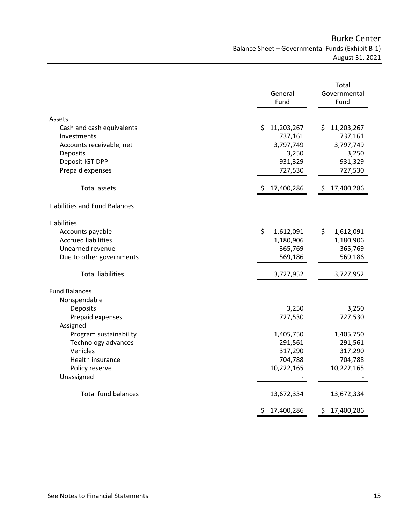# Burke Center Balance Sheet – Governmental Funds (Exhibit B‐1) August 31, 2021

|                                 | General<br>Fund    | Total<br>Governmental<br>Fund |
|---------------------------------|--------------------|-------------------------------|
| Assets                          |                    |                               |
| Cash and cash equivalents       | \$<br>11,203,267   | \$<br>11,203,267              |
| Investments                     | 737,161            | 737,161                       |
| Accounts receivable, net        | 3,797,749          | 3,797,749                     |
| Deposits                        | 3,250              | 3,250                         |
| Deposit IGT DPP                 | 931,329            | 931,329                       |
| Prepaid expenses                | 727,530            | 727,530                       |
| <b>Total assets</b>             | S<br>17,400,286    | \$<br>17,400,286              |
| Liabilities and Fund Balances   |                    |                               |
| Liabilities                     |                    |                               |
| Accounts payable                | \$<br>1,612,091    | \$<br>1,612,091               |
| <b>Accrued liabilities</b>      | 1,180,906          | 1,180,906                     |
| Unearned revenue                | 365,769            | 365,769                       |
| Due to other governments        | 569,186            | 569,186                       |
| <b>Total liabilities</b>        | 3,727,952          | 3,727,952                     |
| <b>Fund Balances</b>            |                    |                               |
| Nonspendable                    |                    |                               |
| Deposits                        | 3,250              | 3,250                         |
| Prepaid expenses                | 727,530            | 727,530                       |
| Assigned                        |                    |                               |
| Program sustainability          | 1,405,750          | 1,405,750                     |
| Technology advances<br>Vehicles | 291,561            | 291,561                       |
| Health insurance                | 317,290<br>704,788 | 317,290<br>704,788            |
| Policy reserve                  | 10,222,165         | 10,222,165                    |
| Unassigned                      |                    |                               |
| <b>Total fund balances</b>      |                    | 13,672,334                    |
|                                 | 13,672,334         |                               |
|                                 | 17,400,286<br>\$   | 17,400,286<br>\$              |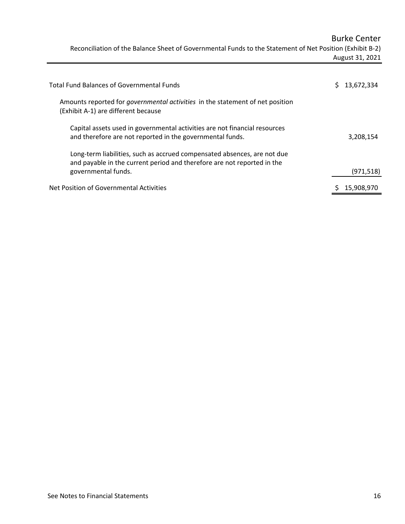Burke Center

| Reconciliation of the Balance Sheet of Governmental Funds to the Statement of Net Position (Exhibit B-2) |
|----------------------------------------------------------------------------------------------------------|
| August 31, 2021                                                                                          |

| <b>Total Fund Balances of Governmental Funds</b>                                                                                                                           | 13,672,334 |
|----------------------------------------------------------------------------------------------------------------------------------------------------------------------------|------------|
| Amounts reported for <i>governmental activities</i> in the statement of net position<br>(Exhibit A-1) are different because                                                |            |
| Capital assets used in governmental activities are not financial resources<br>and therefore are not reported in the governmental funds.                                    | 3,208,154  |
| Long-term liabilities, such as accrued compensated absences, are not due<br>and payable in the current period and therefore are not reported in the<br>governmental funds. | (971, 518) |
| Net Position of Governmental Activities                                                                                                                                    | 15,908,970 |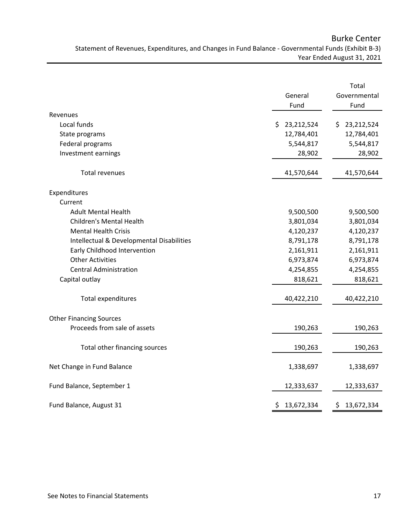# Burke Center Statement of Revenues, Expenditures, and Changes in Fund Balance ‐ Governmental Funds (Exhibit B‐3) Year Ended August 31, 2021

|                                           | General<br>Fund  | Total<br>Governmental<br>Fund |
|-------------------------------------------|------------------|-------------------------------|
| Revenues                                  |                  |                               |
| Local funds                               | 23,212,524<br>S. | 23,212,524<br>\$.             |
| State programs                            | 12,784,401       | 12,784,401                    |
| Federal programs                          | 5,544,817        | 5,544,817                     |
| Investment earnings                       | 28,902           | 28,902                        |
| <b>Total revenues</b>                     | 41,570,644       | 41,570,644                    |
| Expenditures                              |                  |                               |
| Current                                   |                  |                               |
| <b>Adult Mental Health</b>                | 9,500,500        | 9,500,500                     |
| <b>Children's Mental Health</b>           | 3,801,034        | 3,801,034                     |
| <b>Mental Health Crisis</b>               | 4,120,237        | 4,120,237                     |
| Intellectual & Developmental Disabilities | 8,791,178        | 8,791,178                     |
| Early Childhood Intervention              | 2,161,911        | 2,161,911                     |
| <b>Other Activities</b>                   | 6,973,874        | 6,973,874                     |
| <b>Central Administration</b>             | 4,254,855        | 4,254,855                     |
| Capital outlay                            | 818,621          | 818,621                       |
| <b>Total expenditures</b>                 | 40,422,210       | 40,422,210                    |
| <b>Other Financing Sources</b>            |                  |                               |
| Proceeds from sale of assets              | 190,263          | 190,263                       |
| Total other financing sources             | 190,263          | 190,263                       |
| Net Change in Fund Balance                | 1,338,697        | 1,338,697                     |
| Fund Balance, September 1                 | 12,333,637       | 12,333,637                    |
| Fund Balance, August 31                   | 13,672,334<br>\$ | 13,672,334<br>Ş               |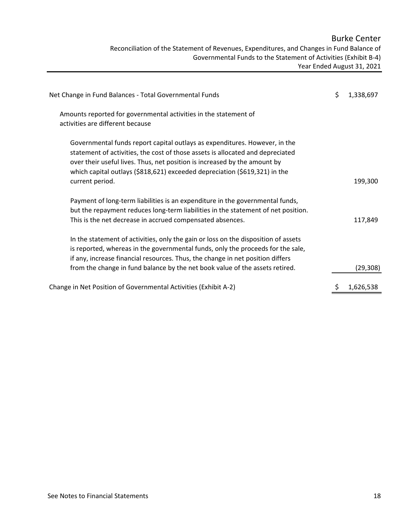Burke Center Reconciliation of the Statement of Revenues, Expenditures, and Changes in Fund Balance of Governmental Funds to the Statement of Activities (Exhibit B‐4) Year Ended August 31, 2021

| Net Change in Fund Balances - Total Governmental Funds                                                                                                                                                                                                                                                                  | S | 1,338,697 |
|-------------------------------------------------------------------------------------------------------------------------------------------------------------------------------------------------------------------------------------------------------------------------------------------------------------------------|---|-----------|
| Amounts reported for governmental activities in the statement of<br>activities are different because                                                                                                                                                                                                                    |   |           |
| Governmental funds report capital outlays as expenditures. However, in the<br>statement of activities, the cost of those assets is allocated and depreciated<br>over their useful lives. Thus, net position is increased by the amount by<br>which capital outlays (\$818,621) exceeded depreciation (\$619,321) in the |   |           |
| current period.                                                                                                                                                                                                                                                                                                         |   | 199,300   |
| Payment of long-term liabilities is an expenditure in the governmental funds,<br>but the repayment reduces long-term liabilities in the statement of net position.                                                                                                                                                      |   |           |
| This is the net decrease in accrued compensated absences.                                                                                                                                                                                                                                                               |   | 117,849   |
| In the statement of activities, only the gain or loss on the disposition of assets<br>is reported, whereas in the governmental funds, only the proceeds for the sale,<br>if any, increase financial resources. Thus, the change in net position differs                                                                 |   |           |
| from the change in fund balance by the net book value of the assets retired.                                                                                                                                                                                                                                            |   | (29, 308) |
| Change in Net Position of Governmental Activities (Exhibit A-2)                                                                                                                                                                                                                                                         |   | 1,626,538 |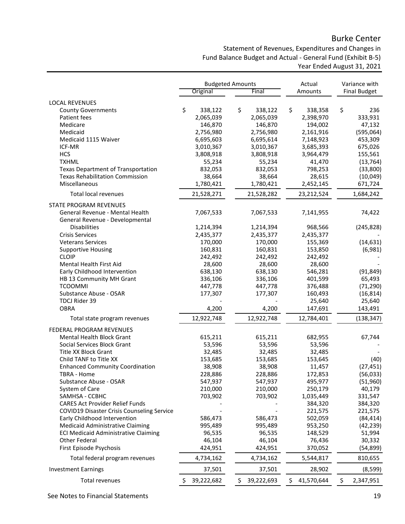# Burke Center

# Statement of Revenues, Expenditures and Changes in Fund Balance Budget and Actual ‐ General Fund (Exhibit B‐5) Year Ended August 31, 2021

|                                                   |                  | <b>Budgeted Amounts</b> | Actual       | Variance with       |
|---------------------------------------------------|------------------|-------------------------|--------------|---------------------|
|                                                   | Original         | Final                   | Amounts      | <b>Final Budget</b> |
|                                                   |                  |                         |              |                     |
| <b>LOCAL REVENUES</b>                             |                  |                         | 338,358      |                     |
| <b>County Governments</b>                         | \$<br>338,122    | \$<br>338,122           | \$           | \$<br>236           |
| Patient fees                                      | 2,065,039        | 2,065,039               | 2,398,970    | 333,931             |
| Medicare                                          | 146,870          | 146,870                 | 194,002      | 47,132              |
| Medicaid                                          | 2,756,980        | 2,756,980               | 2,161,916    | (595,064)           |
| Medicaid 1115 Waiver                              | 6,695,603        | 6,695,614               | 7,148,923    | 453,309             |
| ICF-MR                                            | 3,010,367        | 3,010,367               | 3,685,393    | 675,026             |
| <b>HCS</b>                                        | 3,808,918        | 3,808,918               | 3,964,479    | 155,561             |
| <b>TXHML</b>                                      | 55,234           | 55,234                  | 41,470       | (13, 764)           |
| <b>Texas Department of Transportation</b>         | 832,053          | 832,053                 | 798,253      | (33,800)            |
| <b>Texas Rehabilitation Commission</b>            | 38,664           | 38,664                  | 28,615       | (10, 049)           |
| Miscellaneous                                     | 1,780,421        | 1,780,421               | 2,452,145    | 671,724             |
| <b>Total local revenues</b>                       | 21,528,271       | 21,528,282              | 23,212,524   | 1,684,242           |
| STATE PROGRAM REVENUES                            |                  |                         |              |                     |
| <b>General Revenue - Mental Health</b>            | 7,067,533        | 7,067,533               | 7,141,955    | 74,422              |
| General Revenue - Developmental                   |                  |                         |              |                     |
| <b>Disabilities</b>                               | 1,214,394        | 1,214,394               | 968,566      | (245, 828)          |
| <b>Crisis Services</b>                            | 2,435,377        | 2,435,377               | 2,435,377    |                     |
| <b>Veterans Services</b>                          | 170,000          | 170,000                 | 155,369      | (14, 631)           |
| <b>Supportive Housing</b>                         | 160,831          | 160,831                 | 153,850      | (6,981)             |
| <b>CLOIP</b>                                      | 242,492          | 242,492                 | 242,492      |                     |
| Mental Health First Aid                           | 28,600           | 28,600                  | 28,600       |                     |
|                                                   |                  |                         |              |                     |
| Early Childhood Intervention                      | 638,130          | 638,130                 | 546,281      | (91, 849)           |
| HB 13 Community MH Grant                          | 336,106          | 336,106                 | 401,599      | 65,493              |
| <b>TCOOMMI</b>                                    | 447,778          | 447,778                 | 376,488      | (71, 290)           |
| Substance Abuse - OSAR                            | 177,307          | 177,307                 | 160,493      | (16, 814)           |
| TDCJ Rider 39                                     |                  |                         | 25,640       | 25,640              |
| <b>OBRA</b>                                       | 4,200            | 4,200                   | 147,691      | 143,491             |
| Total state program revenues                      | 12,922,748       | 12,922,748              | 12,784,401   | (138, 347)          |
| <b>FEDERAL PROGRAM REVENUES</b>                   |                  |                         |              |                     |
| Mental Health Block Grant                         | 615,211          | 615,211                 | 682,955      | 67,744              |
| Social Services Block Grant                       | 53,596           | 53,596                  | 53,596       |                     |
| <b>Title XX Block Grant</b>                       | 32,485           | 32,485                  | 32,485       |                     |
| Child TANF to Title XX                            | 153,685          | 153,685                 | 153,645      | (40)                |
| <b>Enhanced Community Coordination</b>            | 38,908           | 38,908                  | 11,457       | (27, 451)           |
| TBRA - Home                                       | 228,886          | 228,886                 | 172,853      | (56, 033)           |
| Substance Abuse - OSAR                            | 547,937          | 547,937                 | 495,977      | (51,960)            |
| System of Care                                    | 210,000          | 210,000                 | 250,179      | 40,179              |
| SAMHSA - CCBHC                                    | 703,902          | 703,902                 | 1,035,449    | 331,547             |
| <b>CARES Act Provider Relief Funds</b>            |                  |                         | 384,320      | 384,320             |
| <b>COVID19 Disaster Crisis Counseling Service</b> |                  |                         | 221,575      | 221,575             |
| Early Childhood Intervention                      | 586,473          | 586,473                 | 502,059      | (84, 414)           |
| Medicaid Administrative Claiming                  | 995,489          | 995,489                 | 953,250      | (42, 239)           |
|                                                   |                  |                         | 148,529      |                     |
| <b>ECI Medicaid Administrative Claiming</b>       | 96,535           | 96,535                  |              | 51,994              |
| <b>Other Federal</b>                              | 46,104           | 46,104                  | 76,436       | 30,332              |
| First Episode Psychosis                           | 424,951          | 424,951                 | 370,052      | (54, 899)           |
| Total federal program revenues                    | 4,734,162        | 4,734,162               | 5,544,817    | 810,655             |
| <b>Investment Earnings</b>                        | 37,501           | 37,501                  | 28,902       | (8, 599)            |
| Total revenues                                    | 39,222,682<br>S. | 39,222,693<br>\$        | \$41,570,644 | 2,347,951<br>\$     |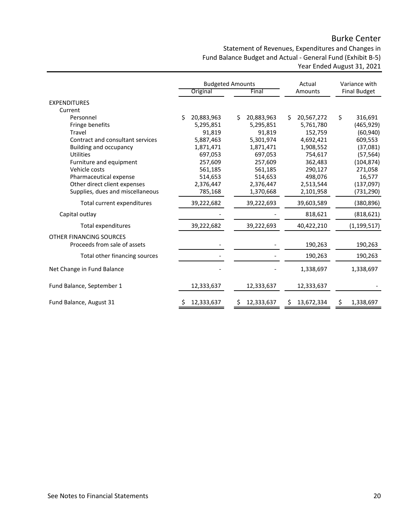# Burke Center

# Statement of Revenues, Expenditures and Changes in Fund Balance Budget and Actual ‐ General Fund (Exhibit B‐5) Year Ended August 31, 2021

|                                  | <b>Budgeted Amounts</b> |                  | Actual           | Variance with       |  |
|----------------------------------|-------------------------|------------------|------------------|---------------------|--|
|                                  | Original                | Final            | Amounts          | <b>Final Budget</b> |  |
| <b>EXPENDITURES</b>              |                         |                  |                  |                     |  |
| Current                          |                         |                  |                  |                     |  |
| Personnel                        | 20,883,963<br>Ś         | 20,883,963<br>S. | 20,567,272<br>S. | \$<br>316,691       |  |
| Fringe benefits                  | 5,295,851               | 5,295,851        | 5,761,780        | (465, 929)          |  |
| Travel                           | 91,819                  | 91,819           | 152,759          | (60, 940)           |  |
| Contract and consultant services | 5,887,463               | 5,301,974        | 4,692,421        | 609,553             |  |
| Building and occupancy           | 1,871,471               | 1,871,471        | 1,908,552        | (37,081)            |  |
| <b>Utilities</b>                 | 697,053                 | 697,053          | 754,617          | (57, 564)           |  |
| Furniture and equipment          | 257,609                 | 257,609          | 362,483          | (104, 874)          |  |
| Vehicle costs                    | 561,185                 | 561,185          | 290,127          | 271,058             |  |
| Pharmaceutical expense           | 514,653                 | 514,653          | 498,076          | 16,577              |  |
| Other direct client expenses     | 2,376,447               | 2,376,447        | 2,513,544        | (137,097)           |  |
| Supplies, dues and miscellaneous | 785,168                 | 1,370,668        | 2,101,958        | (731, 290)          |  |
| Total current expenditures       | 39,222,682              | 39,222,693       | 39,603,589       | (380, 896)          |  |
| Capital outlay                   |                         |                  | 818,621          | (818, 621)          |  |
| Total expenditures               | 39,222,682              | 39,222,693       | 40,422,210       | (1, 199, 517)       |  |
| OTHER FINANCING SOURCES          |                         |                  |                  |                     |  |
| Proceeds from sale of assets     |                         |                  | 190,263          | 190,263             |  |
| Total other financing sources    |                         |                  | 190,263          | 190,263             |  |
| Net Change in Fund Balance       |                         |                  | 1,338,697        | 1,338,697           |  |
| Fund Balance, September 1        | 12,333,637              | 12,333,637       | 12,333,637       |                     |  |
| Fund Balance, August 31          | 12,333,637              | 12,333,637<br>S  | 13,672,334<br>Ş  | 1,338,697           |  |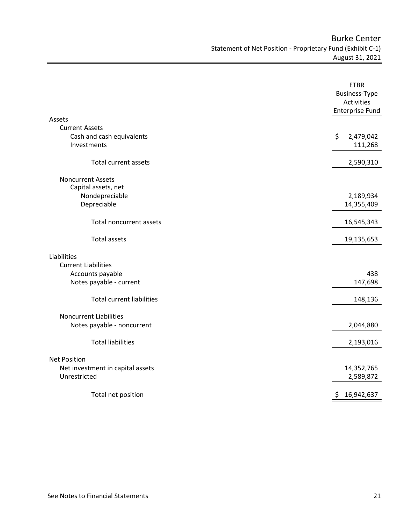|                                  | <b>ETBR</b><br><b>Business-Type</b><br>Activities<br><b>Enterprise Fund</b> |
|----------------------------------|-----------------------------------------------------------------------------|
| Assets                           |                                                                             |
| <b>Current Assets</b>            |                                                                             |
| Cash and cash equivalents        | \$<br>2,479,042                                                             |
| Investments                      | 111,268                                                                     |
| <b>Total current assets</b>      | 2,590,310                                                                   |
| <b>Noncurrent Assets</b>         |                                                                             |
| Capital assets, net              |                                                                             |
| Nondepreciable                   | 2,189,934                                                                   |
| Depreciable                      | 14,355,409                                                                  |
| <b>Total noncurrent assets</b>   | 16,545,343                                                                  |
| <b>Total assets</b>              | 19,135,653                                                                  |
| Liabilities                      |                                                                             |
| <b>Current Liabilities</b>       |                                                                             |
| Accounts payable                 | 438                                                                         |
| Notes payable - current          | 147,698                                                                     |
| <b>Total current liabilities</b> | 148,136                                                                     |
| <b>Noncurrent Liabilities</b>    |                                                                             |
| Notes payable - noncurrent       | 2,044,880                                                                   |
| <b>Total liabilities</b>         | 2,193,016                                                                   |
| <b>Net Position</b>              |                                                                             |
| Net investment in capital assets | 14,352,765                                                                  |
| Unrestricted                     | 2,589,872                                                                   |
| Total net position               | \$.<br>16,942,637                                                           |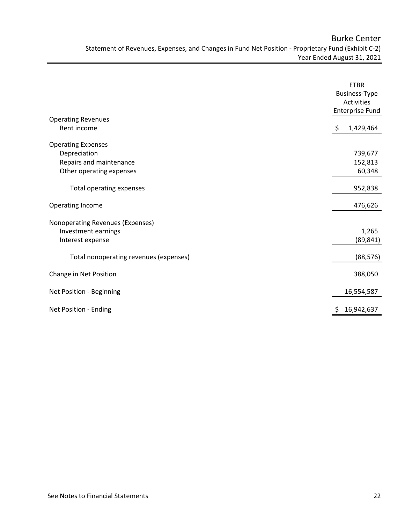|                                                                             |     | <b>ETBR</b><br><b>Business-Type</b><br><b>Activities</b><br><b>Enterprise Fund</b> |
|-----------------------------------------------------------------------------|-----|------------------------------------------------------------------------------------|
| <b>Operating Revenues</b><br>Rent income                                    | \$. | 1,429,464                                                                          |
|                                                                             |     |                                                                                    |
| <b>Operating Expenses</b>                                                   |     |                                                                                    |
| Depreciation                                                                |     | 739,677                                                                            |
| Repairs and maintenance                                                     |     | 152,813                                                                            |
| Other operating expenses                                                    |     | 60,348                                                                             |
| Total operating expenses                                                    |     | 952,838                                                                            |
| <b>Operating Income</b>                                                     |     | 476,626                                                                            |
| Nonoperating Revenues (Expenses)<br>Investment earnings<br>Interest expense |     | 1,265<br>(89, 841)                                                                 |
| Total nonoperating revenues (expenses)                                      |     | (88, 576)                                                                          |
| Change in Net Position                                                      |     | 388,050                                                                            |
| Net Position - Beginning                                                    |     | 16,554,587                                                                         |
| Net Position - Ending                                                       | \$  | 16,942,637                                                                         |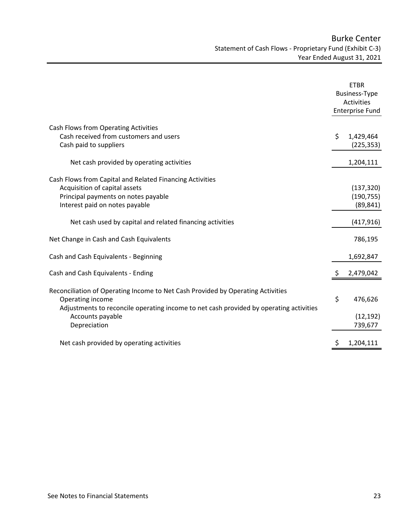|                                                                                                                                                                                                                                   | <b>ETBR</b><br><b>Business-Type</b><br><b>Activities</b><br><b>Enterprise Fund</b> |
|-----------------------------------------------------------------------------------------------------------------------------------------------------------------------------------------------------------------------------------|------------------------------------------------------------------------------------|
| <b>Cash Flows from Operating Activities</b><br>Cash received from customers and users<br>Cash paid to suppliers                                                                                                                   | \$<br>1,429,464<br>(225, 353)                                                      |
| Net cash provided by operating activities                                                                                                                                                                                         | 1,204,111                                                                          |
| Cash Flows from Capital and Related Financing Activities<br>Acquisition of capital assets<br>Principal payments on notes payable<br>Interest paid on notes payable                                                                | (137, 320)<br>(190, 755)<br>(89, 841)                                              |
| Net cash used by capital and related financing activities                                                                                                                                                                         | (417, 916)                                                                         |
| Net Change in Cash and Cash Equivalents                                                                                                                                                                                           | 786,195                                                                            |
| Cash and Cash Equivalents - Beginning                                                                                                                                                                                             | 1,692,847                                                                          |
| Cash and Cash Equivalents - Ending                                                                                                                                                                                                | 2,479,042                                                                          |
| Reconciliation of Operating Income to Net Cash Provided by Operating Activities<br>Operating income<br>Adjustments to reconcile operating income to net cash provided by operating activities<br>Accounts payable<br>Depreciation | \$<br>476,626<br>(12, 192)<br>739,677                                              |
| Net cash provided by operating activities                                                                                                                                                                                         | 1,204,111                                                                          |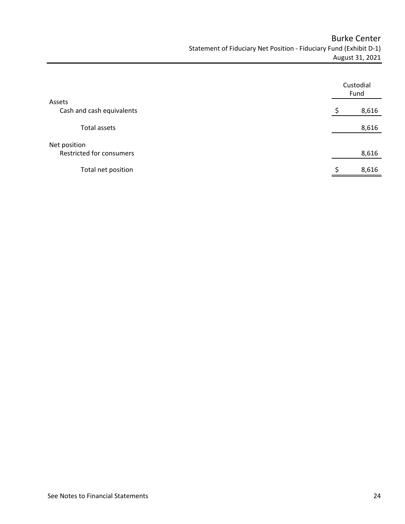|                                                 | Custodial<br>Fund |  |
|-------------------------------------------------|-------------------|--|
| Assets<br>Cash and cash equivalents             | \$<br>8,616       |  |
| Total assets                                    | 8,616             |  |
| Net position<br><b>Restricted for consumers</b> | 8,616             |  |
| Total net position                              | ς<br>8,616        |  |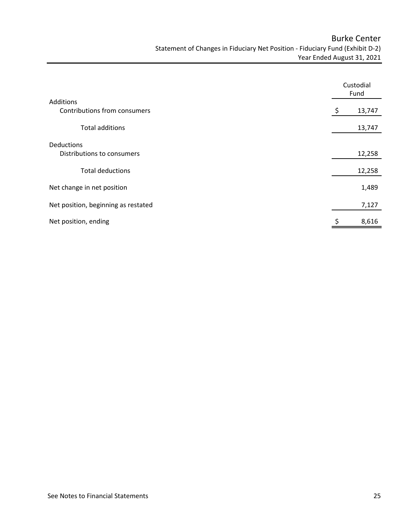|                                           | Custodial<br>Fund |        |
|-------------------------------------------|-------------------|--------|
| Additions<br>Contributions from consumers | \$                | 13,747 |
|                                           |                   |        |
| <b>Total additions</b>                    |                   | 13,747 |
| Deductions<br>Distributions to consumers  |                   | 12,258 |
| <b>Total deductions</b>                   |                   | 12,258 |
| Net change in net position                |                   | 1,489  |
| Net position, beginning as restated       |                   | 7,127  |
| Net position, ending                      | \$                | 8,616  |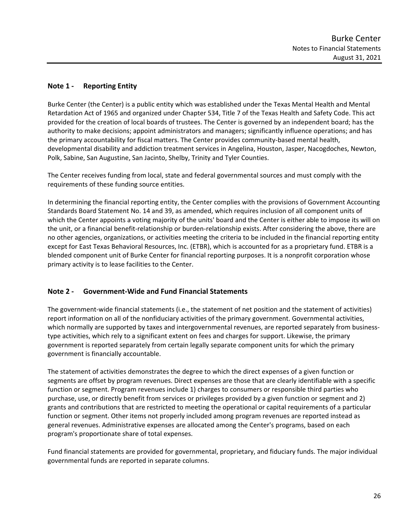# **Note 1 ‐ Reporting Entity**

Burke Center (the Center) is a public entity which was established under the Texas Mental Health and Mental Retardation Act of 1965 and organized under Chapter 534, Title 7 of the Texas Health and Safety Code. This act provided for the creation of local boards of trustees. The Center is governed by an independent board; has the authority to make decisions; appoint administrators and managers; significantly influence operations; and has the primary accountability for fiscal matters. The Center provides community‐based mental health, developmental disability and addiction treatment services in Angelina, Houston, Jasper, Nacogdoches, Newton, Polk, Sabine, San Augustine, San Jacinto, Shelby, Trinity and Tyler Counties.

The Center receives funding from local, state and federal governmental sources and must comply with the requirements of these funding source entities.

In determining the financial reporting entity, the Center complies with the provisions of Government Accounting Standards Board Statement No. 14 and 39, as amended, which requires inclusion of all component units of which the Center appoints a voting majority of the units' board and the Center is either able to impose its will on the unit, or a financial benefit‐relationship or burden‐relationship exists. After considering the above, there are no other agencies, organizations, or activities meeting the criteria to be included in the financial reporting entity except for East Texas Behavioral Resources, Inc. (ETBR), which is accounted for as a proprietary fund. ETBR is a blended component unit of Burke Center for financial reporting purposes. It is a nonprofit corporation whose primary activity is to lease facilities to the Center.

# **Note 2 ‐ Government‐Wide and Fund Financial Statements**

The government‐wide financial statements (i.e., the statement of net position and the statement of activities) report information on all of the nonfiduciary activities of the primary government. Governmental activities, which normally are supported by taxes and intergovernmental revenues, are reported separately from businesstype activities, which rely to a significant extent on fees and charges for support. Likewise, the primary government is reported separately from certain legally separate component units for which the primary government is financially accountable.

The statement of activities demonstrates the degree to which the direct expenses of a given function or segments are offset by program revenues. Direct expenses are those that are clearly identifiable with a specific function or segment. Program revenues include 1) charges to consumers or responsible third parties who purchase, use, or directly benefit from services or privileges provided by a given function or segment and 2) grants and contributions that are restricted to meeting the operational or capital requirements of a particular function or segment. Other items not properly included among program revenues are reported instead as general revenues. Administrative expenses are allocated among the Center's programs, based on each program's proportionate share of total expenses.

Fund financial statements are provided for governmental, proprietary, and fiduciary funds. The major individual governmental funds are reported in separate columns.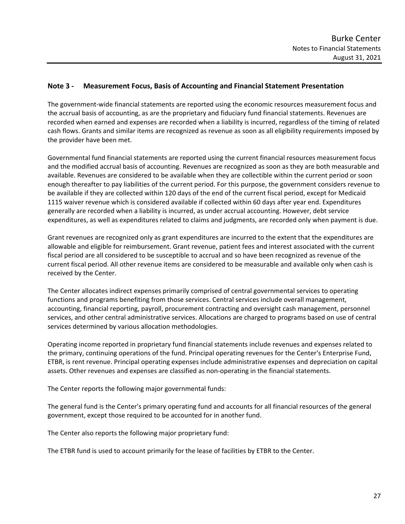# **Note 3 ‐ Measurement Focus, Basis of Accounting and Financial Statement Presentation**

The government‐wide financial statements are reported using the economic resources measurement focus and the accrual basis of accounting, as are the proprietary and fiduciary fund financial statements. Revenues are recorded when earned and expenses are recorded when a liability is incurred, regardless of the timing of related cash flows. Grants and similar items are recognized as revenue as soon as all eligibility requirements imposed by the provider have been met.

Governmental fund financial statements are reported using the current financial resources measurement focus and the modified accrual basis of accounting. Revenues are recognized as soon as they are both measurable and available. Revenues are considered to be available when they are collectible within the current period or soon enough thereafter to pay liabilities of the current period. For this purpose, the government considers revenue to be available if they are collected within 120 days of the end of the current fiscal period, except for Medicaid 1115 waiver revenue which is considered available if collected within 60 days after year end. Expenditures generally are recorded when a liability is incurred, as under accrual accounting. However, debt service expenditures, as well as expenditures related to claims and judgments, are recorded only when payment is due.

Grant revenues are recognized only as grant expenditures are incurred to the extent that the expenditures are allowable and eligible for reimbursement. Grant revenue, patient fees and interest associated with the current fiscal period are all considered to be susceptible to accrual and so have been recognized as revenue of the current fiscal period. All other revenue items are considered to be measurable and available only when cash is received by the Center.

The Center allocates indirect expenses primarily comprised of central governmental services to operating functions and programs benefiting from those services. Central services include overall management, accounting, financial reporting, payroll, procurement contracting and oversight cash management, personnel services, and other central administrative services. Allocations are charged to programs based on use of central services determined by various allocation methodologies.

Operating income reported in proprietary fund financial statements include revenues and expenses related to the primary, continuing operations of the fund. Principal operating revenues for the Center's Enterprise Fund, ETBR, is rent revenue. Principal operating expenses include administrative expenses and depreciation on capital assets. Other revenues and expenses are classified as non‐operating in the financial statements.

The Center reports the following major governmental funds:

The general fund is the Center's primary operating fund and accounts for all financial resources of the general government, except those required to be accounted for in another fund.

The Center also reports the following major proprietary fund:

The ETBR fund is used to account primarily for the lease of facilities by ETBR to the Center.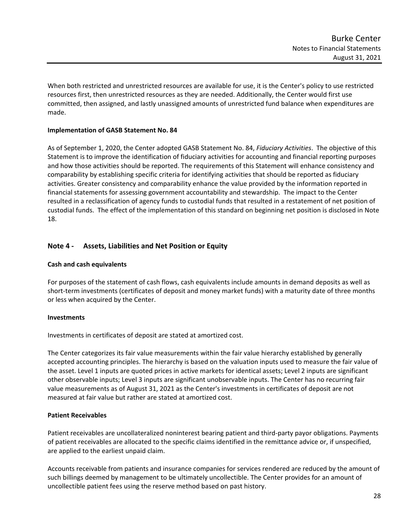When both restricted and unrestricted resources are available for use, it is the Center's policy to use restricted resources first, then unrestricted resources as they are needed. Additionally, the Center would first use committed, then assigned, and lastly unassigned amounts of unrestricted fund balance when expenditures are made.

### **Implementation of GASB Statement No. 84**

As of September 1, 2020, the Center adopted GASB Statement No. 84, *Fiduciary Activities*. The objective of this Statement is to improve the identification of fiduciary activities for accounting and financial reporting purposes and how those activities should be reported. The requirements of this Statement will enhance consistency and comparability by establishing specific criteria for identifying activities that should be reported as fiduciary activities. Greater consistency and comparability enhance the value provided by the information reported in financial statements for assessing government accountability and stewardship. The impact to the Center resulted in a reclassification of agency funds to custodial funds that resulted in a restatement of net position of custodial funds. The effect of the implementation of this standard on beginning net position is disclosed in Note 18.

# **Note 4 ‐ Assets, Liabilities and Net Position or Equity**

# **Cash and cash equivalents**

For purposes of the statement of cash flows, cash equivalents include amounts in demand deposits as well as short-term investments (certificates of deposit and money market funds) with a maturity date of three months or less when acquired by the Center.

### **Investments**

Investments in certificates of deposit are stated at amortized cost.

The Center categorizes its fair value measurements within the fair value hierarchy established by generally accepted accounting principles. The hierarchy is based on the valuation inputs used to measure the fair value of the asset. Level 1 inputs are quoted prices in active markets for identical assets; Level 2 inputs are significant other observable inputs; Level 3 inputs are significant unobservable inputs. The Center has no recurring fair value measurements as of August 31, 2021 as the Center's investments in certificates of deposit are not measured at fair value but rather are stated at amortized cost.

# **Patient Receivables**

Patient receivables are uncollateralized noninterest bearing patient and third‐party payor obligations. Payments of patient receivables are allocated to the specific claims identified in the remittance advice or, if unspecified, are applied to the earliest unpaid claim.

Accounts receivable from patients and insurance companies for services rendered are reduced by the amount of such billings deemed by management to be ultimately uncollectible. The Center provides for an amount of uncollectible patient fees using the reserve method based on past history.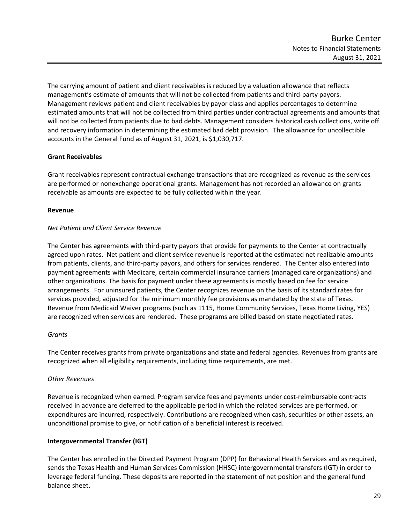The carrying amount of patient and client receivables is reduced by a valuation allowance that reflects management's estimate of amounts that will not be collected from patients and third-party payors. Management reviews patient and client receivables by payor class and applies percentages to determine estimated amounts that will not be collected from third parties under contractual agreements and amounts that will not be collected from patients due to bad debts. Management considers historical cash collections, write off and recovery information in determining the estimated bad debt provision. The allowance for uncollectible accounts in the General Fund as of August 31, 2021, is \$1,030,717.

# **Grant Receivables**

Grant receivables represent contractual exchange transactions that are recognized as revenue as the services are performed or nonexchange operational grants. Management has not recorded an allowance on grants receivable as amounts are expected to be fully collected within the year.

### **Revenue**

### *Net Patient and Client Service Revenue*

The Center has agreements with third‐party payors that provide for payments to the Center at contractually agreed upon rates. Net patient and client service revenue is reported at the estimated net realizable amounts from patients, clients, and third‐party payors, and others for services rendered. The Center also entered into payment agreements with Medicare, certain commercial insurance carriers (managed care organizations) and other organizations. The basis for payment under these agreements is mostly based on fee for service arrangements. For uninsured patients, the Center recognizes revenue on the basis of its standard rates for services provided, adjusted for the minimum monthly fee provisions as mandated by the state of Texas. Revenue from Medicaid Waiver programs (such as 1115, Home Community Services, Texas Home Living, YES) are recognized when services are rendered. These programs are billed based on state negotiated rates.

### *Grants*

The Center receives grants from private organizations and state and federal agencies. Revenues from grants are recognized when all eligibility requirements, including time requirements, are met.

### *Other Revenues*

Revenue is recognized when earned. Program service fees and payments under cost-reimbursable contracts received in advance are deferred to the applicable period in which the related services are performed, or expenditures are incurred, respectively. Contributions are recognized when cash, securities or other assets, an unconditional promise to give, or notification of a beneficial interest is received.

### **Intergovernmental Transfer (IGT)**

The Center has enrolled in the Directed Payment Program (DPP) for Behavioral Health Services and as required, sends the Texas Health and Human Services Commission (HHSC) intergovernmental transfers (IGT) in order to leverage federal funding. These deposits are reported in the statement of net position and the general fund balance sheet.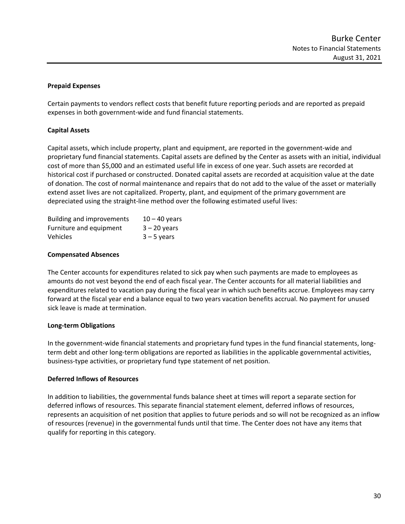### **Prepaid Expenses**

Certain payments to vendors reflect costs that benefit future reporting periods and are reported as prepaid expenses in both government‐wide and fund financial statements.

# **Capital Assets**

Capital assets, which include property, plant and equipment, are reported in the government‐wide and proprietary fund financial statements. Capital assets are defined by the Center as assets with an initial, individual cost of more than \$5,000 and an estimated useful life in excess of one year. Such assets are recorded at historical cost if purchased or constructed. Donated capital assets are recorded at acquisition value at the date of donation. The cost of normal maintenance and repairs that do not add to the value of the asset or materially extend asset lives are not capitalized. Property, plant, and equipment of the primary government are depreciated using the straight‐line method over the following estimated useful lives:

| <b>Building and improvements</b> | $10 - 40$ years |
|----------------------------------|-----------------|
| Furniture and equipment          | $3 - 20$ years  |
| <b>Vehicles</b>                  | $3 - 5$ years   |

# **Compensated Absences**

The Center accounts for expenditures related to sick pay when such payments are made to employees as amounts do not vest beyond the end of each fiscal year. The Center accounts for all material liabilities and expenditures related to vacation pay during the fiscal year in which such benefits accrue. Employees may carry forward at the fiscal year end a balance equal to two years vacation benefits accrual. No payment for unused sick leave is made at termination.

### **Long‐term Obligations**

In the government-wide financial statements and proprietary fund types in the fund financial statements, longterm debt and other long-term obligations are reported as liabilities in the applicable governmental activities, business‐type activities, or proprietary fund type statement of net position.

### **Deferred Inflows of Resources**

In addition to liabilities, the governmental funds balance sheet at times will report a separate section for deferred inflows of resources. This separate financial statement element, deferred inflows of resources, represents an acquisition of net position that applies to future periods and so will not be recognized as an inflow of resources (revenue) in the governmental funds until that time. The Center does not have any items that qualify for reporting in this category.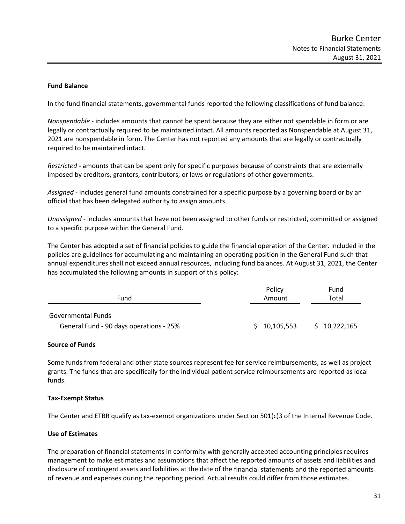### **Fund Balance**

In the fund financial statements, governmental funds reported the following classifications of fund balance:

*Nonspendable* ‐ includes amounts that cannot be spent because they are either not spendable in form or are legally or contractually required to be maintained intact. All amounts reported as Nonspendable at August 31, 2021 are nonspendable in form. The Center has not reported any amounts that are legally or contractually required to be maintained intact.

*Restricted* ‐ amounts that can be spent only for specific purposes because of constraints that are externally imposed by creditors, grantors, contributors, or laws or regulations of other governments.

*Assigned* ‐ includes general fund amounts constrained for a specific purpose by a governing board or by an official that has been delegated authority to assign amounts.

*Unassigned* ‐ includes amounts that have not been assigned to other funds or restricted, committed or assigned to a specific purpose within the General Fund.

The Center has adopted a set of financial policies to guide the financial operation of the Center. Included in the policies are guidelines for accumulating and maintaining an operating position in the General Fund such that annual expenditures shall not exceed annual resources, including fund balances. At August 31, 2021, the Center has accumulated the following amounts in support of this policy:

| Fund                                                          | Policy<br>Amount | Fund<br>Total |
|---------------------------------------------------------------|------------------|---------------|
| Governmental Funds<br>General Fund - 90 days operations - 25% | \$10,105,553     | 10,222,165    |

### **Source of Funds**

Some funds from federal and other state sources represent fee for service reimbursements, as well as project grants. The funds that are specifically for the individual patient service reimbursements are reported as local funds.

### **Tax‐Exempt Status**

The Center and ETBR qualify as tax‐exempt organizations under Section 501(c)3 of the Internal Revenue Code.

### **Use of Estimates**

The preparation of financial statements in conformity with generally accepted accounting principles requires management to make estimates and assumptions that affect the reported amounts of assets and liabilities and disclosure of contingent assets and liabilities at the date of the financial statements and the reported amounts of revenue and expenses during the reporting period. Actual results could differ from those estimates.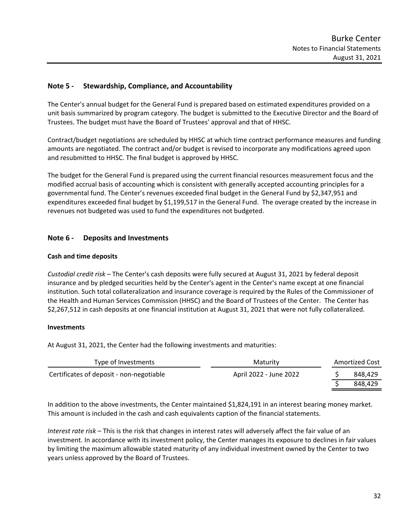# **Note 5 ‐ Stewardship, Compliance, and Accountability**

The Center's annual budget for the General Fund is prepared based on estimated expenditures provided on a unit basis summarized by program category. The budget is submitted to the Executive Director and the Board of Trustees. The budget must have the Board of Trustees' approval and that of HHSC.

Contract/budget negotiations are scheduled by HHSC at which time contract performance measures and funding amounts are negotiated. The contract and/or budget is revised to incorporate any modifications agreed upon and resubmitted to HHSC. The final budget is approved by HHSC.

The budget for the General Fund is prepared using the current financial resources measurement focus and the modified accrual basis of accounting which is consistent with generally accepted accounting principles for a governmental fund. The Center's revenues exceeded final budget in the General Fund by \$2,347,951 and expenditures exceeded final budget by \$1,199,517 in the General Fund. The overage created by the increase in revenues not budgeted was used to fund the expenditures not budgeted.

# **Note 6 ‐ Deposits and Investments**

### **Cash and time deposits**

*Custodial credit risk* – The Center's cash deposits were fully secured at August 31, 2021 by federal deposit insurance and by pledged securities held by the Center's agent in the Center's name except at one financial institution. Such total collateralization and insurance coverage is required by the Rules of the Commissioner of the Health and Human Services Commission (HHSC) and the Board of Trustees of the Center. The Center has \$2,267,512 in cash deposits at one financial institution at August 31, 2021 that were not fully collateralized.

### **Investments**

At August 31, 2021, the Center had the following investments and maturities:

| Type of Investments                      | Maturity               | Amortized Cost |  |
|------------------------------------------|------------------------|----------------|--|
| Certificates of deposit - non-negotiable | April 2022 - June 2022 | 848.429        |  |
|                                          |                        | 848.429        |  |

In addition to the above investments, the Center maintained \$1,824,191 in an interest bearing money market. This amount is included in the cash and cash equivalents caption of the financial statements.

*Interest rate risk* – This is the risk that changes in interest rates will adversely affect the fair value of an investment. In accordance with its investment policy, the Center manages its exposure to declines in fair values by limiting the maximum allowable stated maturity of any individual investment owned by the Center to two years unless approved by the Board of Trustees.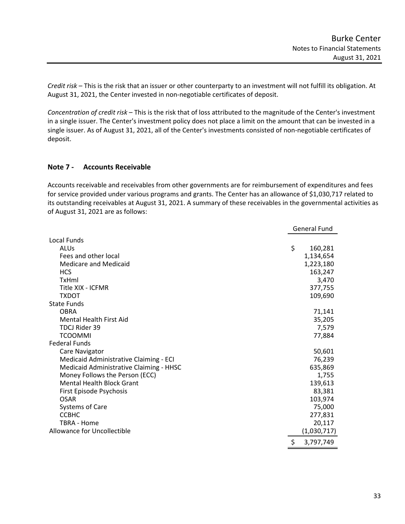*Credit risk* – This is the risk that an issuer or other counterparty to an investment will not fulfill its obligation. At August 31, 2021, the Center invested in non‐negotiable certificates of deposit.

*Concentration of credit risk* – This is the risk that of loss attributed to the magnitude of the Center's investment in a single issuer. The Center's investment policy does not place a limit on the amount that can be invested in a single issuer. As of August 31, 2021, all of the Center's investments consisted of non-negotiable certificates of deposit.

### **Note 7 ‐ Accounts Receivable**

Accounts receivable and receivables from other governments are for reimbursement of expenditures and fees for service provided under various programs and grants. The Center has an allowance of \$1,030,717 related to its outstanding receivables at August 31, 2021. A summary of these receivables in the governmental activities as of August 31, 2021 are as follows:

|                                               | <b>General Fund</b> |
|-----------------------------------------------|---------------------|
| Local Funds                                   |                     |
| <b>ALUs</b>                                   | \$<br>160,281       |
| Fees and other local                          | 1,134,654           |
| <b>Medicare and Medicaid</b>                  | 1,223,180           |
| <b>HCS</b>                                    | 163,247             |
| TxHml                                         | 3,470               |
| Title XIX - ICFMR                             | 377,755             |
| <b>TXDOT</b>                                  | 109,690             |
| <b>State Funds</b>                            |                     |
| <b>OBRA</b>                                   | 71,141              |
| <b>Mental Health First Aid</b>                | 35,205              |
| TDCJ Rider 39                                 | 7,579               |
| <b>TCOOMMI</b>                                | 77,884              |
| <b>Federal Funds</b>                          |                     |
| Care Navigator                                | 50,601              |
| <b>Medicaid Administrative Claiming - ECI</b> | 76,239              |
| Medicaid Administrative Claiming - HHSC       | 635,869             |
| Money Follows the Person (ECC)                | 1,755               |
| <b>Mental Health Block Grant</b>              | 139,613             |
| First Episode Psychosis                       | 83,381              |
| <b>OSAR</b>                                   | 103,974             |
| <b>Systems of Care</b>                        | 75,000              |
| <b>CCBHC</b>                                  | 277,831             |
| TBRA - Home                                   | 20,117              |
| Allowance for Uncollectible                   | (1,030,717)         |
|                                               | \$<br>3,797,749     |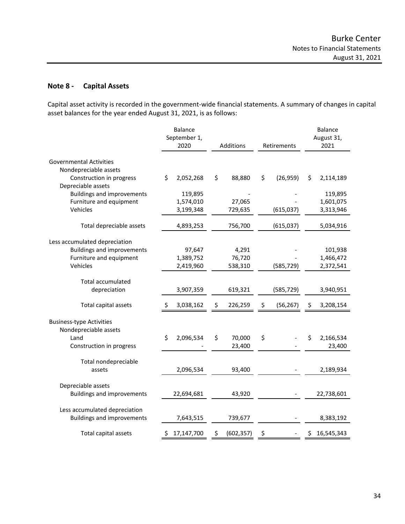## **Note 8 ‐ Capital Assets**

Capital asset activity is recorded in the government‐wide financial statements. A summary of changes in capital asset balances for the year ended August 31, 2021, is as follows:

|                                                         |     | <b>Balance</b><br>September 1,<br>2020 |     | Additions  | Retirements     | <b>Balance</b><br>August 31,<br>2021 |
|---------------------------------------------------------|-----|----------------------------------------|-----|------------|-----------------|--------------------------------------|
|                                                         |     |                                        |     |            |                 |                                      |
| <b>Governmental Activities</b>                          |     |                                        |     |            |                 |                                      |
| Nondepreciable assets                                   |     |                                        |     |            |                 |                                      |
| Construction in progress<br>Depreciable assets          | \$  | 2,052,268                              | \$  | 88,880     | \$<br>(26, 959) | \$<br>2,114,189                      |
| <b>Buildings and improvements</b>                       |     | 119,895                                |     |            |                 | 119,895                              |
| Furniture and equipment                                 |     | 1,574,010                              |     | 27,065     |                 | 1,601,075                            |
| Vehicles                                                |     | 3,199,348                              |     | 729,635    | (615, 037)      | 3,313,946                            |
| Total depreciable assets                                |     | 4,893,253                              |     | 756,700    | (615,037)       | 5,034,916                            |
| Less accumulated depreciation                           |     |                                        |     |            |                 |                                      |
| <b>Buildings and improvements</b>                       |     | 97,647                                 |     | 4,291      |                 | 101,938                              |
| Furniture and equipment                                 |     | 1,389,752                              |     | 76,720     |                 | 1,466,472                            |
| Vehicles                                                |     | 2,419,960                              |     | 538,310    | (585, 729)      | 2,372,541                            |
|                                                         |     |                                        |     |            |                 |                                      |
| <b>Total accumulated</b><br>depreciation                |     | 3,907,359                              |     | 619,321    | (585, 729)      | 3,940,951                            |
| Total capital assets                                    | \$. | 3,038,162                              | \$. | 226,259    | \$<br>(56, 267) | \$<br>3,208,154                      |
| <b>Business-type Activities</b>                         |     |                                        |     |            |                 |                                      |
| Nondepreciable assets                                   |     |                                        |     |            |                 |                                      |
| Land                                                    | \$  | 2,096,534                              | \$  | 70,000     | \$              | \$<br>2,166,534                      |
| Construction in progress                                |     |                                        |     | 23,400     |                 | 23,400                               |
| Total nondepreciable                                    |     |                                        |     |            |                 |                                      |
| assets                                                  |     | 2,096,534                              |     | 93,400     |                 | 2,189,934                            |
|                                                         |     |                                        |     |            |                 |                                      |
| Depreciable assets<br><b>Buildings and improvements</b> |     | 22,694,681                             |     | 43,920     |                 | 22,738,601                           |
|                                                         |     |                                        |     |            |                 |                                      |
| Less accumulated depreciation                           |     |                                        |     |            |                 |                                      |
| <b>Buildings and improvements</b>                       |     | 7,643,515                              |     | 739,677    |                 | 8,383,192                            |
| Total capital assets                                    | \$. | 17,147,700                             | \$  | (602, 357) | \$              | \$<br>16,545,343                     |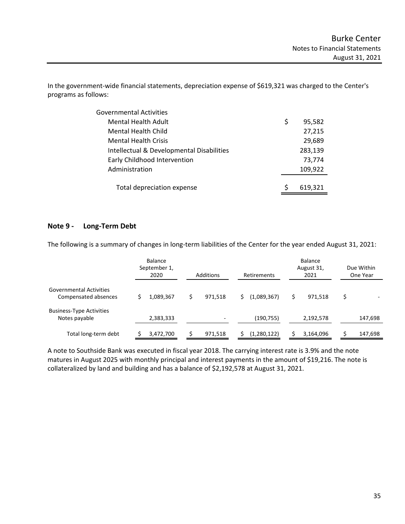In the government-wide financial statements, depreciation expense of \$619,321 was charged to the Center's programs as follows:

| <b>Governmental Activities</b>            |   |         |
|-------------------------------------------|---|---------|
| Mental Health Adult                       | S | 95,582  |
| Mental Health Child                       |   | 27,215  |
| <b>Mental Health Crisis</b>               |   | 29,689  |
| Intellectual & Developmental Disabilities |   | 283,139 |
| Early Childhood Intervention              |   | 73,774  |
| Administration                            |   | 109,922 |
|                                           |   |         |
| Total depreciation expense                |   | 619,321 |

### **Note 9 ‐ Long‐Term Debt**

|                                                        | <b>Balance</b><br>September 1,<br>2020 | Additions                | Retirements      | <b>Balance</b><br>August 31,<br>2021 | Due Within<br>One Year |
|--------------------------------------------------------|----------------------------------------|--------------------------|------------------|--------------------------------------|------------------------|
| <b>Governmental Activities</b><br>Compensated absences | 1,089,367<br>\$                        | \$<br>971,518            | (1,089,367)<br>s | 971.518                              | \$                     |
| <b>Business-Type Activities</b><br>Notes payable       | 2,383,333                              | $\overline{\phantom{0}}$ | (190,755)        | 2,192,578                            | 147,698                |
| Total long-term debt                                   | 3,472,700                              | 971,518                  | (1,280,122)      | 3,164,096                            | 147,698                |

The following is a summary of changes in long-term liabilities of the Center for the year ended August 31, 2021:

A note to Southside Bank was executed in fiscal year 2018. The carrying interest rate is 3.9% and the note matures in August 2025 with monthly principal and interest payments in the amount of \$19,216. The note is collateralized by land and building and has a balance of \$2,192,578 at August 31, 2021.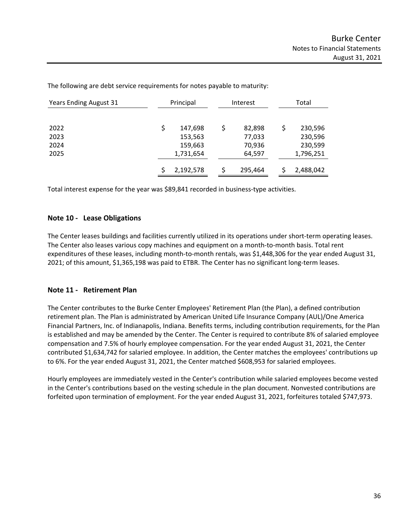| <b>Years Ending August 31</b> | Principal<br>Interest |   |         |  | Total     |
|-------------------------------|-----------------------|---|---------|--|-----------|
|                               |                       |   |         |  |           |
| 2022                          | \$<br>147,698         |   | 82,898  |  | 230,596   |
| 2023                          | 153,563               |   | 77,033  |  | 230,596   |
| 2024                          | 159,663               |   | 70,936  |  | 230,599   |
| 2025                          | 1,731,654             |   | 64,597  |  | 1,796,251 |
|                               |                       |   |         |  |           |
|                               | 2,192,578             | S | 295,464 |  | 2,488,042 |

The following are debt service requirements for notes payable to maturity:

Total interest expense for the year was \$89,841 recorded in business-type activities.

### **Note 10 ‐ Lease Obligations**

The Center leases buildings and facilities currently utilized in its operations under short‐term operating leases. The Center also leases various copy machines and equipment on a month‐to‐month basis. Total rent expenditures of these leases, including month‐to‐month rentals, was \$1,448,306 for the year ended August 31, 2021; of this amount, \$1,365,198 was paid to ETBR. The Center has no significant long‐term leases.

### **Note 11 ‐ Retirement Plan**

The Center contributes to the Burke Center Employees' Retirement Plan (the Plan), a defined contribution retirement plan. The Plan is administrated by American United Life Insurance Company (AUL)/One America Financial Partners, Inc. of Indianapolis, Indiana. Benefits terms, including contribution requirements, for the Plan is established and may be amended by the Center. The Center is required to contribute 8% of salaried employee compensation and 7.5% of hourly employee compensation. For the year ended August 31, 2021, the Center contributed \$1,634,742 for salaried employee. In addition, the Center matches the employees' contributions up to 6%. For the year ended August 31, 2021, the Center matched \$608,953 for salaried employees.

Hourly employees are immediately vested in the Center's contribution while salaried employees become vested in the Center's contributions based on the vesting schedule in the plan document. Nonvested contributions are forfeited upon termination of employment. For the year ended August 31, 2021, forfeitures totaled \$747,973.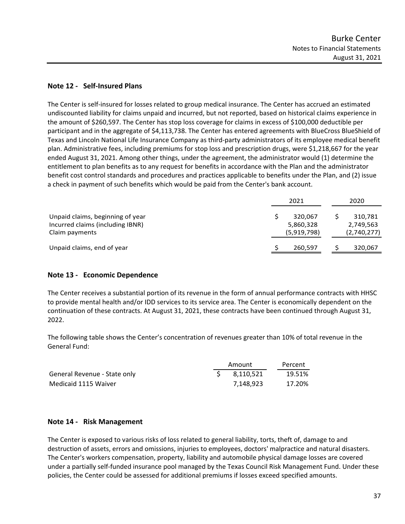## **Note 12 ‐ Self‐Insured Plans**

The Center is self‐insured for losses related to group medical insurance. The Center has accrued an estimated undiscounted liability for claims unpaid and incurred, but not reported, based on historical claims experience in the amount of \$260,597. The Center has stop loss coverage for claims in excess of \$100,000 deductible per participant and in the aggregate of \$4,113,738. The Center has entered agreements with BlueCross BlueShield of Texas and Lincoln National Life Insurance Company as third‐party administrators of its employee medical benefit plan. Administrative fees, including premiums for stop loss and prescription drugs, were \$1,218,667 for the year ended August 31, 2021. Among other things, under the agreement, the administrator would (1) determine the entitlement to plan benefits as to any request for benefits in accordance with the Plan and the administrator benefit cost control standards and procedures and practices applicable to benefits under the Plan, and (2) issue a check in payment of such benefits which would be paid from the Center's bank account.

|                                                                                        | 2021 |                                     |  | 2020                                |
|----------------------------------------------------------------------------------------|------|-------------------------------------|--|-------------------------------------|
| Unpaid claims, beginning of year<br>Incurred claims (including IBNR)<br>Claim payments |      | 320,067<br>5,860,328<br>(5,919,798) |  | 310,781<br>2,749,563<br>(2,740,277) |
| Unpaid claims, end of year                                                             |      | 260,597                             |  | 320,067                             |

### **Note 13 ‐ Economic Dependence**

The Center receives a substantial portion of its revenue in the form of annual performance contracts with HHSC to provide mental health and/or IDD services to its service area. The Center is economically dependent on the continuation of these contracts. At August 31, 2021, these contracts have been continued through August 31, 2022.

The following table shows the Center's concentration of revenues greater than 10% of total revenue in the General Fund:

|                              | Amount    | Percent |
|------------------------------|-----------|---------|
| General Revenue - State only | 8.110.521 | 19.51%  |
| Medicaid 1115 Waiver         | 7.148.923 | 17.20%  |

### **Note 14 ‐ Risk Management**

The Center is exposed to various risks of loss related to general liability, torts, theft of, damage to and destruction of assets, errors and omissions, injuries to employees, doctors' malpractice and natural disasters. The Center's workers compensation, property, liability and automobile physical damage losses are covered under a partially self-funded insurance pool managed by the Texas Council Risk Management Fund. Under these policies, the Center could be assessed for additional premiums if losses exceed specified amounts.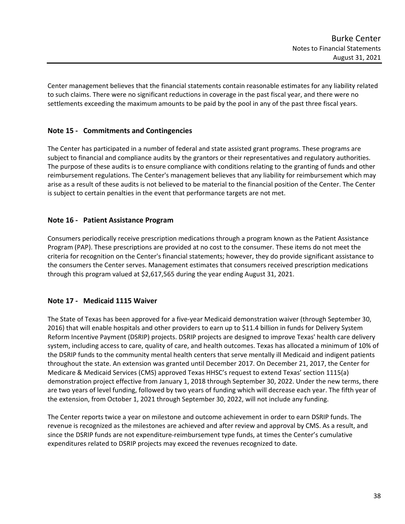Center management believes that the financial statements contain reasonable estimates for any liability related to such claims. There were no significant reductions in coverage in the past fiscal year, and there were no settlements exceeding the maximum amounts to be paid by the pool in any of the past three fiscal years.

## **Note 15 ‐ Commitments and Contingencies**

The Center has participated in a number of federal and state assisted grant programs. These programs are subject to financial and compliance audits by the grantors or their representatives and regulatory authorities. The purpose of these audits is to ensure compliance with conditions relating to the granting of funds and other reimbursement regulations. The Center's management believes that any liability for reimbursement which may arise as a result of these audits is not believed to be material to the financial position of the Center. The Center is subject to certain penalties in the event that performance targets are not met.

## **Note 16 ‐ Patient Assistance Program**

Consumers periodically receive prescription medications through a program known as the Patient Assistance Program (PAP). These prescriptions are provided at no cost to the consumer. These items do not meet the criteria for recognition on the Center's financial statements; however, they do provide significant assistance to the consumers the Center serves. Management estimates that consumers received prescription medications through this program valued at \$2,617,565 during the year ending August 31, 2021.

### **Note 17 ‐ Medicaid 1115 Waiver**

The State of Texas has been approved for a five‐year Medicaid demonstration waiver (through September 30, 2016) that will enable hospitals and other providers to earn up to \$11.4 billion in funds for Delivery System Reform Incentive Payment (DSRIP) projects. DSRIP projects are designed to improve Texas' health care delivery system, including access to care, quality of care, and health outcomes. Texas has allocated a minimum of 10% of the DSRIP funds to the community mental health centers that serve mentally ill Medicaid and indigent patients throughout the state. An extension was granted until December 2017. On December 21, 2017, the Center for Medicare & Medicaid Services (CMS) approved Texas HHSC's request to extend Texas' section 1115(a) demonstration project effective from January 1, 2018 through September 30, 2022. Under the new terms, there are two years of level funding, followed by two years of funding which will decrease each year. The fifth year of the extension, from October 1, 2021 through September 30, 2022, will not include any funding.

The Center reports twice a year on milestone and outcome achievement in order to earn DSRIP funds. The revenue is recognized as the milestones are achieved and after review and approval by CMS. As a result, and since the DSRIP funds are not expenditure‐reimbursement type funds, at times the Center's cumulative expenditures related to DSRIP projects may exceed the revenues recognized to date.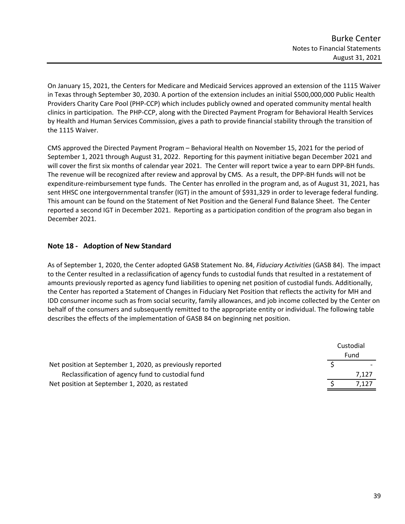On January 15, 2021, the Centers for Medicare and Medicaid Services approved an extension of the 1115 Waiver in Texas through September 30, 2030. A portion of the extension includes an initial \$500,000,000 Public Health Providers Charity Care Pool (PHP‐CCP) which includes publicly owned and operated community mental health clinics in participation. The PHP‐CCP, along with the Directed Payment Program for Behavioral Health Services by Health and Human Services Commission, gives a path to provide financial stability through the transition of the 1115 Waiver.

CMS approved the Directed Payment Program – Behavioral Health on November 15, 2021 for the period of September 1, 2021 through August 31, 2022. Reporting for this payment initiative began December 2021 and will cover the first six months of calendar year 2021. The Center will report twice a year to earn DPP-BH funds. The revenue will be recognized after review and approval by CMS. As a result, the DPP‐BH funds will not be expenditure-reimbursement type funds. The Center has enrolled in the program and, as of August 31, 2021, has sent HHSC one intergovernmental transfer (IGT) in the amount of \$931,329 in order to leverage federal funding. This amount can be found on the Statement of Net Position and the General Fund Balance Sheet. The Center reported a second IGT in December 2021. Reporting as a participation condition of the program also began in December 2021.

## **Note 18 ‐ Adoption of New Standard**

As of September 1, 2020, the Center adopted GASB Statement No. 84, *Fiduciary Activities* (GASB 84). The impact to the Center resulted in a reclassification of agency funds to custodial funds that resulted in a restatement of amounts previously reported as agency fund liabilities to opening net position of custodial funds. Additionally, the Center has reported a Statement of Changes in Fiduciary Net Position that reflects the activity for MH and IDD consumer income such as from social security, family allowances, and job income collected by the Center on behalf of the consumers and subsequently remitted to the appropriate entity or individual. The following table describes the effects of the implementation of GASB 84 on beginning net position.

|                                                           | Custodial |
|-----------------------------------------------------------|-----------|
|                                                           | Fund      |
| Net position at September 1, 2020, as previously reported |           |
| Reclassification of agency fund to custodial fund         | 7.127     |
| Net position at September 1, 2020, as restated            | 7.127     |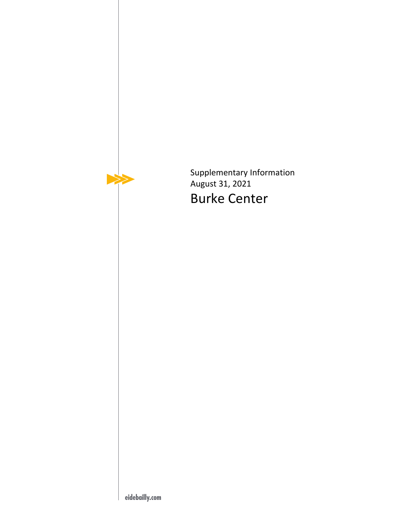

 $\gg$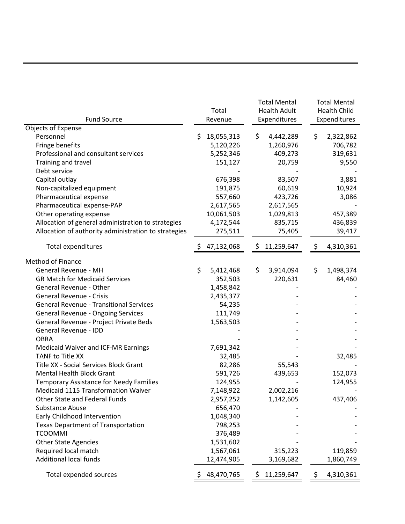| <b>Fund Source</b>                                   | Total<br>Revenue | <b>Total Mental</b><br><b>Health Adult</b><br>Expenditures | <b>Total Mental</b><br><b>Health Child</b><br>Expenditures |
|------------------------------------------------------|------------------|------------------------------------------------------------|------------------------------------------------------------|
| <b>Objects of Expense</b>                            |                  |                                                            |                                                            |
| Personnel                                            | \$<br>18,055,313 | \$<br>4,442,289                                            | \$<br>2,322,862                                            |
| Fringe benefits                                      | 5,120,226        | 1,260,976                                                  | 706,782                                                    |
| Professional and consultant services                 | 5,252,346        | 409,273                                                    | 319,631                                                    |
| Training and travel                                  | 151,127          | 20,759                                                     | 9,550                                                      |
| Debt service                                         |                  |                                                            |                                                            |
| Capital outlay                                       | 676,398          | 83,507                                                     | 3,881                                                      |
| Non-capitalized equipment                            | 191,875          | 60,619                                                     | 10,924                                                     |
| Pharmaceutical expense                               | 557,660          | 423,726                                                    | 3,086                                                      |
| Pharmaceutical expense-PAP                           | 2,617,565        | 2,617,565                                                  |                                                            |
| Other operating expense                              | 10,061,503       | 1,029,813                                                  | 457,389                                                    |
| Allocation of general administration to strategies   | 4,172,544        | 835,715                                                    | 436,839                                                    |
| Allocation of authority administration to strategies | 275,511          | 75,405                                                     | 39,417                                                     |
| Total expenditures                                   | 47,132,068       | 11,259,647<br>\$                                           | 4,310,361<br>\$.                                           |
| <b>Method of Finance</b>                             |                  |                                                            |                                                            |
| General Revenue - MH                                 | \$<br>5,412,468  | \$<br>3,914,094                                            | \$<br>1,498,374                                            |
| <b>GR Match for Medicaid Services</b>                | 352,503          | 220,631                                                    | 84,460                                                     |
| General Revenue - Other                              | 1,458,842        |                                                            |                                                            |
| <b>General Revenue - Crisis</b>                      | 2,435,377        |                                                            |                                                            |
| <b>General Revenue - Transitional Services</b>       | 54,235           |                                                            |                                                            |
| <b>General Revenue - Ongoing Services</b>            | 111,749          |                                                            |                                                            |
| General Revenue - Project Private Beds               | 1,563,503        |                                                            |                                                            |
| General Revenue - IDD                                |                  |                                                            |                                                            |
| <b>OBRA</b>                                          |                  |                                                            |                                                            |
| Medicaid Waiver and ICF-MR Earnings                  | 7,691,342        |                                                            |                                                            |
| TANF to Title XX                                     | 32,485           |                                                            | 32,485                                                     |
| Title XX - Social Services Block Grant               | 82,286           | 55,543                                                     |                                                            |
| <b>Mental Health Block Grant</b>                     | 591,726          | 439,653                                                    | 152,073                                                    |
| <b>Temporary Assistance for Needy Families</b>       | 124,955          |                                                            | 124,955                                                    |
| Medicaid 1115 Transformation Waiver                  | 7,148,922        | 2,002,216                                                  |                                                            |
| Other State and Federal Funds                        | 2,957,252        | 1,142,605                                                  | 437,406                                                    |
| <b>Substance Abuse</b>                               | 656,470          |                                                            |                                                            |
| Early Childhood Intervention                         | 1,048,340        |                                                            |                                                            |
| <b>Texas Department of Transportation</b>            | 798,253          |                                                            |                                                            |
| <b>TCOOMMI</b>                                       | 376,489          |                                                            |                                                            |
| <b>Other State Agencies</b>                          | 1,531,602        |                                                            |                                                            |
| Required local match                                 | 1,567,061        | 315,223                                                    | 119,859                                                    |
| <b>Additional local funds</b>                        | 12,474,905       | 3,169,682                                                  | 1,860,749                                                  |
| Total expended sources                               | 48,470,765       | 11,259,647<br>\$                                           | 4,310,361<br>\$.                                           |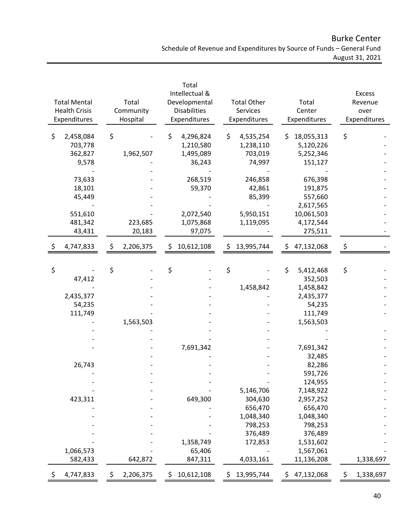Schedule of Revenue and Expenditures by Source of Funds – General Fund August 31, 2021

| <b>Total Mental</b><br><b>Health Crisis</b><br>Expenditures | Total<br>Community<br>Hospital | Total<br>Intellectual &<br>Developmental<br><b>Disabilities</b><br>Expenditures | <b>Total Other</b><br>Services<br>Expenditures    | Total<br>Center<br>Expenditures                       | <b>Excess</b><br>Revenue<br>over<br>Expenditures |
|-------------------------------------------------------------|--------------------------------|---------------------------------------------------------------------------------|---------------------------------------------------|-------------------------------------------------------|--------------------------------------------------|
| \$<br>2,458,084<br>703,778<br>362,827<br>9,578              | \$<br>1,962,507                | \$<br>4,296,824<br>1,210,580<br>1,495,089<br>36,243                             | \$<br>4,535,254<br>1,238,110<br>703,019<br>74,997 | \$<br>18,055,313<br>5,120,226<br>5,252,346<br>151,127 | \$                                               |
| 73,633<br>18,101<br>45,449                                  |                                | 268,519<br>59,370                                                               | 246,858<br>42,861<br>85,399                       | 676,398<br>191,875<br>557,660<br>2,617,565            |                                                  |
| 551,610<br>481,342<br>43,431                                | 223,685<br>20,183              | 2,072,540<br>1,075,868<br>97,075                                                | 5,950,151<br>1,119,095                            | 10,061,503<br>4,172,544<br>275,511                    |                                                  |
| \$<br>4,747,833                                             | \$<br>2,206,375                | 10,612,108<br>\$                                                                | \$<br>13,995,744                                  | \$<br>47,132,068                                      | \$                                               |
| \$<br>47,412                                                | \$                             | \$                                                                              | \$                                                | \$<br>5,412,468<br>352,503                            | \$                                               |
| 2,435,377<br>54,235                                         |                                |                                                                                 | 1,458,842                                         | 1,458,842<br>2,435,377<br>54,235                      |                                                  |
| 111,749                                                     | 1,563,503                      |                                                                                 |                                                   | 111,749<br>1,563,503                                  |                                                  |
|                                                             |                                | 7,691,342                                                                       |                                                   | 7,691,342<br>32,485                                   |                                                  |
| 26,743                                                      |                                |                                                                                 |                                                   | 82,286<br>591,726<br>124,955                          |                                                  |
| 423,311                                                     |                                | 649,300                                                                         | 5,146,706<br>304,630<br>656,470                   | 7,148,922<br>2,957,252<br>656,470                     |                                                  |
|                                                             |                                |                                                                                 | 1,048,340<br>798,253<br>376,489                   | 1,048,340<br>798,253<br>376,489                       |                                                  |
| 1,066,573<br>582,433                                        | 642,872                        | 1,358,749<br>65,406<br>847,311                                                  | 172,853<br>4,033,161                              | 1,531,602<br>1,567,061<br>11,136,208                  | 1,338,697                                        |
| 4,747,833                                                   | 2,206,375<br>\$                | 10,612,108<br>\$,                                                               | 13,995,744<br>Ş                                   | \$<br>47,132,068                                      | 1,338,697<br>\$                                  |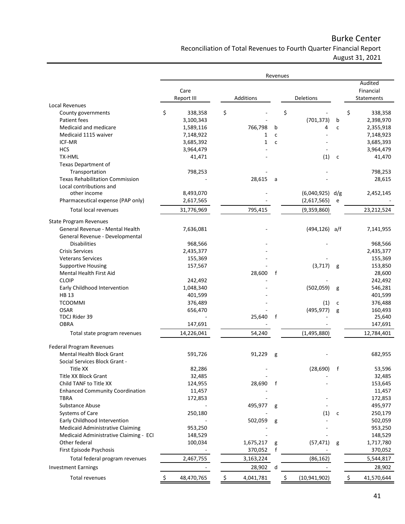## Reconciliation of Total Revenues to Fourth Quarter Financial Report August 31, 2021

|                                         | Revenues |                    |    |           |              |                      |              |     |                                    |
|-----------------------------------------|----------|--------------------|----|-----------|--------------|----------------------|--------------|-----|------------------------------------|
|                                         |          | Care<br>Report III |    | Additions |              | <b>Deletions</b>     |              |     | Audited<br>Financial<br>Statements |
| Local Revenues                          |          |                    |    |           |              |                      |              |     |                                    |
| County governments                      | \$       | 338,358            | \$ |           |              | \$                   |              | \$  | 338,358                            |
| Patient fees                            |          | 3,100,343          |    |           |              | (701, 373)           | b            |     | 2,398,970                          |
| Medicaid and medicare                   |          | 1,589,116          |    | 766,798   | b            | 4                    | c            |     | 2,355,918                          |
| Medicaid 1115 waiver                    |          | 7,148,922          |    | 1         | C            |                      |              |     | 7,148,923                          |
| ICF-MR                                  |          | 3,685,392          |    | 1         | $\mathsf{C}$ |                      |              |     | 3,685,393                          |
| <b>HCS</b>                              |          | 3,964,479          |    |           |              |                      |              |     | 3,964,479                          |
| <b>TX-HML</b>                           |          | 41,471             |    |           |              | (1)                  | $\mathsf{C}$ |     | 41,470                             |
| Texas Department of                     |          |                    |    |           |              |                      |              |     |                                    |
| Transportation                          |          | 798,253            |    |           |              |                      |              |     | 798,253                            |
| <b>Texas Rehabilitation Commission</b>  |          |                    |    | 28,615    | a            |                      |              |     | 28,615                             |
| Local contributions and                 |          |                    |    |           |              |                      |              |     |                                    |
| other income                            |          | 8,493,070          |    |           |              | $(6,040,925)$ d/g    |              |     | 2,452,145                          |
| Pharmaceutical expense (PAP only)       |          | 2,617,565          |    |           |              | (2,617,565)          | e            |     |                                    |
| <b>Total local revenues</b>             |          | 31,776,969         |    | 795,415   |              | (9,359,860)          |              |     | 23,212,524                         |
| <b>State Program Revenues</b>           |          |                    |    |           |              |                      |              |     |                                    |
| General Revenue - Mental Health         |          | 7,636,081          |    |           |              | $(494, 126)$ a/f     |              |     | 7,141,955                          |
| General Revenue - Developmental         |          |                    |    |           |              |                      |              |     |                                    |
| <b>Disabilities</b>                     |          | 968,566            |    |           |              |                      |              |     | 968,566                            |
| <b>Crisis Services</b>                  |          | 2,435,377          |    |           |              |                      |              |     | 2,435,377                          |
| <b>Veterans Services</b>                |          | 155,369            |    |           |              |                      |              |     | 155,369                            |
| <b>Supportive Housing</b>               |          | 157,567            |    |           |              | (3,717)              | g            |     | 153,850                            |
| Mental Health First Aid                 |          |                    |    | 28,600    | $\mathsf{f}$ |                      |              |     | 28,600                             |
| <b>CLOIP</b>                            |          | 242,492            |    |           |              |                      |              |     | 242,492                            |
| Early Childhood Intervention            |          | 1,048,340          |    |           |              | (502, 059)           | g            |     | 546,281                            |
| <b>HB 13</b>                            |          | 401,599            |    |           |              |                      |              |     | 401,599                            |
| <b>TCOOMMI</b>                          |          | 376,489            |    |           |              | (1)                  | c            |     | 376,488                            |
| <b>OSAR</b>                             |          | 656,470            |    |           |              | (495, 977)           | g            |     | 160,493                            |
| TDCJ Rider 39                           |          |                    |    | 25,640    | $\mathsf{f}$ |                      |              |     | 25,640                             |
| <b>OBRA</b>                             |          | 147,691            |    |           |              |                      |              |     | 147,691                            |
| Total state program revenues            |          | 14,226,041         |    | 54,240    |              | (1,495,880)          |              |     | 12,784,401                         |
| <b>Federal Program Revenues</b>         |          |                    |    |           |              |                      |              |     |                                    |
| <b>Mental Health Block Grant</b>        |          | 591,726            |    | 91,229    | g            |                      |              |     | 682,955                            |
| Social Services Block Grant -           |          |                    |    |           |              |                      |              |     |                                    |
| Title XX                                |          | 82,286             |    |           |              | (28, 690)            | $-$ f        |     | 53,596                             |
| <b>Title XX Block Grant</b>             |          | 32,485             |    |           |              |                      |              |     | 32,485                             |
| Child TANF to Title XX                  |          | 124,955            |    | 28,690    | $-f$         |                      |              |     | 153,645                            |
| <b>Enhanced Community Coordination</b>  |          | 11,457             |    |           |              |                      |              |     | 11,457                             |
| <b>TBRA</b>                             |          | 172,853            |    |           |              |                      |              |     | 172,853                            |
| Substance Abuse                         |          |                    |    | 495,977   | g            |                      |              |     | 495,977                            |
| Systems of Care                         |          | 250,180            |    |           |              | (1)                  | c            |     | 250,179                            |
| Early Childhood Intervention            |          |                    |    | 502,059   | g            |                      |              |     | 502,059                            |
| <b>Medicaid Administrative Claiming</b> |          | 953,250            |    |           |              |                      |              |     | 953,250                            |
| Medicaid Administrative Claiming - ECI  |          | 148,529            |    |           |              |                      |              |     | 148,529                            |
| Other federal                           |          | 100,034            |    | 1,675,217 | g            | (57, 471)            | g            |     | 1,717,780                          |
| First Episode Psychosis                 |          |                    |    | 370,052   | f            |                      |              |     | 370,052                            |
| Total federal program revenues          |          | 2,467,755          |    | 3,163,224 |              | (86, 162)            |              |     | 5,544,817                          |
| <b>Investment Earnings</b>              |          |                    |    | 28,902    | d            |                      |              |     | 28,902                             |
| Total revenues                          | \$       | 48,470,765         | \$ | 4,041,781 |              | \$<br>(10, 941, 902) |              | \$. | 41,570,644                         |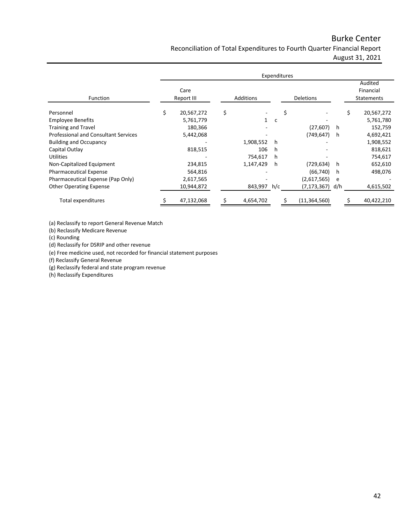Reconciliation of Total Expenditures to Fourth Quarter Financial Report August 31, 2021

|                                             |                    |            |                  |             |             | Expenditures |                     |    |                                           |            |
|---------------------------------------------|--------------------|------------|------------------|-------------|-------------|--------------|---------------------|----|-------------------------------------------|------------|
| <b>Function</b>                             | Care<br>Report III |            | <b>Additions</b> |             |             |              | <b>Deletions</b>    |    | Audited<br>Financial<br><b>Statements</b> |            |
| Personnel                                   | Ś                  | 20,567,272 | \$               |             |             | \$           |                     |    | \$                                        | 20,567,272 |
| <b>Employee Benefits</b>                    |                    | 5,761,779  |                  |             | $1 \quad c$ |              |                     |    |                                           | 5,761,780  |
| <b>Training and Travel</b>                  |                    | 180,366    |                  |             |             |              | (27,607)            | h. |                                           | 152,759    |
| <b>Professional and Consultant Services</b> |                    | 5,442,068  |                  |             |             |              | (749,647)           | h. |                                           | 4,692,421  |
| <b>Building and Occupancy</b>               |                    |            |                  | 1,908,552   | h           |              |                     |    |                                           | 1,908,552  |
| Capital Outlay                              |                    | 818,515    |                  | 106         | h           |              |                     |    |                                           | 818,621    |
| <b>Utilities</b>                            |                    |            |                  | 754,617     | h.          |              |                     |    |                                           | 754,617    |
| Non-Capitalized Equipment                   |                    | 234,815    |                  | 1,147,429   | h           |              | (729,634)           | h. |                                           | 652,610    |
| <b>Pharmaceutical Expense</b>               |                    | 564,816    |                  |             |             |              | (66, 740)           | h. |                                           | 498,076    |
| Pharmaceutical Expense (Pap Only)           |                    | 2,617,565  |                  |             |             |              | (2,617,565)         | e  |                                           |            |
| <b>Other Operating Expense</b>              |                    | 10,944,872 |                  | 843,997 h/c |             |              | $(7, 173, 367)$ d/h |    |                                           | 4,615,502  |
| Total expenditures                          |                    | 47,132,068 |                  | 4,654,702   |             |              | (11, 364, 560)      |    |                                           | 40,422,210 |

(a) Reclassify to report General Revenue Match

(b) Reclassify Medicare Revenue

(c) Rounding

(d) Reclassify for DSRIP and other revenue

(e) Free medicine used, not recorded for financial statement purposes

(f) Reclassify General Revenue

(g) Reclassify federal and state program revenue

(h) Reclassify Expenditures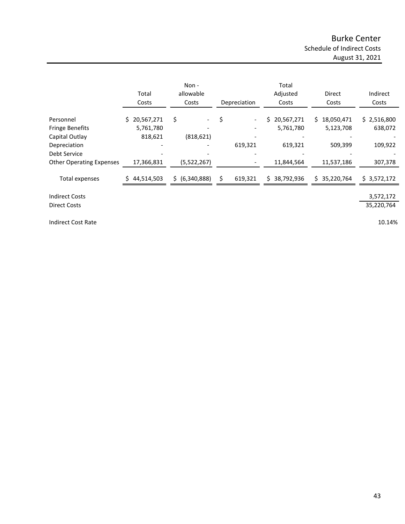Burke Center Schedule of Indirect Costs August 31, 2021

|                                 | Total<br>Costs | Non-<br>allowable<br>Costs | Depreciation | Total<br>Adjusted<br>Costs | <b>Direct</b><br>Costs | Indirect<br>Costs |
|---------------------------------|----------------|----------------------------|--------------|----------------------------|------------------------|-------------------|
| Personnel                       | \$20,567,271   | \$                         | \$           | 20,567,271<br>Ś.           | 18,050,471<br>S.       | \$2,516,800       |
| <b>Fringe Benefits</b>          | 5,761,780      |                            |              | 5,761,780                  | 5,123,708              | 638,072           |
| Capital Outlay                  | 818,621        | (818, 621)                 |              |                            |                        |                   |
| Depreciation                    |                |                            | 619,321      | 619,321                    | 509,399                | 109,922           |
| Debt Service                    |                |                            |              |                            |                        |                   |
| <b>Other Operating Expenses</b> | 17,366,831     | (5,522,267)                |              | 11,844,564                 | 11,537,186             | 307,378           |
| <b>Total expenses</b>           | 44,514,503     | \$ (6,340,888)             | 619,321      | 38,792,936<br>\$.          | 35,220,764<br>S.       | \$3,572,172       |
| <b>Indirect Costs</b>           |                |                            |              |                            |                        | 3,572,172         |
| <b>Direct Costs</b>             |                |                            |              |                            |                        | 35,220,764        |
| <b>Indirect Cost Rate</b>       |                |                            |              |                            |                        | 10.14%            |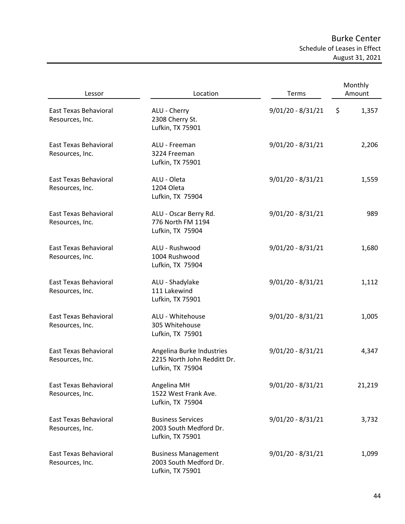| Lessor                                          | Location                                                                     | Terms               | Monthly<br>Amount |
|-------------------------------------------------|------------------------------------------------------------------------------|---------------------|-------------------|
| East Texas Behavioral<br>Resources, Inc.        | ALU - Cherry<br>2308 Cherry St.<br>Lufkin, TX 75901                          | $9/01/20 - 8/31/21$ | \$<br>1,357       |
| East Texas Behavioral<br>Resources, Inc.        | ALU - Freeman<br>3224 Freeman<br>Lufkin, TX 75901                            | $9/01/20 - 8/31/21$ | 2,206             |
| <b>East Texas Behavioral</b><br>Resources, Inc. | ALU - Oleta<br>1204 Oleta<br>Lufkin, TX 75904                                | $9/01/20 - 8/31/21$ | 1,559             |
| <b>East Texas Behavioral</b><br>Resources, Inc. | ALU - Oscar Berry Rd.<br>776 North FM 1194<br>Lufkin, TX 75904               | $9/01/20 - 8/31/21$ | 989               |
| <b>East Texas Behavioral</b><br>Resources, Inc. | ALU - Rushwood<br>1004 Rushwood<br>Lufkin, TX 75904                          | $9/01/20 - 8/31/21$ | 1,680             |
| <b>East Texas Behavioral</b><br>Resources, Inc. | ALU - Shadylake<br>111 Lakewind<br>Lufkin, TX 75901                          | $9/01/20 - 8/31/21$ | 1,112             |
| <b>East Texas Behavioral</b><br>Resources, Inc. | ALU - Whitehouse<br>305 Whitehouse<br>Lufkin, TX 75901                       | $9/01/20 - 8/31/21$ | 1,005             |
| <b>East Texas Behavioral</b><br>Resources, Inc. | Angelina Burke Industries<br>2215 North John Redditt Dr.<br>Lufkin, TX 75904 | $9/01/20 - 8/31/21$ | 4,347             |
| East Texas Behavioral<br>Resources, Inc.        | Angelina MH<br>1522 West Frank Ave.<br>Lufkin, TX 75904                      | $9/01/20 - 8/31/21$ | 21,219            |
| <b>East Texas Behavioral</b><br>Resources, Inc. | <b>Business Services</b><br>2003 South Medford Dr.<br>Lufkin, TX 75901       | $9/01/20 - 8/31/21$ | 3,732             |
| East Texas Behavioral<br>Resources, Inc.        | <b>Business Management</b><br>2003 South Medford Dr.<br>Lufkin, TX 75901     | $9/01/20 - 8/31/21$ | 1,099             |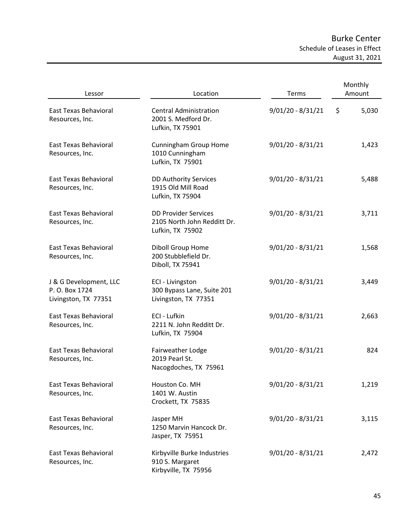| Lessor                                                           | Location                                                                       | Terms               | Monthly<br>Amount |  |
|------------------------------------------------------------------|--------------------------------------------------------------------------------|---------------------|-------------------|--|
| East Texas Behavioral<br>Resources, Inc.                         | <b>Central Administration</b><br>2001 S. Medford Dr.<br>Lufkin, TX 75901       | $9/01/20 - 8/31/21$ | \$<br>5,030       |  |
| East Texas Behavioral<br>Resources, Inc.                         | <b>Cunningham Group Home</b><br>1010 Cunningham<br>Lufkin, TX 75901            | $9/01/20 - 8/31/21$ | 1,423             |  |
| <b>East Texas Behavioral</b><br>Resources, Inc.                  | DD Authority Services<br>1915 Old Mill Road<br>Lufkin, TX 75904                | $9/01/20 - 8/31/21$ | 5,488             |  |
| <b>East Texas Behavioral</b><br>Resources, Inc.                  | <b>DD Provider Services</b><br>2105 North John Redditt Dr.<br>Lufkin, TX 75902 | $9/01/20 - 8/31/21$ | 3,711             |  |
| <b>East Texas Behavioral</b><br>Resources, Inc.                  | Diboll Group Home<br>200 Stubblefield Dr.<br>Diboll, TX 75941                  | $9/01/20 - 8/31/21$ | 1,568             |  |
| J & G Development, LLC<br>P. O. Box 1724<br>Livingston, TX 77351 | ECI - Livingston<br>300 Bypass Lane, Suite 201<br>Livingston, TX 77351         | $9/01/20 - 8/31/21$ | 3,449             |  |
| <b>East Texas Behavioral</b><br>Resources, Inc.                  | ECI - Lufkin<br>2211 N. John Redditt Dr.<br>Lufkin, TX 75904                   | $9/01/20 - 8/31/21$ | 2,663             |  |
| <b>East Texas Behavioral</b><br>Resources, Inc.                  | Fairweather Lodge<br>2019 Pearl St.<br>Nacogdoches, TX 75961                   | $9/01/20 - 8/31/21$ | 824               |  |
| <b>East Texas Behavioral</b><br>Resources, Inc.                  | Houston Co. MH<br>1401 W. Austin<br>Crockett, TX 75835                         | $9/01/20 - 8/31/21$ | 1,219             |  |
| East Texas Behavioral<br>Resources, Inc.                         | Jasper MH<br>1250 Marvin Hancock Dr.<br>Jasper, TX 75951                       | $9/01/20 - 8/31/21$ | 3,115             |  |
| East Texas Behavioral<br>Resources, Inc.                         | Kirbyville Burke Industries<br>910 S. Margaret<br>Kirbyville, TX 75956         | $9/01/20 - 8/31/21$ | 2,472             |  |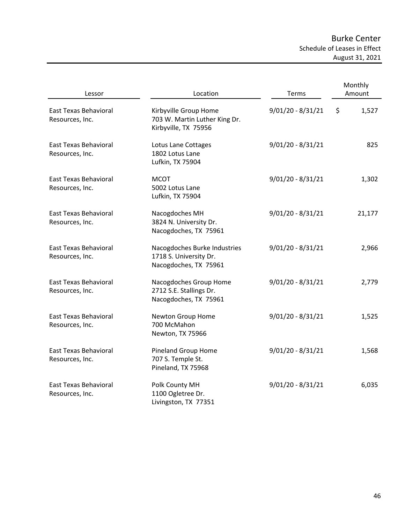| Lessor                                          | Location                                                                        | <b>Terms</b>        | Monthly<br>Amount |
|-------------------------------------------------|---------------------------------------------------------------------------------|---------------------|-------------------|
| East Texas Behavioral<br>Resources, Inc.        | Kirbyville Group Home<br>703 W. Martin Luther King Dr.<br>Kirbyville, TX 75956  | $9/01/20 - 8/31/21$ | \$<br>1,527       |
| <b>East Texas Behavioral</b><br>Resources, Inc. | Lotus Lane Cottages<br>1802 Lotus Lane<br>Lufkin, TX 75904                      | $9/01/20 - 8/31/21$ | 825               |
| <b>East Texas Behavioral</b><br>Resources, Inc. | <b>MCOT</b><br>5002 Lotus Lane<br>Lufkin, TX 75904                              | $9/01/20 - 8/31/21$ | 1,302             |
| <b>East Texas Behavioral</b><br>Resources, Inc. | Nacogdoches MH<br>3824 N. University Dr.<br>Nacogdoches, TX 75961               | $9/01/20 - 8/31/21$ | 21,177            |
| <b>East Texas Behavioral</b><br>Resources, Inc. | Nacogdoches Burke Industries<br>1718 S. University Dr.<br>Nacogdoches, TX 75961 | $9/01/20 - 8/31/21$ | 2,966             |
| <b>East Texas Behavioral</b><br>Resources, Inc. | Nacogdoches Group Home<br>2712 S.E. Stallings Dr.<br>Nacogdoches, TX 75961      | $9/01/20 - 8/31/21$ | 2,779             |
| <b>East Texas Behavioral</b><br>Resources, Inc. | Newton Group Home<br>700 McMahon<br>Newton, TX 75966                            | $9/01/20 - 8/31/21$ | 1,525             |
| <b>East Texas Behavioral</b><br>Resources, Inc. | Pineland Group Home<br>707 S. Temple St.<br>Pineland, TX 75968                  | $9/01/20 - 8/31/21$ | 1,568             |
| <b>East Texas Behavioral</b><br>Resources, Inc. | Polk County MH<br>1100 Ogletree Dr.<br>Livingston, TX 77351                     | $9/01/20 - 8/31/21$ | 6,035             |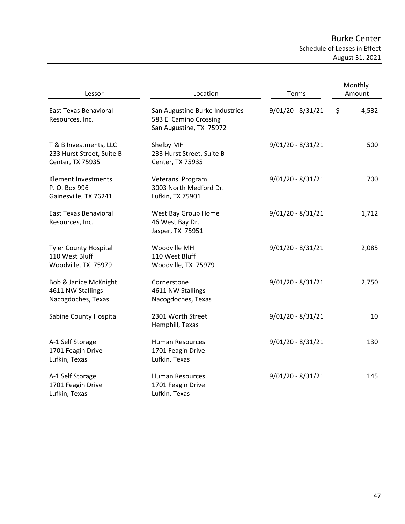| Lessor                                                                  | Location                                                                            | Terms               | Monthly<br>Amount |
|-------------------------------------------------------------------------|-------------------------------------------------------------------------------------|---------------------|-------------------|
| <b>East Texas Behavioral</b><br>Resources, Inc.                         | San Augustine Burke Industries<br>583 El Camino Crossing<br>San Augustine, TX 75972 | $9/01/20 - 8/31/21$ | \$<br>4,532       |
| T & B Investments, LLC<br>233 Hurst Street, Suite B<br>Center, TX 75935 | Shelby MH<br>233 Hurst Street, Suite B<br>Center, TX 75935                          | $9/01/20 - 8/31/21$ | 500               |
| <b>Klement Investments</b><br>P. O. Box 996<br>Gainesville, TX 76241    | Veterans' Program<br>3003 North Medford Dr.<br>Lufkin, TX 75901                     | $9/01/20 - 8/31/21$ | 700               |
| <b>East Texas Behavioral</b><br>Resources, Inc.                         | West Bay Group Home<br>46 West Bay Dr.<br>Jasper, TX 75951                          | $9/01/20 - 8/31/21$ | 1,712             |
| <b>Tyler County Hospital</b><br>110 West Bluff<br>Woodville, TX 75979   | Woodville MH<br>110 West Bluff<br>Woodville, TX 75979                               | $9/01/20 - 8/31/21$ | 2,085             |
| Bob & Janice McKnight<br>4611 NW Stallings<br>Nacogdoches, Texas        | Cornerstone<br>4611 NW Stallings<br>Nacogdoches, Texas                              | $9/01/20 - 8/31/21$ | 2,750             |
| Sabine County Hospital                                                  | 2301 Worth Street<br>Hemphill, Texas                                                | $9/01/20 - 8/31/21$ | 10                |
| A-1 Self Storage<br>1701 Feagin Drive<br>Lufkin, Texas                  | <b>Human Resources</b><br>1701 Feagin Drive<br>Lufkin, Texas                        | $9/01/20 - 8/31/21$ | 130               |
| A-1 Self Storage<br>1701 Feagin Drive<br>Lufkin, Texas                  | <b>Human Resources</b><br>1701 Feagin Drive<br>Lufkin, Texas                        | $9/01/20 - 8/31/21$ | 145               |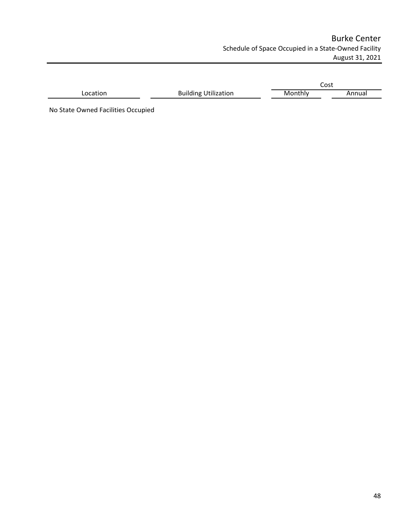|                                    |                             | Cost    |        |
|------------------------------------|-----------------------------|---------|--------|
| Location                           | <b>Building Utilization</b> | Monthly | Annual |
| No State Owned Facilities Occupied |                             |         |        |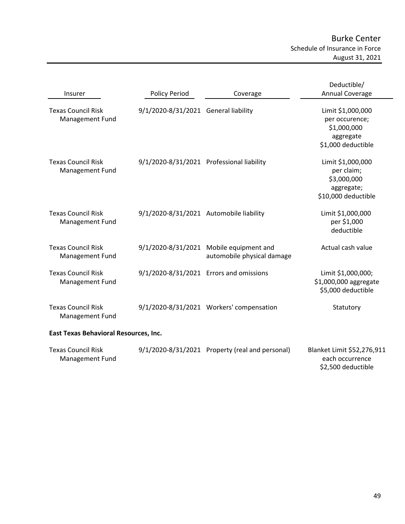## Burke Center Schedule of Insurance in Force August 31, 2021

|                                              |                                           |                                                    | Deductible/                                                                           |
|----------------------------------------------|-------------------------------------------|----------------------------------------------------|---------------------------------------------------------------------------------------|
| <b>Insurer</b>                               | <b>Policy Period</b>                      | Coverage                                           | Annual Coverage                                                                       |
| <b>Texas Council Risk</b><br>Management Fund | 9/1/2020-8/31/2021 General liability      |                                                    | Limit \$1,000,000<br>per occurence;<br>\$1,000,000<br>aggregate<br>\$1,000 deductible |
| <b>Texas Council Risk</b><br>Management Fund | 9/1/2020-8/31/2021 Professional liability |                                                    | Limit \$1,000,000<br>per claim;<br>\$3,000,000<br>aggregate;<br>\$10,000 deductible   |
| <b>Texas Council Risk</b><br>Management Fund | 9/1/2020-8/31/2021 Automobile liability   |                                                    | Limit \$1,000,000<br>per \$1,000<br>deductible                                        |
| <b>Texas Council Risk</b><br>Management Fund | 9/1/2020-8/31/2021                        | Mobile equipment and<br>automobile physical damage | Actual cash value                                                                     |
| <b>Texas Council Risk</b><br>Management Fund |                                           | 9/1/2020-8/31/2021 Errors and omissions            | Limit \$1,000,000;<br>\$1,000,000 aggregate<br>\$5,000 deductible                     |
| <b>Texas Council Risk</b><br>Management Fund |                                           | 9/1/2020-8/31/2021 Workers' compensation           | Statutory                                                                             |
| East Texas Behavioral Resources, Inc.        |                                           |                                                    |                                                                                       |
| <b>Texas Council Risk</b><br>Management Fund |                                           | 9/1/2020-8/31/2021 Property (real and personal)    | Blanket Limit \$52,276,911<br>each occurrence<br>\$2,500 deductible                   |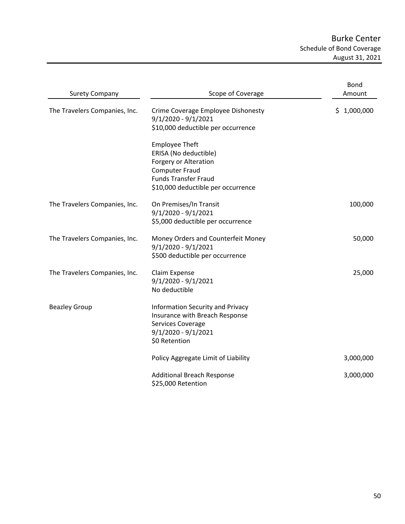## Burke Center Schedule of Bond Coverage August 31, 2021

| <b>Surety Company</b>         | Scope of Coverage                                                                                                                                              | <b>Bond</b><br>Amount |
|-------------------------------|----------------------------------------------------------------------------------------------------------------------------------------------------------------|-----------------------|
| The Travelers Companies, Inc. | Crime Coverage Employee Dishonesty<br>$9/1/2020 - 9/1/2021$<br>\$10,000 deductible per occurrence                                                              | \$1,000,000           |
|                               | <b>Employee Theft</b><br>ERISA (No deductible)<br>Forgery or Alteration<br>Computer Fraud<br><b>Funds Transfer Fraud</b><br>\$10,000 deductible per occurrence |                       |
| The Travelers Companies, Inc. | On Premises/In Transit<br>$9/1/2020 - 9/1/2021$<br>\$5,000 deductible per occurrence                                                                           | 100,000               |
| The Travelers Companies, Inc. | Money Orders and Counterfeit Money<br>$9/1/2020 - 9/1/2021$<br>\$500 deductible per occurrence                                                                 | 50,000                |
| The Travelers Companies, Inc. | Claim Expense<br>$9/1/2020 - 9/1/2021$<br>No deductible                                                                                                        | 25,000                |
| <b>Beazley Group</b>          | Information Security and Privacy<br>Insurance with Breach Response<br>Services Coverage<br>$9/1/2020 - 9/1/2021$<br>\$0 Retention                              |                       |
|                               | Policy Aggregate Limit of Liability                                                                                                                            | 3,000,000             |
|                               | <b>Additional Breach Response</b><br>\$25,000 Retention                                                                                                        | 3,000,000             |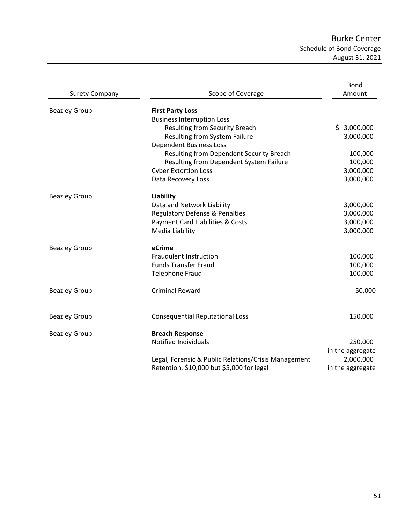## Burke Center Schedule of Bond Coverage August 31, 2021

| <b>Surety Company</b> | Scope of Coverage                                    | <b>Bond</b><br>Amount |
|-----------------------|------------------------------------------------------|-----------------------|
| <b>Beazley Group</b>  | <b>First Party Loss</b>                              |                       |
|                       | <b>Business Interruption Loss</b>                    |                       |
|                       | <b>Resulting from Security Breach</b>                | 3,000,000<br>\$       |
|                       | Resulting from System Failure                        | 3,000,000             |
|                       | <b>Dependent Business Loss</b>                       |                       |
|                       | Resulting from Dependent Security Breach             | 100,000               |
|                       | Resulting from Dependent System Failure              | 100,000               |
|                       | <b>Cyber Extortion Loss</b>                          | 3,000,000             |
|                       | Data Recovery Loss                                   | 3,000,000             |
| <b>Beazley Group</b>  | Liability                                            |                       |
|                       | Data and Network Liability                           | 3,000,000             |
|                       | Regulatory Defense & Penalties                       | 3,000,000             |
|                       | Payment Card Liabilities & Costs                     | 3,000,000             |
|                       | Media Liability                                      | 3,000,000             |
| <b>Beazley Group</b>  | eCrime                                               |                       |
|                       | <b>Fraudulent Instruction</b>                        | 100,000               |
|                       | <b>Funds Transfer Fraud</b>                          | 100,000               |
|                       | <b>Telephone Fraud</b>                               | 100,000               |
| <b>Beazley Group</b>  | <b>Criminal Reward</b>                               | 50,000                |
| <b>Beazley Group</b>  | <b>Consequential Reputational Loss</b>               | 150,000               |
| <b>Beazley Group</b>  | <b>Breach Response</b>                               |                       |
|                       | <b>Notified Individuals</b>                          | 250,000               |
|                       |                                                      | in the aggregate      |
|                       | Legal, Forensic & Public Relations/Crisis Management | 2,000,000             |
|                       | Retention: \$10,000 but \$5,000 for legal            | in the aggregate      |
|                       |                                                      |                       |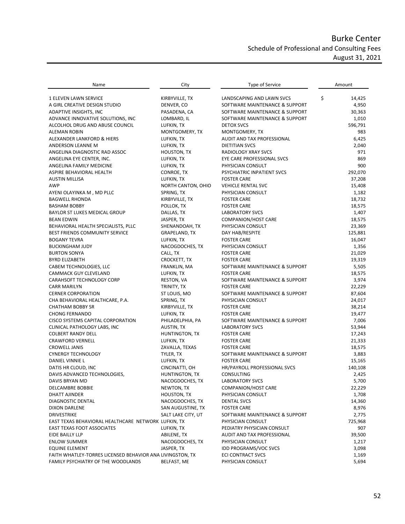Burke Center Schedule of Professional and Consulting Fees August 31, 2021

| Name                                                      | City                     | Type of Service                | Amount       |
|-----------------------------------------------------------|--------------------------|--------------------------------|--------------|
| <b>1 ELEVEN LAWN SERVICE</b>                              | KIRBYVILLE, TX           | LANDSCAPING AND LAWN SVCS      | \$<br>14,425 |
| A GIRL CREATIVE DESIGN STUDIO                             | DENVER, CO               | SOFTWARE MAINTENANCE & SUPPORT | 4,950        |
| ADAPTIVE INSIGHTS, INC                                    | PASADENA, CA             | SOFTWARE MAINTENANCE & SUPPORT | 30,363       |
| ADVANCE INNOVATIVE SOLUTIONS, INC                         | LOMBARD, IL              | SOFTWARE MAINTENANCE & SUPPORT | 1,010        |
| ALCOLHOL DRUG AND ABUSE COUNCIL                           | LUFKIN, TX               | <b>DETOX SVCS</b>              | 596,791      |
| <b>ALEMAN ROBIN</b>                                       | MONTGOMERY, TX           | MONTGOMERY, TX                 | 983          |
| ALEXANDER LANKFORD & HIERS                                | LUFKIN, TX               | AUDIT AND TAX PROFESSIONAL     | 6,425        |
| ANDERSON LEANNE M                                         | LUFKIN, TX               | <b>DIETITIAN SVCS</b>          | 2,040        |
| ANGELINA DIAGNOSTIC RAD ASSOC                             | HOUSTON, TX              | RADIOLOGY XRAY SVCS            | 971          |
| ANGELINA EYE CENTER, INC.                                 | LUFKIN, TX               | EYE CARE PROFESSIONAL SVCS     | 869          |
| ANGELINA FAMILY MEDICINE                                  | LUFKIN, TX               | PHYSICIAN CONSULT              | 900          |
| ASPIRE BEHAVIORAL HEALTH                                  | CONROE, TX               | PSYCHIATRIC INPATIENT SVCS     | 292,070      |
| <b>AUSTIN MILLISA</b>                                     | LUFKIN, TX               | <b>FOSTER CARE</b>             | 37,208       |
| <b>AWP</b>                                                | NORTH CANTON, OHIO       | <b>VEHICLE RENTAL SVC</b>      | 15,408       |
| AYENI OLAYINKA M, MD PLLC                                 | SPRING, TX               | PHYSICIAN CONSULT              | 1,182        |
| <b>BAGWELL RHONDA</b>                                     | KIRBYVILLE, TX           | <b>FOSTER CARE</b>             | 18,732       |
| <b>BASHAM BOBBY</b>                                       |                          | <b>FOSTER CARE</b>             | 18,575       |
| <b>BAYLOR ST LUKES MEDICAL GROUP</b>                      | POLLOK, TX<br>DALLAS, TX |                                |              |
|                                                           |                          | <b>LABORATORY SVCS</b>         | 1,407        |
| <b>BEAN EDWIN</b>                                         | JASPER, TX               | <b>COMPANION/HOST CARE</b>     | 18,575       |
| BEHAVIORAL HEALTH SPECIALISTS, PLLC                       | SHENANDOAH, TX           | PHYSICIAN CONSULT              | 23,369       |
| BEST FRIENDS COMMUNITY SERVICE                            | GRAPELAND, TX            | DAY HAB/RESPITE                | 125,881      |
| <b>BOGANY TEVRA</b>                                       | LUFKIN, TX               | <b>FOSTER CARE</b>             | 16,047       |
| <b>BUCKINGHAM JUDY</b>                                    | NACOGDOCHES, TX          | PHYSICIAN CONSULT              | 1,356        |
| <b>BURTON SONYA</b>                                       | CALL, TX                 | <b>FOSTER CARE</b>             | 21,029       |
| <b>BYRD ELIZABETH</b>                                     | CROCKETT, TX             | <b>FOSTER CARE</b>             | 19,319       |
| CABEM TECHNOLOGIES, LLC                                   | FRANKLIN, MA             | SOFTWARE MAINTENANCE & SUPPORT | 5,505        |
| CAMMACK GUY CLEVELAND                                     | LUFKIN, TX               | <b>FOSTER CARE</b>             | 18,575       |
| CARAHSOFT TECHNOLOGY CORP                                 | RESTON, VA               | SOFTWARE MAINTENANCE & SUPPORT | 3,974        |
| <b>CARR MARILYN</b>                                       | TRINITY, TX              | <b>FOSTER CARE</b>             | 22,229       |
| <b>CERNER CORPORATION</b>                                 | ST LOUIS, MO             | SOFTWARE MAINTENANCE & SUPPORT | 87,604       |
| CHA BEHAVIORAL HEALTHCARE, P.A.                           | SPRING, TX               | PHYSICIAN CONSULT              | 24,017       |
| <b>CHATHAM BOBBY SR</b>                                   | KIRBYVILLE, TX           | <b>FOSTER CARE</b>             | 38,214       |
| <b>CHONG FERNANDO</b>                                     | LUFKIN, TX               | <b>FOSTER CARE</b>             | 19,477       |
| CISCO SYSTEMS CAPITAL CORPORATION                         | PHILADELPHIA, PA         | SOFTWARE MAINTENANCE & SUPPORT | 7,006        |
| CLINICAL PATHOLOGY LABS, INC                              | AUSTIN, TX               | <b>LABORATORY SVCS</b>         | 53,944       |
| <b>COLBERT RANDY DELL</b>                                 | HUNTINGTON, TX           | <b>FOSTER CARE</b>             | 17,243       |
| <b>CRAWFORD VERNELL</b>                                   | LUFKIN, TX               | <b>FOSTER CARE</b>             | 21,333       |
| <b>CROWELL JANIS</b>                                      | ZAVALLA, TEXAS           | <b>FOSTER CARE</b>             | 18,575       |
| <b>CYNERGY TECHNOLOGY</b>                                 | TYLER, TX                | SOFTWARE MAINTENANCE & SUPPORT | 3,883        |
| DANIEL VINNIE L                                           | LUFKIN, TX               | <b>FOSTER CARE</b>             | 15,165       |
| DATIS HR CLOUD, INC                                       | CINCINATTI, OH           | HR/PAYROLL PROFESSIONAL SVCS   | 140,108      |
| DAVIS ADVANCED TECHNOLOGIES,                              | HUNTINGTON, TX           | CONSULTING                     | 2,425        |
| DAVIS BRYAN MD                                            | NACOGDOCHES, TX          | <b>LABORATORY SVCS</b>         | 5,700        |
| DELCAMBRE BOBBIE                                          | NEWTON, TX               | <b>COMPANION/HOST CARE</b>     | 22,229       |
| DHATT AJINDER                                             | HOUSTON, TX              | PHYSICIAN CONSULT              | 1,708        |
| DIAGNOSTIC DENTAL                                         | NACOGDOCHES, TX          | <b>DENTAL SVCS</b>             | 14,360       |
| DIXON DARLENE                                             | SAN AUGUSTINE, TX        | <b>FOSTER CARE</b>             | 8,976        |
| DRIVESTRIKE                                               | SALT LAKE CITY, UT       | SOFTWARE MAINTENANCE & SUPPORT | 2,775        |
| EAST TEXAS BEHAVIORAL HEALTHCARE NETWORK LUFKIN, TX       |                          | PHYSICIAN CONSULT              | 725,968      |
| <b>EAST TEXAS FOOT ASSOCIATES</b>                         | LUFKIN, TX               | PEDIATRY PHYSICIAN CONSULT     | 907          |
| EIDE BAILLY LLP                                           | ABILENE, TX              | AUDIT AND TAX PROFESSIONAL     | 39,500       |
| <b>ENLOW SUMMER</b>                                       | NACOGDOCHES, TX          | PHYSICIAN CONSULT              | 1,217        |
| EQUINE ELEMENT                                            | JASPER, TX               | <b>IDD PROGRAMS/VOC SVCS</b>   | 3,098        |
| FAITH WHATLEY-TORRES LICENSED BEHAVIOR ANA LIVINGSTON, TX |                          | ECI CONTRACT SVCS              | 1,169        |
| FAMILY PSYCHIATRY OF THE WOODLANDS                        | BELFAST, ME              | PHYSICIAN CONSULT              | 5,694        |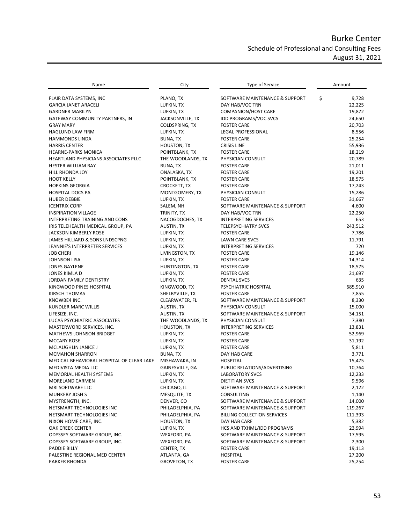Burke Center Schedule of Professional and Consulting Fees

August 31, 2021

| Name                                      | City                | Type of Service                    | Amount      |
|-------------------------------------------|---------------------|------------------------------------|-------------|
| FLAIR DATA SYSTEMS, INC                   | PLANO, TX           | SOFTWARE MAINTENANCE & SUPPORT     | \$<br>9,728 |
| <b>GARCIA JANET ARACELI</b>               | LUFKIN, TX          | DAY HAB/VOC TRN                    | 22,225      |
| <b>GARDNER MARILYN</b>                    | LUFKIN, TX          | COMPANION/HOST CARE                | 19,872      |
| GATEWAY COMMUNITY PARTNERS, IN            | JACKSONVILLE, TX    | <b>IDD PROGRAMS/VOC SVCS</b>       | 24,650      |
| <b>GRAY MARY</b>                          | COLDSPRING, TX      | <b>FOSTER CARE</b>                 | 20,703      |
| HAGLUND LAW FIRM                          | LUFKIN, TX          | LEGAL PROFESSIONAL                 | 8,556       |
| <b>HAMMONDS LINDA</b>                     | <b>BUNA, TX</b>     | <b>FOSTER CARE</b>                 | 25,254      |
| <b>HARRIS CENTER</b>                      | <b>HOUSTON, TX</b>  | <b>CRISIS LINE</b>                 | 55,936      |
| <b>HEARNE-PARKS MONICA</b>                | POINTBLANK, TX      | <b>FOSTER CARE</b>                 | 18,219      |
| HEARTLAND PHYSICIANS ASSOCIATES PLLC      | THE WOODLANDS, TX   | PHYSICIAN CONSULT                  | 20,789      |
| HESTER WILLIAM RAY                        | BUNA, TX            | <b>FOSTER CARE</b>                 | 21,011      |
| <b>HILL RHONDA JOY</b>                    | ONALASKA, TX        | <b>FOSTER CARE</b>                 | 19,201      |
| <b>HOOT KELLY</b>                         | POINTBLANK, TX      | <b>FOSTER CARE</b>                 | 18,575      |
| <b>HOPKINS GEORGIA</b>                    | CROCKETT, TX        | <b>FOSTER CARE</b>                 | 17,243      |
| <b>HOSPITAL DOCS PA</b>                   | MONTGOMERY, TX      | PHYSICIAN CONSULT                  | 15,286      |
| <b>HUBER DEBBIE</b>                       | LUFKIN, TX          | <b>FOSTER CARE</b>                 | 31,667      |
| <b>ICENTRIX CORP</b>                      | SALEM, NH           | SOFTWARE MAINTENANCE & SUPPORT     | 4,600       |
| <b>INSPIRATION VILLAGE</b>                | TRINITY, TX         | DAY HAB/VOC TRN                    | 22,250      |
| INTERPRETING TRAINING AND CONS            | NACOGDOCHES, TX     | <b>INTERPRETING SERVICES</b>       | 653         |
| IRIS TELEHEALTH MEDICAL GROUP, PA         | <b>AUSTIN, TX</b>   | <b>TELEPSYCHIATRY SVCS</b>         | 243,512     |
| JACKSON KIMBERLY ROSE                     | LUFKIN, TX          | <b>FOSTER CARE</b>                 | 7,786       |
| JAMES HILLIARD & SONS LNDSCPNG            | LUFKIN, TX          | LAWN CARE SVCS                     | 11,791      |
| JEANNIE'S INTERPRETER SERVICES            | LUFKIN, TX          | <b>INTERPRETING SERVICES</b>       | 720         |
| <b>JOB CHERI</b>                          | LIVINGSTON, TX      | <b>FOSTER CARE</b>                 | 19,146      |
| <b>JOHNSON LISA</b>                       | LUFKIN, TX          | <b>FOSTER CARE</b>                 | 14,314      |
| <b>JONES GAYLENE</b>                      | HUNTINGTON, TX      | <b>FOSTER CARE</b>                 | 18,575      |
| JONES KIMLA D                             | LUFKIN, TX          | <b>FOSTER CARE</b>                 | 21,697      |
| JORDAN FAMILY DENTISTRY                   | LUFKIN, TX          | <b>DENTAL SVCS</b>                 | 635         |
| KINGWOOD PINES HOSPITAL                   | KINGWOOD, TX        | PSYCHIATRIC HOSPITAL               | 685,910     |
| KIRSCH THOMAS                             | SHELBYVILLE, TX     | <b>FOSTER CARE</b>                 | 7,855       |
| KNOWBE4 INC.                              | CLEARWATER, FL      | SOFTWARE MAINTENANCE & SUPPORT     | 8,330       |
| KUNDLER MARC WILLIS                       | AUSTIN, TX          | PHYSICIAN CONSULT                  | 15,000      |
| LIFESIZE, INC.                            | AUSTIN, TX          | SOFTWARE MAINTENANCE & SUPPORT     | 34,151      |
| LUCAS PSYCHIATRIC ASSOCIATES              | THE WOODLANDS, TX   | PHYSICIAN CONSULT                  | 7,380       |
| MASTERWORD SERVICES, INC.                 | HOUSTON, TX         | <b>INTERPRETING SERVICES</b>       | 13,831      |
| MATHEWS-JOHNSON BRIDGET                   | LUFKIN, TX          | <b>FOSTER CARE</b>                 | 52,969      |
| <b>MCCARY ROSE</b>                        | LUFKIN, TX          | <b>FOSTER CARE</b>                 | 31,192      |
| MCLAUGHLIN JANICE J                       | LUFKIN, TX          | <b>FOSTER CARE</b>                 | 5,811       |
| <b>MCMAHON SHARRON</b>                    | BUNA, TX            | DAY HAB CARE                       | 3,771       |
| MEDICAL BEHAVIORAL HOSPITAL OF CLEAR LAKE | MISHAWAKA, IN       | <b>HOSPITAL</b>                    | 15,475      |
| MEDIVISTA MEDIA LLC                       | GAINESVILLE, GA     | PUBLIC RELATIONS/ADVERTISING       | 10,764      |
| MEMORIAL HEALTH SYSTEMS                   | LUFKIN, TX          | <b>LABORATORY SVCS</b>             | 12,233      |
| MORELAND CARMEN                           | LUFKIN, TX          | DIETITIAN SVCS                     | 9,596       |
| MRI SOFTWARE LLC                          | CHICAGO, IL         | SOFTWARE MAINTENANCE & SUPPORT     | 2,122       |
| MUNKEBY JOSH S                            | MESQUITE, TX        | <b>CONSULTING</b>                  | 1,140       |
| MYSTRENGTH, INC.                          | DENVER, CO          | SOFTWARE MAINTENANCE & SUPPORT     | 14,000      |
| NETSMART TECHNOLOGIES INC                 | PHILADELPHIA, PA    | SOFTWARE MAINTENANCE & SUPPORT     | 119,267     |
| NETSMART TECHNOLOGIES INC                 | PHILADELPHIA, PA    | <b>BILLING COLLECTION SERVICES</b> | 111,393     |
| NIXON HOME CARE, INC.                     | <b>HOUSTON, TX</b>  | DAY HAB CARE                       | 5,382       |
| OAK CREEK CENTER                          | LUFKIN, TX          | HCS AND TXHML/IDD PROGRAMS         | 23,994      |
| ODYSSEY SOFTWARE GROUP, INC.              | WEXFORD, PA         | SOFTWARE MAINTENANCE & SUPPORT     | 17,595      |
| ODYSSEY SOFTWARE GROUP, INC.              | WEXFORD, PA         | SOFTWARE MAINTENANCE & SUPPORT     | 2,300       |
| PADDIE BILLY                              | CENTER, TX          | <b>FOSTER CARE</b>                 | 19,113      |
| PALESTINE REGIONAL MED CENTER             | ATLANTA, GA         | HOSPITAL                           | 27,200      |
| PARKER RHONDA                             | <b>GROVETON, TX</b> | <b>FOSTER CARE</b>                 | 25,254      |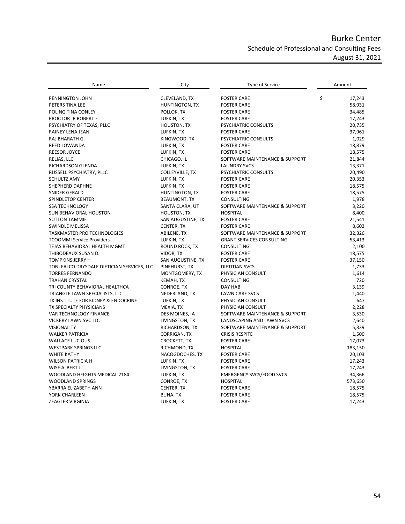Burke Center Schedule of Professional and Consulting Fees Au

|  |  | ugust 31, 2021 |
|--|--|----------------|
|--|--|----------------|

| Name                                        | City                | Type of Service                  | Amount       |
|---------------------------------------------|---------------------|----------------------------------|--------------|
| PENNINGTON JOHN                             | CLEVELAND, TX       | <b>FOSTER CARE</b>               | \$<br>17,243 |
| PETERS TINA LEE                             | HUNTINGTON, TX      | <b>FOSTER CARE</b>               | 58,931       |
| POLING TINA CONLEY                          | POLLOK, TX          | <b>FOSTER CARE</b>               | 34,485       |
| PROCTOR JR ROBERT E                         | LUFKIN, TX          | <b>FOSTER CARE</b>               | 17,243       |
| PSYCHIATRY OF TEXAS, PLLC                   | HOUSTON, TX         | PSYCHIATRIC CONSULTS             | 20,735       |
| RAINEY LENA JEAN                            | LUFKIN, TX          | <b>FOSTER CARE</b>               | 37,961       |
| RAJ BHARATH G.                              | KINGWOOD, TX        | PSYCHIATRIC CONSULTS             | 1,029        |
| <b>REED LOWANDA</b>                         | LUFKIN, TX          | <b>FOSTER CARE</b>               | 18,879       |
| <b>REESOR JOYCE</b>                         | LUFKIN, TX          | <b>FOSTER CARE</b>               | 18,575       |
| RELIAS, LLC                                 | CHICAGO, IL         | SOFTWARE MAINTENANCE & SUPPORT   | 21,844       |
| RICHARDSON GLENDA                           | LUFKIN, TX          | <b>LAUNDRY SVCS</b>              | 13,371       |
| RUSSELL PSYCHIATRY, PLLC                    | COLLEYVILLE, TX     | PSYCHIATRIC CONSULTS             | 20,490       |
| <b>SCHULTZ AMY</b>                          | LUFKIN, TX          | <b>FOSTER CARE</b>               | 20,353       |
| SHEPHERD DAPHNE                             | LUFKIN, TX          | <b>FOSTER CARE</b>               | 18,575       |
| SNIDER GERALD                               | HUNTINGTON, TX      | <b>FOSTER CARE</b>               | 18,575       |
| SPINDLETOP CENTER                           | <b>BEAUMONT, TX</b> | CONSULTING                       | 1,978        |
| <b>SSA TECHNOLOGY</b>                       | SANTA CLARA, UT     | SOFTWARE MAINTENANCE & SUPPORT   | 3,220        |
| <b>SUN BEHAVIORAL HOUSTON</b>               | HOUSTON, TX         | <b>HOSPITAL</b>                  | 8,400        |
| <b>SUTTON TAMMIE</b>                        | SAN AUGUSTINE, TX   | <b>FOSTER CARE</b>               | 21,541       |
| SWINDLE MELISSA                             | CENTER, TX          | <b>FOSTER CARE</b>               | 8,602        |
| TASKMASTER PRO TECHNOLOGIES                 | ABILENE, TX         | SOFTWARE MAINTENANCE & SUPPORT   | 32,326       |
| <b>TCOOMMI Service Providers</b>            | LUFKIN, TX          | <b>GRANT SERVICES CONSULTING</b> | 53,413       |
| TEJAS BEHAVIORAL HEALTH MGMT                | ROUND ROCK, TX      | CONSULTING                       | 2,100        |
| THIBODEAUX SUSAN D.                         | VIDOR, TX           | <b>FOSTER CARE</b>               | 18,575       |
| <b>TOMPKINS JERRY H</b>                     | SAN AUGUSTINE, TX   | <b>FOSTER CARE</b>               | 37,150       |
| TONI FALCO DRYSDALE DIETICIAN SERVICES, LLC | PINEHURST, TX       | <b>DIETITIAN SVCS</b>            | 1,733        |
| <b>TORRES FERNANDO</b>                      | MONTGOMERY, TX      | PHYSICIAN CONSULT                | 1,614        |
| <b>TRAHAN CRYSTAL</b>                       | KEMAH, TX           | CONSULTING                       | 720          |
| TRI COUNTY BEHAVIORAL HEALTHCA              | CONROE, TX          | DAY HAB                          | 3,139        |
| TRIANGLE LAWN SPECIALISTS, LLC              | NEDERLAND, TX       | LAWN CARE SVCS                   | 1,440        |
| TX INSTITUTE FOR KIDNEY & ENDOCRINE         | LUFKIN, TX          | PHYSICIAN CONSULT                | 647          |
| <b>TX SPECIALTY PHYSICIANS</b>              | MEXIA, TX           | PHYSICIAN CONSULT                | 2,228        |
| VAR TECHNOLOGY FINANCE                      | DES MOINES, IA      | SOFTWARE MAINTENANCE & SUPPORT   | 3,530        |
| <b>VICKERY LAWN SVC LLC</b>                 | LIVINGSTON, TX      | LANDSCAPING AND LAWN SVCS        | 2,640        |
| <b>VISIONALITY</b>                          | RICHARDSON, TX      | SOFTWARE MAINTENANCE & SUPPORT   | 5,339        |
| <b>WALKER PATRICIA</b>                      | CORRIGAN, TX        | <b>CRISIS RESPITE</b>            | 1,500        |
| <b>WALLACE LUCIOUS</b>                      | CROCKETT, TX        | <b>FOSTER CARE</b>               | 17,073       |
| <b>WESTPARK SPRINGS LLC</b>                 | RICHMOND, TX        | <b>HOSPITAL</b>                  | 183,150      |
| <b>WHITE KATHY</b>                          | NACOGDOCHES, TX     | <b>FOSTER CARE</b>               | 20,103       |
| <b>WILSON PATRICIA H</b>                    | LUFKIN, TX          | <b>FOSTER CARE</b>               | 17,243       |
| WISE ALBERT J                               | LIVINGSTON, TX      | <b>FOSTER CARE</b>               | 17,243       |
| WOODLAND HEIGHTS MEDICAL 2184               | LUFKIN, TX          | <b>EMERGENCY SVCS/FOOD SVCS</b>  | 34,366       |
| <b>WOODLAND SPRINGS</b>                     | CONROE, TX          | <b>HOSPITAL</b>                  | 573,650      |
| YBARRA ELIZABETH ANN                        | CENTER, TX          | <b>FOSTER CARE</b>               | 18,575       |
| YORK CHARLEEN                               | <b>BUNA, TX</b>     | <b>FOSTER CARE</b>               | 18,575       |
| <b>ZEAGLER VIRGINIA</b>                     | LUFKIN, TX          | <b>FOSTER CARE</b>               | 17,243       |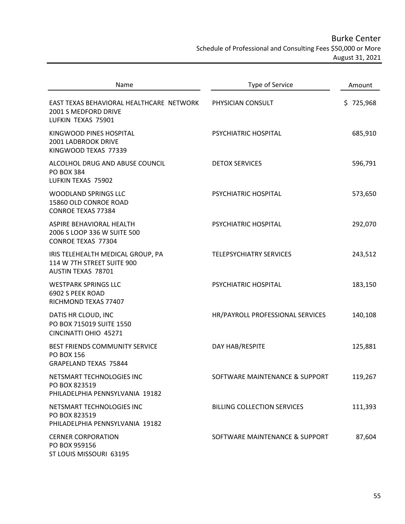Schedule of Professional and Consulting Fees \$50,000 or More

August 31, 2021

| Name                                                                                   | <b>Type of Service</b>             | Amount    |
|----------------------------------------------------------------------------------------|------------------------------------|-----------|
| EAST TEXAS BEHAVIORAL HEALTHCARE NETWORK<br>2001 S MEDFORD DRIVE<br>LUFKIN TEXAS 75901 | PHYSICIAN CONSULT                  | \$725,968 |
| KINGWOOD PINES HOSPITAL<br>2001 LADBROOK DRIVE<br>KINGWOOD TEXAS 77339                 | PSYCHIATRIC HOSPITAL               | 685,910   |
| ALCOLHOL DRUG AND ABUSE COUNCIL<br><b>PO BOX 384</b><br>LUFKIN TEXAS 75902             | <b>DETOX SERVICES</b>              | 596,791   |
| <b>WOODLAND SPRINGS LLC</b><br>15860 OLD CONROE ROAD<br><b>CONROE TEXAS 77384</b>      | PSYCHIATRIC HOSPITAL               | 573,650   |
| ASPIRE BEHAVIORAL HEALTH<br>2006 S LOOP 336 W SUITE 500<br>CONROE TEXAS 77304          | PSYCHIATRIC HOSPITAL               | 292,070   |
| IRIS TELEHEALTH MEDICAL GROUP, PA<br>114 W 7TH STREET SUITE 900<br>AUSTIN TEXAS 78701  | <b>TELEPSYCHIATRY SERVICES</b>     | 243,512   |
| <b>WESTPARK SPRINGS LLC</b><br>6902 S PEEK ROAD<br>RICHMOND TEXAS 77407                | PSYCHIATRIC HOSPITAL               | 183,150   |
| DATIS HR CLOUD, INC<br>PO BOX 715019 SUITE 1550<br>CINCINATTI OHIO 45271               | HR/PAYROLL PROFESSIONAL SERVICES   | 140,108   |
| BEST FRIENDS COMMUNITY SERVICE<br><b>PO BOX 156</b><br>GRAPELAND TEXAS 75844           | DAY HAB/RESPITE                    | 125,881   |
| NETSMART TECHNOLOGIES INC<br>PO BOX 823519<br>PHILADELPHIA PENNSYLVANIA 19182          | SOFTWARE MAINTENANCE & SUPPORT     | 119,267   |
| NETSMART TECHNOLOGIES INC<br>PO BOX 823519<br>PHILADELPHIA PENNSYLVANIA 19182          | <b>BILLING COLLECTION SERVICES</b> | 111,393   |
| <b>CERNER CORPORATION</b><br>PO BOX 959156<br>ST LOUIS MISSOURI 63195                  | SOFTWARE MAINTENANCE & SUPPORT     | 87,604    |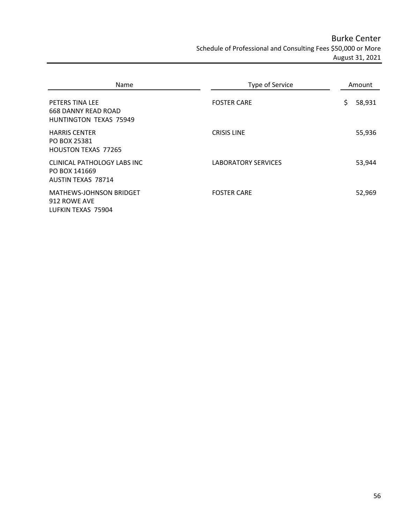| Name                                                                      | Type of Service            |     | Amount |  |
|---------------------------------------------------------------------------|----------------------------|-----|--------|--|
| PETERS TINA LEE<br>668 DANNY READ ROAD<br><b>HUNTINGTON TEXAS 75949</b>   | <b>FOSTER CARE</b>         | \$. | 58,931 |  |
| <b>HARRIS CENTER</b><br>PO BOX 25381<br><b>HOUSTON TEXAS 77265</b>        | <b>CRISIS LINE</b>         |     | 55,936 |  |
| CLINICAL PATHOLOGY LABS INC<br>PO BOX 141669<br><b>AUSTIN TEXAS 78714</b> | <b>LABORATORY SERVICES</b> |     | 53,944 |  |
| <b>MATHEWS-JOHNSON BRIDGET</b><br>912 ROWE AVE<br>LUFKIN TEXAS 75904      | <b>FOSTER CARE</b>         |     | 52,969 |  |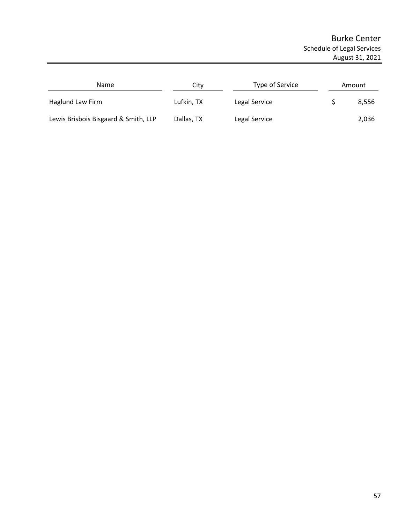## Burke Center Schedule of Legal Services August 31, 2021

| Name                                 | City       | Type of Service |  | Amount |
|--------------------------------------|------------|-----------------|--|--------|
| Haglund Law Firm                     | Lufkin, TX | Legal Service   |  | 8,556  |
| Lewis Brisbois Bisgaard & Smith, LLP | Dallas, TX | Legal Service   |  | 2,036  |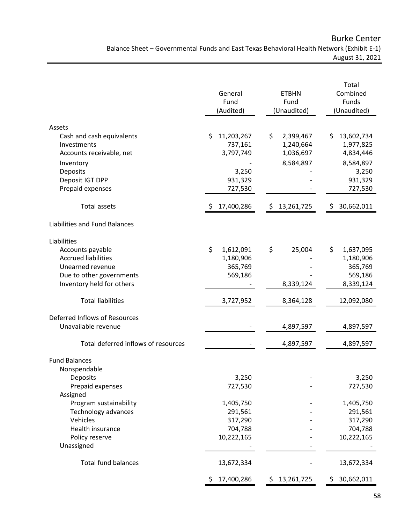|                                                                      | General<br>Fund<br>(Audited)             | <b>ETBHN</b><br>Fund<br>(Unaudited)       | Total<br>Combined<br>Funds<br>(Unaudited)  |
|----------------------------------------------------------------------|------------------------------------------|-------------------------------------------|--------------------------------------------|
| Assets                                                               |                                          |                                           |                                            |
| Cash and cash equivalents<br>Investments<br>Accounts receivable, net | \$<br>11,203,267<br>737,161<br>3,797,749 | \$<br>2,399,467<br>1,240,664<br>1,036,697 | \$<br>13,602,734<br>1,977,825<br>4,834,446 |
| Inventory<br>Deposits<br>Deposit IGT DPP                             | 3,250<br>931,329                         | 8,584,897                                 | 8,584,897<br>3,250<br>931,329              |
| Prepaid expenses                                                     | 727,530                                  |                                           | 727,530                                    |
| <b>Total assets</b>                                                  | 17,400,286<br>S                          | 13,261,725<br>\$                          | 30,662,011<br>\$.                          |
| <b>Liabilities and Fund Balances</b>                                 |                                          |                                           |                                            |
| Liabilities                                                          |                                          |                                           |                                            |
| Accounts payable                                                     | \$<br>1,612,091                          | \$<br>25,004                              | \$<br>1,637,095                            |
| <b>Accrued liabilities</b>                                           | 1,180,906                                |                                           | 1,180,906                                  |
| Unearned revenue                                                     | 365,769                                  |                                           | 365,769                                    |
| Due to other governments                                             | 569,186                                  |                                           | 569,186                                    |
| Inventory held for others                                            |                                          | 8,339,124                                 | 8,339,124                                  |
| <b>Total liabilities</b>                                             | 3,727,952                                | 8,364,128                                 | 12,092,080                                 |
| Deferred Inflows of Resources                                        |                                          |                                           |                                            |
| Unavailable revenue                                                  |                                          | 4,897,597                                 | 4,897,597                                  |
| Total deferred inflows of resources                                  |                                          | 4,897,597                                 | 4,897,597                                  |
| <b>Fund Balances</b><br>Nonspendable                                 |                                          |                                           |                                            |
| Deposits                                                             | 3,250                                    |                                           | 3,250                                      |
| Prepaid expenses                                                     | 727,530                                  |                                           | 727,530                                    |
| Assigned                                                             |                                          |                                           |                                            |
| Program sustainability                                               | 1,405,750                                |                                           | 1,405,750                                  |
| Technology advances                                                  | 291,561                                  |                                           | 291,561                                    |
| Vehicles                                                             | 317,290                                  |                                           | 317,290                                    |
| Health insurance                                                     | 704,788                                  |                                           | 704,788                                    |
| Policy reserve                                                       | 10,222,165                               |                                           | 10,222,165                                 |
| Unassigned                                                           |                                          |                                           |                                            |
| <b>Total fund balances</b>                                           | 13,672,334                               |                                           | 13,672,334                                 |
|                                                                      | 17,400,286                               | 13,261,725<br>Ş                           | 30,662,011<br>Ş                            |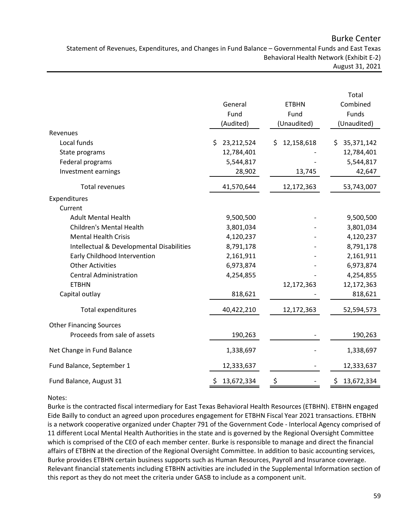Statement of Revenues, Expenditures, and Changes in Fund Balance – Governmental Funds and East Texas Behavioral Health Network (Exhibit E‐2) August 31, 2021

Total General ETBHN Combined Fund Fund Funds (Audited) (Unaudited) (Unaudited) Revenues Local funds 23,212,524 \$ \$ 12,158,618 \$ 35,371,142 State programs 12,784,401 ‐ 12,784,401 Federal programs 5,544,817 ‐ 5,544,817 Investment earnings 28,902 13,745 42,647 Total revenues 41,570,644 12,172,363 53,743,007 Expenditures Current Adult Mental Health 9,500,500 ‐ 9,500,500 Children's Mental Health ‐ 3,801,034 3,801,034 Mental Health Crisis 4,120,237 ‐ 4,120,237 Intellectual & Developmental Disabilities  $\begin{array}{ccc} 8,791,178 & - & 8,791,178 \end{array}$ Early Childhood Intervention 2,161,911 ‐ 2,161,911 Other Activities 6,973,874 ‐ 6,973,874 Central Administration 4,254,855 ‐ 4,254,855 ETBHN 12,172,363 12,172,363 Capital outlay 818,621 ‐ 818,621 Total expenditures 40,422,210 12,172,363 52,594,573 Other Financing Sources Proceeds from sale of assets 190,263 ‐ 190,263 Net Change in Fund Balance 1,338,697 ‐ 1,338,697 Fund Balance, September 1 12,333,637 ‐ 12,333,637 Fund Balance, August 31 13,672,334 \$ ‐ \$ \$ 13,672,334

Notes:

Burke is the contracted fiscal intermediary for East Texas Behavioral Health Resources (ETBHN). ETBHN engaged Eide Bailly to conduct an agreed upon procedures engagement for ETBHN Fiscal Year 2021 transactions. ETBHN is a network cooperative organized under Chapter 791 of the Government Code ‐ Interlocal Agency comprised of 11 different Local Mental Health Authorities in the state and is governed by the Regional Oversight Committee which is comprised of the CEO of each member center. Burke is responsible to manage and direct the financial affairs of ETBHN at the direction of the Regional Oversight Committee. In addition to basic accounting services, Burke provides ETBHN certain business supports such as Human Resources, Payroll and Insurance coverage. Relevant financial statements including ETBHN activities are included in the Supplemental Information section of this report as they do not meet the criteria under GASB to include as a component unit.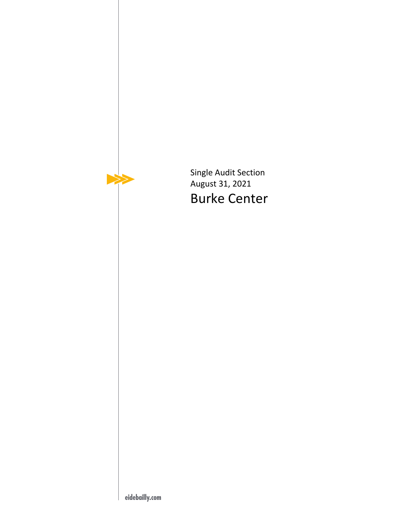

 $\gg$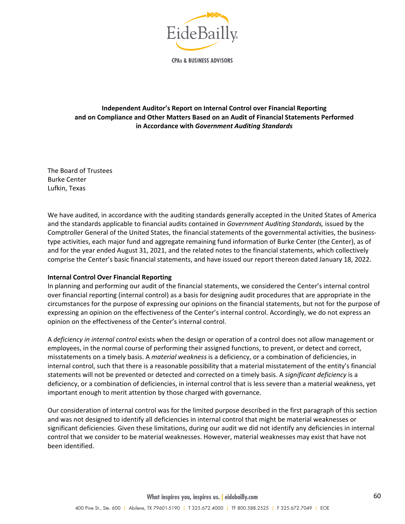

**CPAs & BUSINESS ADVISORS** 

### **Independent Auditor's Report on Internal Control over Financial Reporting and on Compliance and Other Matters Based on an Audit of Financial Statements Performed in Accordance with** *Government Auditing Standards*

The Board of Trustees Burke Center Lufkin, Texas

We have audited, in accordance with the auditing standards generally accepted in the United States of America and the standards applicable to financial audits contained in *Government Auditing Standards,* issued by the Comptroller General of the United States, the financial statements of the governmental activities, the business‐ type activities, each major fund and aggregate remaining fund information of Burke Center (the Center), as of and for the year ended August 31, 2021, and the related notes to the financial statements, which collectively comprise the Center's basic financial statements, and have issued our report thereon dated January 18, 2022.

### **Internal Control Over Financial Reporting**

In planning and performing our audit of the financial statements, we considered the Center's internal control over financial reporting (internal control) as a basis for designing audit procedures that are appropriate in the circumstances for the purpose of expressing our opinions on the financial statements, but not for the purpose of expressing an opinion on the effectiveness of the Center's internal control. Accordingly, we do not express an opinion on the effectiveness of the Center's internal control.

A *deficiency in internal control* exists when the design or operation of a control does not allow management or employees, in the normal course of performing their assigned functions, to prevent, or detect and correct, misstatements on a timely basis. A *material weakness* is a deficiency, or a combination of deficiencies, in internal control, such that there is a reasonable possibility that a material misstatement of the entity's financial statements will not be prevented or detected and corrected on a timely basis. A *significant deficiency* is a deficiency, or a combination of deficiencies, in internal control that is less severe than a material weakness, yet important enough to merit attention by those charged with governance.

Our consideration of internal control was for the limited purpose described in the first paragraph of this section and was not designed to identify all deficiencies in internal control that might be material weaknesses or significant deficiencies. Given these limitations, during our audit we did not identify any deficiencies in internal control that we consider to be material weaknesses. However, material weaknesses may exist that have not been identified.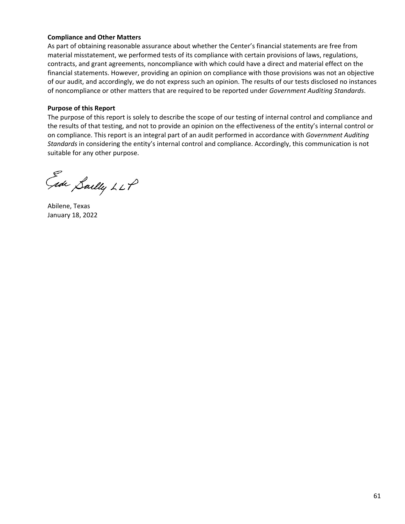### **Compliance and Other Matters**

As part of obtaining reasonable assurance about whether the Center's financial statements are free from material misstatement, we performed tests of its compliance with certain provisions of laws, regulations, contracts, and grant agreements, noncompliance with which could have a direct and material effect on the financial statements. However, providing an opinion on compliance with those provisions was not an objective of our audit, and accordingly, we do not express such an opinion. The results of our tests disclosed no instances of noncompliance or other matters that are required to be reported under *Government Auditing Standards*.

### **Purpose of this Report**

The purpose of this report is solely to describe the scope of our testing of internal control and compliance and the results of that testing, and not to provide an opinion on the effectiveness of the entity's internal control or on compliance. This report is an integral part of an audit performed in accordance with *Government Auditing Standards* in considering the entity's internal control and compliance. Accordingly, this communication is not suitable for any other purpose.

Gide Sailly LLP

Abilene, Texas January 18, 2022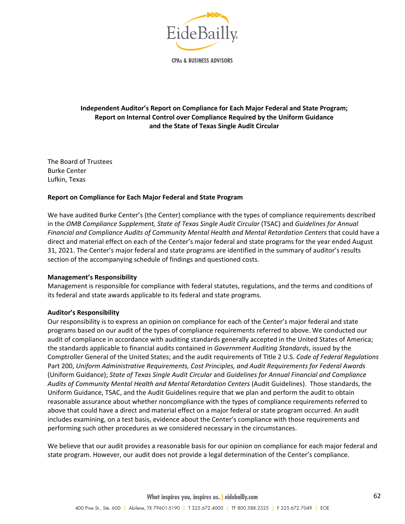

**CPAs & BUSINESS ADVISORS** 

## **Independent Auditor's Report on Compliance for Each Major Federal and State Program; Report on Internal Control over Compliance Required by the Uniform Guidance and the State of Texas Single Audit Circular**

The Board of Trustees Burke Center Lufkin, Texas

### **Report on Compliance for Each Major Federal and State Program**

We have audited Burke Center's (the Center) compliance with the types of compliance requirements described in the *OMB Compliance Supplement, State of Texas Single Audit Circular* (TSAC) and *Guidelines for Annual Financial and Compliance Audits of Community Mental Health and Mental Retardation Centers* that could have a direct and material effect on each of the Center's major federal and state programs for the year ended August 31, 2021. The Center's major federal and state programs are identified in the summary of auditor's results section of the accompanying schedule of findings and questioned costs.

### **Management's Responsibility**

Management is responsible for compliance with federal statutes, regulations, and the terms and conditions of its federal and state awards applicable to its federal and state programs.

### **Auditor's Responsibility**

Our responsibility is to express an opinion on compliance for each of the Center's major federal and state programs based on our audit of the types of compliance requirements referred to above. We conducted our audit of compliance in accordance with auditing standards generally accepted in the United States of America; the standards applicable to financial audits contained in *Government Auditing Standards*, issued by the Comptroller General of the United States; and the audit requirements of Title 2 U.S. *Code of Federal Regulations* Part 200, *Uniform Administrative Requirements, Cost Principles, and Audit Requirements for Federal Awards* (Uniform Guidance); *State of Texas Single Audit Circular* and *Guidelines for Annual Financial and Compliance Audits of Community Mental Health and Mental Retardation Centers* (Audit Guidelines)*.* Those standards, the Uniform Guidance, TSAC, and the Audit Guidelines require that we plan and perform the audit to obtain reasonable assurance about whether noncompliance with the types of compliance requirements referred to above that could have a direct and material effect on a major federal or state program occurred. An audit includes examining, on a test basis, evidence about the Center's compliance with those requirements and performing such other procedures as we considered necessary in the circumstances.

We believe that our audit provides a reasonable basis for our opinion on compliance for each major federal and state program. However, our audit does not provide a legal determination of the Center's compliance.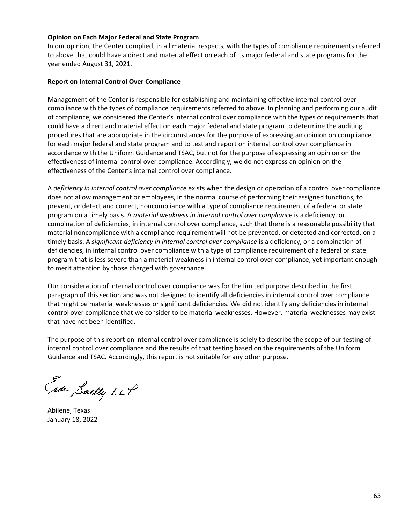### **Opinion on Each Major Federal and State Program**

In our opinion, the Center complied, in all material respects, with the types of compliance requirements referred to above that could have a direct and material effect on each of its major federal and state programs for the year ended August 31, 2021.

#### **Report on Internal Control Over Compliance**

Management of the Center is responsible for establishing and maintaining effective internal control over compliance with the types of compliance requirements referred to above. In planning and performing our audit of compliance, we considered the Center's internal control over compliance with the types of requirements that could have a direct and material effect on each major federal and state program to determine the auditing procedures that are appropriate in the circumstances for the purpose of expressing an opinion on compliance for each major federal and state program and to test and report on internal control over compliance in accordance with the Uniform Guidance and TSAC, but not for the purpose of expressing an opinion on the effectiveness of internal control over compliance. Accordingly, we do not express an opinion on the effectiveness of the Center's internal control over compliance.

A *deficiency in internal control over compliance* exists when the design or operation of a control over compliance does not allow management or employees, in the normal course of performing their assigned functions, to prevent, or detect and correct, noncompliance with a type of compliance requirement of a federal or state program on a timely basis. A *material weakness in internal control over compliance* is a deficiency, or combination of deficiencies, in internal control over compliance, such that there is a reasonable possibility that material noncompliance with a compliance requirement will not be prevented, or detected and corrected, on a timely basis. A *significant deficiency in internal control over compliance* is a deficiency, or a combination of deficiencies, in internal control over compliance with a type of compliance requirement of a federal or state program that is less severe than a material weakness in internal control over compliance, yet important enough to merit attention by those charged with governance.

Our consideration of internal control over compliance was for the limited purpose described in the first paragraph of this section and was not designed to identify all deficiencies in internal control over compliance that might be material weaknesses or significant deficiencies. We did not identify any deficiencies in internal control over compliance that we consider to be material weaknesses. However, material weaknesses may exist that have not been identified.

The purpose of this report on internal control over compliance is solely to describe the scope of our testing of internal control over compliance and the results of that testing based on the requirements of the Uniform Guidance and TSAC. Accordingly, this report is not suitable for any other purpose.

Gide Sailly LLP

Abilene, Texas January 18, 2022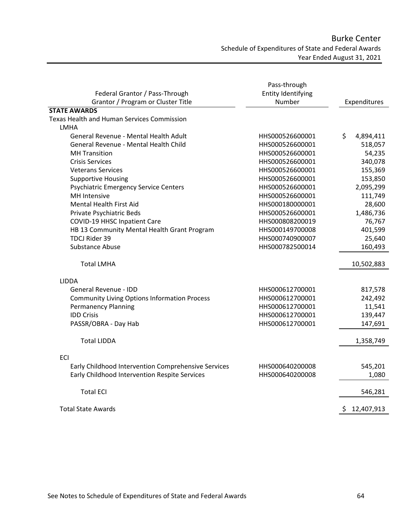|                                                     | Pass-through              |                  |  |
|-----------------------------------------------------|---------------------------|------------------|--|
| Federal Grantor / Pass-Through                      | <b>Entity Identifying</b> |                  |  |
| Grantor / Program or Cluster Title                  | Number                    | Expenditures     |  |
| <b>STATE AWARDS</b>                                 |                           |                  |  |
| Texas Health and Human Services Commission          |                           |                  |  |
| <b>LMHA</b>                                         |                           |                  |  |
| General Revenue - Mental Health Adult               | HHS000526600001           | \$<br>4,894,411  |  |
| General Revenue - Mental Health Child               | HHS000526600001           | 518,057          |  |
| <b>MH</b> Transition                                | HHS000526600001           | 54,235           |  |
| <b>Crisis Services</b>                              | HHS000526600001           | 340,078          |  |
| <b>Veterans Services</b>                            | HHS000526600001           | 155,369          |  |
| <b>Supportive Housing</b>                           | HHS000526600001           | 153,850          |  |
| Psychiatric Emergency Service Centers               | HHS000526600001           | 2,095,299        |  |
| <b>MH</b> Intensive                                 | HHS000526600001           | 111,749          |  |
| <b>Mental Health First Aid</b>                      | HHS000180000001           | 28,600           |  |
| Private Psychiatric Beds                            | HHS000526600001           | 1,486,736        |  |
| <b>COVID-19 HHSC Inpatient Care</b>                 | HHS000808200019           | 76,767           |  |
| HB 13 Community Mental Health Grant Program         | HHS000149700008           | 401,599          |  |
| TDCJ Rider 39                                       | HHS000740900007           | 25,640           |  |
| Substance Abuse                                     | HHS000782500014           | 160,493          |  |
| <b>Total LMHA</b>                                   |                           | 10,502,883       |  |
| <b>LIDDA</b>                                        |                           |                  |  |
| General Revenue - IDD                               | HHS000612700001           | 817,578          |  |
| <b>Community Living Options Information Process</b> | HHS000612700001           | 242,492          |  |
| <b>Permanency Planning</b>                          | HHS000612700001           | 11,541           |  |
| <b>IDD Crisis</b>                                   | HHS000612700001           | 139,447          |  |
| PASSR/OBRA - Day Hab                                | HHS000612700001           | 147,691          |  |
| <b>Total LIDDA</b>                                  |                           | 1,358,749        |  |
| ECI                                                 |                           |                  |  |
| Early Childhood Intervention Comprehensive Services | HHS000640200008           | 545,201          |  |
| Early Childhood Intervention Respite Services       | HHS000640200008           | 1,080            |  |
|                                                     |                           |                  |  |
| <b>Total ECI</b>                                    |                           | 546,281          |  |
| <b>Total State Awards</b>                           |                           | 12,407,913<br>\$ |  |
|                                                     |                           |                  |  |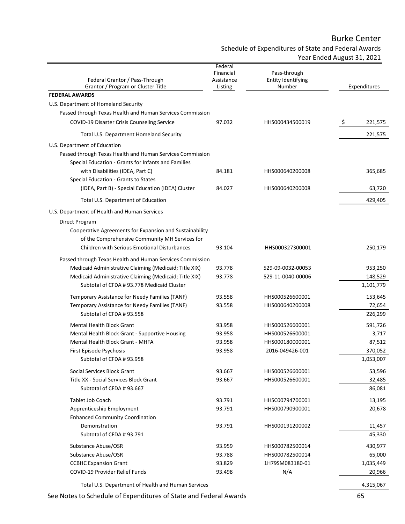Schedule of Expenditures of State and Federal Awards

Year Ended August 31, 2021

| Federal Grantor / Pass-Through<br>Grantor / Program or Cluster Title | Federal<br>Financial<br>Assistance | Pass-through<br><b>Entity Identifying</b> |               |
|----------------------------------------------------------------------|------------------------------------|-------------------------------------------|---------------|
| <b>FEDERAL AWARDS</b>                                                | Listing                            | Number                                    | Expenditures  |
| U.S. Department of Homeland Security                                 |                                    |                                           |               |
| Passed through Texas Health and Human Services Commission            |                                    |                                           |               |
| COVID-19 Disaster Crisis Counseling Service                          | 97.032                             | HHS000434500019                           | \$<br>221,575 |
| Total U.S. Department Homeland Security                              |                                    |                                           | 221,575       |
| U.S. Department of Education                                         |                                    |                                           |               |
| Passed through Texas Health and Human Services Commission            |                                    |                                           |               |
| Special Education - Grants for Infants and Families                  |                                    |                                           |               |
| with Disabilities (IDEA, Part C)                                     | 84.181                             | HHS000640200008                           | 365,685       |
| Special Education - Grants to States                                 |                                    |                                           |               |
| (IDEA, Part B) - Special Education (IDEA) Cluster                    | 84.027                             | HHS000640200008                           | 63,720        |
| Total U.S. Department of Education                                   |                                    |                                           | 429,405       |
| U.S. Department of Health and Human Services                         |                                    |                                           |               |
| <b>Direct Program</b>                                                |                                    |                                           |               |
| Cooperative Agreements for Expansion and Sustainability              |                                    |                                           |               |
| of the Comprehensive Community MH Services for                       |                                    |                                           |               |
| Children with Serious Emotional Disturbances                         | 93.104                             | HHS000327300001                           | 250,179       |
| Passed through Texas Health and Human Services Commission            |                                    |                                           |               |
| Medicaid Administrative Claiming (Medicaid; Title XIX)               | 93.778                             | 529-09-0032-00053                         | 953,250       |
| Medicaid Administrative Claiming (Medicaid; Title XIX)               | 93.778                             | 529-11-0040-00006                         | 148,529       |
| Subtotal of CFDA #93.778 Medicaid Cluster                            |                                    |                                           | 1,101,779     |
| Temporary Assistance for Needy Families (TANF)                       | 93.558                             | HHS000526600001                           | 153,645       |
| Temporary Assistance for Needy Families (TANF)                       | 93.558                             | HHS000640200008                           | 72,654        |
| Subtotal of CFDA #93.558                                             |                                    |                                           | 226,299       |
| Mental Health Block Grant                                            | 93.958                             | HHS000526600001                           | 591,726       |
| Mental Health Block Grant - Supportive Housing                       | 93.958                             | HHS000526600001                           | 3,717         |
| Mental Health Block Grant - MHFA                                     | 93.958                             | HHS000180000001                           | 87,512        |
| First Episode Psychosis                                              | 93.958                             | 2016-049426-001                           | 370,052       |
| Subtotal of CFDA #93.958                                             |                                    |                                           | 1,053,007     |
| Social Services Block Grant                                          | 93.667                             | HHS000526600001                           | 53,596        |
| Title XX - Social Services Block Grant                               | 93.667                             | HHS000526600001                           | 32,485        |
| Subtotal of CFDA #93.667                                             |                                    |                                           | 86,081        |
| Tablet Job Coach                                                     | 93.791                             | HHSC00794700001                           | 13,195        |
| Apprenticeship Employment                                            | 93.791                             | HHS000790900001                           | 20,678        |
| <b>Enhanced Community Coordination</b>                               |                                    |                                           |               |
| Demonstration                                                        | 93.791                             | HHS000191200002                           | 11,457        |
| Subtotal of CFDA #93.791                                             |                                    |                                           | 45,330        |
| Substance Abuse/OSR                                                  | 93.959                             | HHS000782500014                           | 430,977       |
| Substance Abuse/OSR                                                  | 93.788                             | HHS000782500014                           | 65,000        |
| <b>CCBHC Expansion Grant</b>                                         | 93.829                             | 1H79SM083180-01                           | 1,035,449     |
| COVID-19 Provider Relief Funds                                       | 93.498                             | N/A                                       | 20,966        |
| Total U.S. Department of Health and Human Services                   |                                    |                                           | 4,315,067     |

See Notes to Schedule of Expenditures of State and Federal Awards 65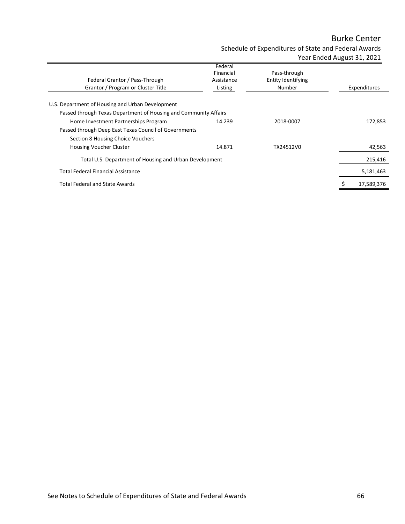# Burke Center

Schedule of Expenditures of State and Federal Awards

Year Ended August 31, 2021

| Federal<br>Financial<br>Assistance<br>Listing                    | Pass-through<br><b>Entity Identifying</b><br>Number | Expenditures |
|------------------------------------------------------------------|-----------------------------------------------------|--------------|
|                                                                  |                                                     |              |
| Passed through Texas Department of Housing and Community Affairs |                                                     |              |
| 14.239                                                           | 2018-0007                                           | 172,853      |
| Passed through Deep East Texas Council of Governments            |                                                     |              |
|                                                                  |                                                     |              |
| 14.871                                                           | TX24512V0                                           | 42,563       |
| Total U.S. Department of Housing and Urban Development           |                                                     | 215,416      |
|                                                                  |                                                     | 5,181,463    |
|                                                                  |                                                     | 17,589,376   |
|                                                                  |                                                     |              |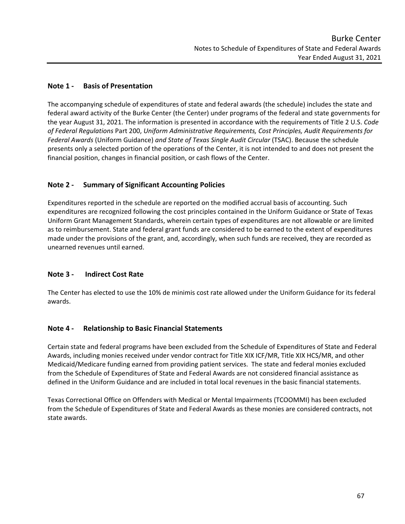## **Note 1 ‐ Basis of Presentation**

The accompanying schedule of expenditures of state and federal awards (the schedule) includes the state and federal award activity of the Burke Center (the Center) under programs of the federal and state governments for the year August 31, 2021. The information is presented in accordance with the requirements of Title 2 U.S. *Code of Federal Regulations* Part 200, *Uniform Administrative Requirements, Cost Principles, Audit Requirements for Federal Awards* (Uniform Guidance) *and State of Texas Single Audit Circular* (TSAC). Because the schedule presents only a selected portion of the operations of the Center, it is not intended to and does not present the financial position, changes in financial position, or cash flows of the Center.

# **Note 2 ‐ Summary of Significant Accounting Policies**

Expenditures reported in the schedule are reported on the modified accrual basis of accounting. Such expenditures are recognized following the cost principles contained in the Uniform Guidance or State of Texas Uniform Grant Management Standards, wherein certain types of expenditures are not allowable or are limited as to reimbursement. State and federal grant funds are considered to be earned to the extent of expenditures made under the provisions of the grant, and, accordingly, when such funds are received, they are recorded as unearned revenues until earned.

### **Note 3 ‐ Indirect Cost Rate**

The Center has elected to use the 10% de minimis cost rate allowed under the Uniform Guidance for its federal awards.

### **Note 4 ‐ Relationship to Basic Financial Statements**

Certain state and federal programs have been excluded from the Schedule of Expenditures of State and Federal Awards, including monies received under vendor contract for Title XIX ICF/MR, Title XIX HCS/MR, and other Medicaid/Medicare funding earned from providing patient services. The state and federal monies excluded from the Schedule of Expenditures of State and Federal Awards are not considered financial assistance as defined in the Uniform Guidance and are included in total local revenues in the basic financial statements.

Texas Correctional Office on Offenders with Medical or Mental Impairments (TCOOMMI) has been excluded from the Schedule of Expenditures of State and Federal Awards as these monies are considered contracts, not state awards.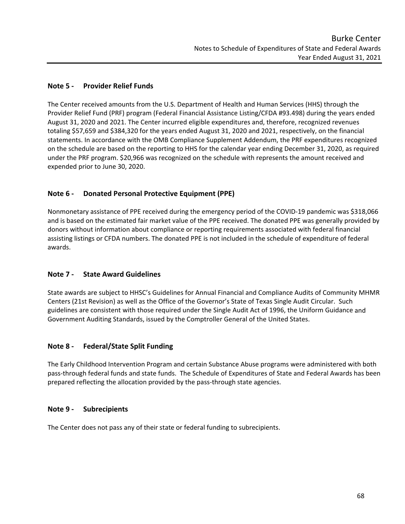#### **Note 5 ‐ Provider Relief Funds**

The Center received amounts from the U.S. Department of Health and Human Services (HHS) through the Provider Relief Fund (PRF) program (Federal Financial Assistance Listing/CFDA #93.498) during the years ended August 31, 2020 and 2021. The Center incurred eligible expenditures and, therefore, recognized revenues totaling \$57,659 and \$384,320 for the years ended August 31, 2020 and 2021, respectively, on the financial statements. In accordance with the OMB Compliance Supplement Addendum, the PRF expenditures recognized on the schedule are based on the reporting to HHS for the calendar year ending December 31, 2020, as required under the PRF program. \$20,966 was recognized on the schedule with represents the amount received and expended prior to June 30, 2020.

### **Note 6 ‐ Donated Personal Protective Equipment (PPE)**

Nonmonetary assistance of PPE received during the emergency period of the COVID‐19 pandemic was \$318,066 and is based on the estimated fair market value of the PPE received. The donated PPE was generally provided by donors without information about compliance or reporting requirements associated with federal financial assisting listings or CFDA numbers. The donated PPE is not included in the schedule of expenditure of federal awards.

### **Note 7 ‐ State Award Guidelines**

State awards are subject to HHSC's Guidelines for Annual Financial and Compliance Audits of Community MHMR Centers (21st Revision) as well as the Office of the Governor's State of Texas Single Audit Circular. Such guidelines are consistent with those required under the Single Audit Act of 1996, the Uniform Guidance and Government Auditing Standards, issued by the Comptroller General of the United States.

#### **Note 8 ‐ Federal/State Split Funding**

The Early Childhood Intervention Program and certain Substance Abuse programs were administered with both pass‐through federal funds and state funds. The Schedule of Expenditures of State and Federal Awards has been prepared reflecting the allocation provided by the pass‐through state agencies.

#### **Note 9 ‐ Subrecipients**

The Center does not pass any of their state or federal funding to subrecipients.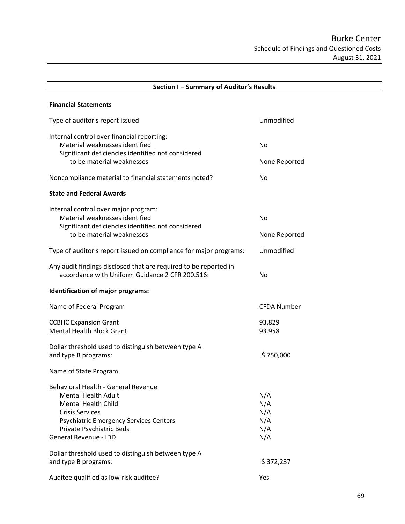| Section I - Summary of Auditor's Results                                                                                                                                                                                        |                                        |  |
|---------------------------------------------------------------------------------------------------------------------------------------------------------------------------------------------------------------------------------|----------------------------------------|--|
| <b>Financial Statements</b>                                                                                                                                                                                                     |                                        |  |
| Type of auditor's report issued                                                                                                                                                                                                 | Unmodified                             |  |
| Internal control over financial reporting:<br>Material weaknesses identified<br>Significant deficiencies identified not considered<br>to be material weaknesses                                                                 | No<br>None Reported                    |  |
| Noncompliance material to financial statements noted?                                                                                                                                                                           | No                                     |  |
| <b>State and Federal Awards</b>                                                                                                                                                                                                 |                                        |  |
| Internal control over major program:<br>Material weaknesses identified<br>Significant deficiencies identified not considered<br>to be material weaknesses                                                                       | No<br>None Reported                    |  |
| Type of auditor's report issued on compliance for major programs:                                                                                                                                                               | Unmodified                             |  |
| Any audit findings disclosed that are required to be reported in<br>accordance with Uniform Guidance 2 CFR 200.516:                                                                                                             | No                                     |  |
| Identification of major programs:                                                                                                                                                                                               |                                        |  |
| Name of Federal Program                                                                                                                                                                                                         | <b>CFDA Number</b>                     |  |
| <b>CCBHC Expansion Grant</b><br><b>Mental Health Block Grant</b>                                                                                                                                                                | 93.829<br>93.958                       |  |
| Dollar threshold used to distinguish between type A<br>and type B programs:                                                                                                                                                     | \$750,000                              |  |
| Name of State Program                                                                                                                                                                                                           |                                        |  |
| Behavioral Health - General Revenue<br><b>Mental Health Adult</b><br><b>Mental Health Child</b><br><b>Crisis Services</b><br><b>Psychiatric Emergency Services Centers</b><br>Private Psychiatric Beds<br>General Revenue - IDD | N/A<br>N/A<br>N/A<br>N/A<br>N/A<br>N/A |  |
| Dollar threshold used to distinguish between type A<br>and type B programs:                                                                                                                                                     | \$372,237                              |  |
| Auditee qualified as low-risk auditee?                                                                                                                                                                                          | Yes                                    |  |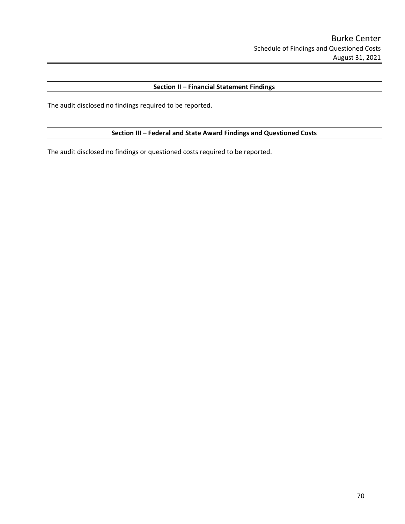# **Section II – Financial Statement Findings**

The audit disclosed no findings required to be reported.

# **Section III – Federal and State Award Findings and Questioned Costs**

The audit disclosed no findings or questioned costs required to be reported.